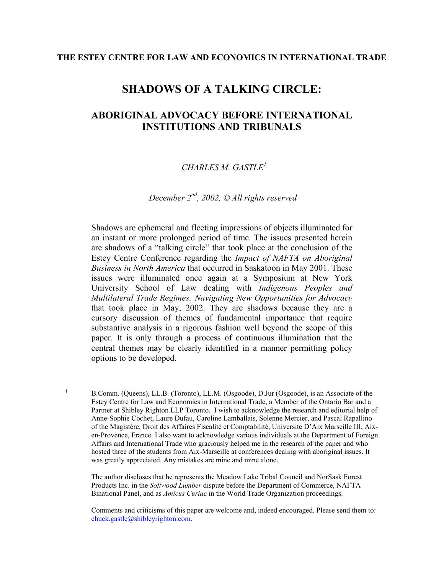# **SHADOWS OF A TALKING CIRCLE:**

## **ABORIGINAL ADVOCACY BEFORE INTERNATIONAL INSTITUTIONS AND TRIBUNALS**

## *CHARLES M. GASTL[E1](#page-0-0)*

## *December 2nd, 2002, © All rights reserved*

Shadows are ephemeral and fleeting impressions of objects illuminated for an instant or more prolonged period of time. The issues presented herein are shadows of a "talking circle" that took place at the conclusion of the Estey Centre Conference regarding the *Impact of NAFTA on Aboriginal Business in North America* that occurred in Saskatoon in May 2001. These issues were illuminated once again at a Symposium at New York University School of Law dealing with *Indigenous Peoples and Multilateral Trade Regimes: Navigating New Opportunities for Advocacy* that took place in May, 2002. They are shadows because they are a cursory discussion of themes of fundamental importance that require substantive analysis in a rigorous fashion well beyond the scope of this paper. It is only through a process of continuous illumination that the central themes may be clearly identified in a manner permitting policy options to be developed.

 $\frac{1}{1}$ 

The author discloses that he represents the Meadow Lake Tribal Council and NorSask Forest Products Inc. in the *Softwood Lumber* dispute before the Department of Commerce, NAFTA Binational Panel, and as *Amicus Curiae* in the World Trade Organization proceedings.

<span id="page-0-0"></span>B.Comm. (Queens), LL.B. (Toronto), LL.M. (Osgoode), D.Jur (Osgoode), is an Associate of the Estey Centre for Law and Economics in International Trade, a Member of the Ontario Bar and a Partner at Shibley Righton LLP Toronto. I wish to acknowledge the research and editorial help of Anne-Sophie Cochet, Laure Dufau, Caroline Lamballais, Solenne Mercier, and Pascal Rapallino of the Magistére, Droit des Affaires Fiscalité et Comptabilité, Universite D'Aix Marseille III, Aixen-Provence, France. I also want to acknowledge various individuals at the Department of Foreign Affairs and International Trade who graciously helped me in the research of the paper and who hosted three of the students from Aix-Marseille at conferences dealing with aboriginal issues. It was greatly appreciated. Any mistakes are mine and mine alone.

Comments and criticisms of this paper are welcome and, indeed encouraged. Please send them to: [chuck.gastle@shibleyrighton.com.](mailto:chuck.gastle@shibleyrighton.com)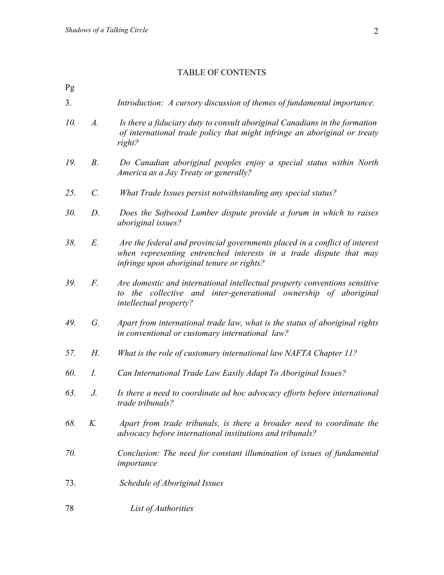#### TABLE OF CONTENTS

Pg

- 3. *Introduction: A cursory discussion of themes of fundamental importance.*
- *10. A. Is there a fiduciary duty to consult aboriginal Canadians in the formation of international trade policy that might infringe an aboriginal or treaty right?*
- *19. B. Do Canadian aboriginal peoples enjoy a special status within North America as a Jay Treaty or generally?*
- *25. C. What Trade Issues persist notwithstanding any special status?*
- *30. D. Does the Softwood Lumber dispute provide a forum in which to raises aboriginal issues?*
- *38. E. Are the federal and provincial governments placed in a conflict of interest when representing entrenched interests in a trade dispute that may infringe upon aboriginal tenure or rights?*
- *39. F. Are domestic and international intellectual property conventions sensitive to the collective and inter-generational ownership of aboriginal intellectual property?*
- *49. G. Apart from international trade law, what is the status of aboriginal rights in conventional or customary international law?*
- *57. H. What is the role of customary international law NAFTA Chapter 11?*
- *60. I. Can International Trade Law Easily Adapt To Aboriginal Issues?*
- *63. J. Is there a need to coordinate ad hoc advocacy efforts before international trade tribunals?*
- *68. K. Apart from trade tribunals, is there a broader need to coordinate the advocacy before international institutions and tribunals?*
- *70. Conclusion: The need for constant illumination of issues of fundamental importance*
- 73. *Schedule of Aboriginal Issues*
- 78 *List of Authorities*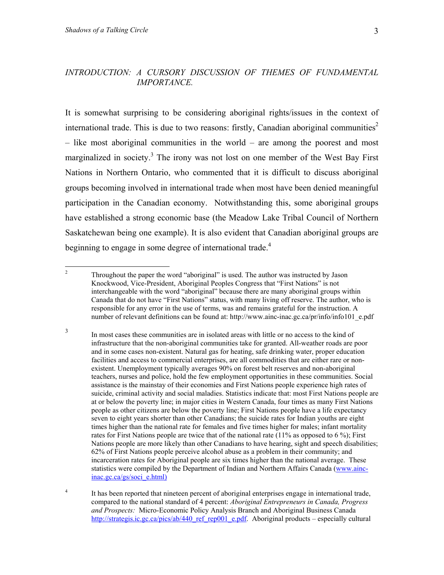#### <span id="page-2-2"></span>*INTRODUCTION: A CURSORY DISCUSSION OF THEMES OF FUNDAMENTAL IMPORTANCE.*

It is somewhat surprising to be considering aboriginal rights/issues in the context of international trade. This is due to two reasons: firstly, Canadian aboriginal communities<sup>2</sup> – like most aboriginal communities in the world – are among the poorest and most marginalized in society.<sup>3</sup> The irony was not lost on one member of the West Bay First Nations in Northern Ontario, who commented that it is difficult to discuss aboriginal groups becoming involved in international trade when most have been denied meaningful participation in the Canadian economy. Notwithstanding this, some aboriginal groups have established a strong economic base (the Meadow Lake Tribal Council of Northern Saskatchewan being one example). It is also evident that Canadian aboriginal groups are beginning to engage in some degree of international trade.<sup>[4](#page-2-2)</sup>

<span id="page-2-0"></span> $\frac{1}{2}$  Throughout the paper the word "aboriginal" is used. The author was instructed by Jason Knockwood, Vice-President, Aboriginal Peoples Congress that "First Nations" is not interchangeable with the word "aboriginal" because there are many aboriginal groups within Canada that do not have "First Nations" status, with many living off reserve. The author, who is responsible for any error in the use of terms, was and remains grateful for the instruction. A number of relevant definitions can be found at: http://www.ainc-inac.gc.ca/pr/info/info101\_e.pdf

<span id="page-2-1"></span><sup>3</sup> In most cases these communities are in isolated areas with little or no access to the kind of infrastructure that the non-aboriginal communities take for granted. All-weather roads are poor and in some cases non-existent. Natural gas for heating, safe drinking water, proper education facilities and access to commercial enterprises, are all commodities that are either rare or nonexistent. Unemployment typically averages 90% on forest belt reserves and non-aboriginal teachers, nurses and police, hold the few employment opportunities in these communities. Social assistance is the mainstay of their economies and First Nations people experience high rates of suicide, criminal activity and social maladies. Statistics indicate that: most First Nations people are at or below the poverty line; in major cities in Western Canada, four times as many First Nations people as other citizens are below the poverty line; First Nations people have a life expectancy seven to eight years shorter than other Canadians; the suicide rates for Indian youths are eight times higher than the national rate for females and five times higher for males; infant mortality rates for First Nations people are twice that of the national rate (11% as opposed to 6 %); First Nations people are more likely than other Canadians to have hearing, sight and speech disabilities; 62% of First Nations people perceive alcohol abuse as a problem in their community; and incarceration rates for Aboriginal people are six times higher than the national average. These statistics were compiled by the Department of Indian and Northern Affairs Canada (www.aincinac.gc.ca/gs/soci\_e.html)

<sup>4</sup> It has been reported that nineteen percent of aboriginal enterprises engage in international trade, compared to the national standard of 4 percent: *Aboriginal Entrepreneurs in Canada, Progress and Prospects:* Micro-Economic Policy Analysis Branch and Aboriginal Business Canada [http://strategis.ic.gc.ca/pics/ab/440\\_ref\\_rep001\\_e.pdf](http://strategis.ic.gc.ca/pics/ab/440_ref_rep001_e.pdf). Aboriginal products – especially cultural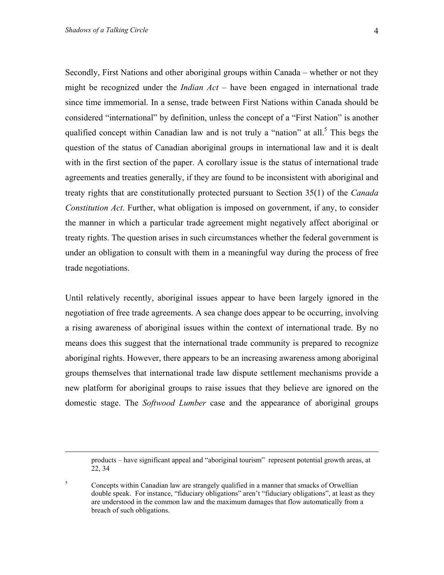Secondly, First Nations and other aboriginal groups within Canada – whether or not they might be recognized under the *Indian Act* – have been engaged in international trade since time immemorial. In a sense, trade between First Nations within Canada should be considered "international" by definition, unless the concept of a "First Nation" is another qualified concept within Canadian law and is not truly a "nation" at all.<sup>[5](#page-3-0)</sup> This begs the question of the status of Canadian aboriginal groups in international law and it is dealt with in the first section of the paper. A corollary issue is the status of international trade agreements and treaties generally, if they are found to be inconsistent with aboriginal and treaty rights that are constitutionally protected pursuant to Section 35(1) of the *Canada Constitution Act*. Further, what obligation is imposed on government, if any, to consider the manner in which a particular trade agreement might negatively affect aboriginal or treaty rights. The question arises in such circumstances whether the federal government is under an obligation to consult with them in a meaningful way during the process of free trade negotiations.

Until relatively recently, aboriginal issues appear to have been largely ignored in the negotiation of free trade agreements. A sea change does appear to be occurring, involving a rising awareness of aboriginal issues within the context of international trade. By no means does this suggest that the international trade community is prepared to recognize aboriginal rights. However, there appears to be an increasing awareness among aboriginal groups themselves that international trade law dispute settlement mechanisms provide a new platform for aboriginal groups to raise issues that they believe are ignored on the domestic stage. The *Softwood Lumber* case and the appearance of aboriginal groups

products – have significant appeal and "aboriginal tourism" represent potential growth areas, at 22, 34

<span id="page-3-0"></span><sup>5</sup> Concepts within Canadian law are strangely qualified in a manner that smacks of Orwellian double speak. For instance, "fiduciary obligations" aren't "fiduciary obligations", at least as they are understood in the common law and the maximum damages that flow automatically from a breach of such obligations.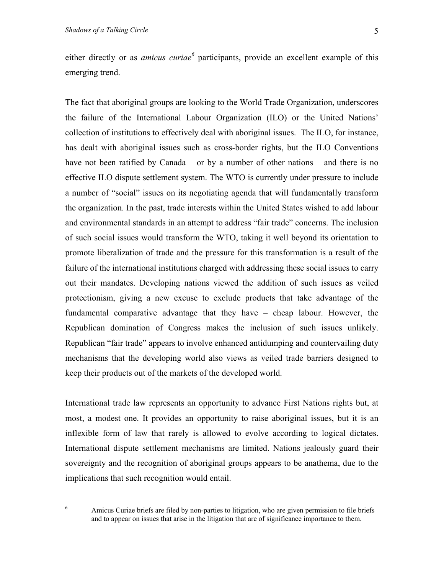eitherdirectly or as *amicus curiae*<sup>6</sup> participants, provide an excellent example of this emerging trend.

The fact that aboriginal groups are looking to the World Trade Organization, underscores the failure of the International Labour Organization (ILO) or the United Nations' collection of institutions to effectively deal with aboriginal issues. The ILO, for instance, has dealt with aboriginal issues such as cross-border rights, but the ILO Conventions have not been ratified by Canada – or by a number of other nations – and there is no effective ILO dispute settlement system. The WTO is currently under pressure to include a number of "social" issues on its negotiating agenda that will fundamentally transform the organization. In the past, trade interests within the United States wished to add labour and environmental standards in an attempt to address "fair trade" concerns. The inclusion of such social issues would transform the WTO, taking it well beyond its orientation to promote liberalization of trade and the pressure for this transformation is a result of the failure of the international institutions charged with addressing these social issues to carry out their mandates. Developing nations viewed the addition of such issues as veiled protectionism, giving a new excuse to exclude products that take advantage of the fundamental comparative advantage that they have – cheap labour. However, the Republican domination of Congress makes the inclusion of such issues unlikely. Republican "fair trade" appears to involve enhanced antidumping and countervailing duty mechanisms that the developing world also views as veiled trade barriers designed to keep their products out of the markets of the developed world.

International trade law represents an opportunity to advance First Nations rights but, at most, a modest one. It provides an opportunity to raise aboriginal issues, but it is an inflexible form of law that rarely is allowed to evolve according to logical dictates. International dispute settlement mechanisms are limited. Nations jealously guard their sovereignty and the recognition of aboriginal groups appears to be anathema, due to the implications that such recognition would entail.

<span id="page-4-0"></span> $\frac{1}{6}$ 

Amicus Curiae briefs are filed by non-parties to litigation, who are given permission to file briefs and to appear on issues that arise in the litigation that are of significance importance to them.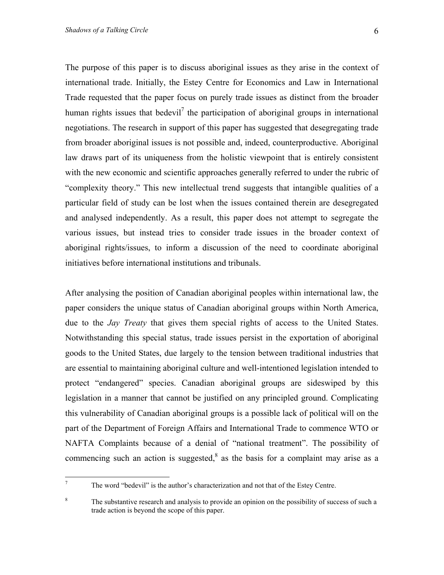The purpose of this paper is to discuss aboriginal issues as they arise in the context of international trade. Initially, the Estey Centre for Economics and Law in International Trade requested that the paper focus on purely trade issues as distinct from the broader human rights issues that bedevil<sup>[7](#page-5-0)</sup> the participation of aboriginal groups in international negotiations. The research in support of this paper has suggested that desegregating trade from broader aboriginal issues is not possible and, indeed, counterproductive. Aboriginal law draws part of its uniqueness from the holistic viewpoint that is entirely consistent with the new economic and scientific approaches generally referred to under the rubric of "complexity theory." This new intellectual trend suggests that intangible qualities of a particular field of study can be lost when the issues contained therein are desegregated and analysed independently. As a result, this paper does not attempt to segregate the various issues, but instead tries to consider trade issues in the broader context of aboriginal rights/issues, to inform a discussion of the need to coordinate aboriginal initiatives before international institutions and tribunals.

After analysing the position of Canadian aboriginal peoples within international law, the paper considers the unique status of Canadian aboriginal groups within North America, due to the *Jay Treaty* that gives them special rights of access to the United States. Notwithstanding this special status, trade issues persist in the exportation of aboriginal goods to the United States, due largely to the tension between traditional industries that are essential to maintaining aboriginal culture and well-intentioned legislation intended to protect "endangered" species. Canadian aboriginal groups are sideswiped by this legislation in a manner that cannot be justified on any principled ground. Complicating this vulnerability of Canadian aboriginal groups is a possible lack of political will on the part of the Department of Foreign Affairs and International Trade to commence WTO or NAFTA Complaints because of a denial of "national treatment". The possibility of commencing such an action is suggested, $8$  as the basis for a complaint may arise as a

<span id="page-5-0"></span><sup>-&</sup>lt;br>7 The word "bedevil" is the author's characterization and not that of the Estey Centre.

<span id="page-5-1"></span><sup>8</sup> The substantive research and analysis to provide an opinion on the possibility of success of such a trade action is beyond the scope of this paper.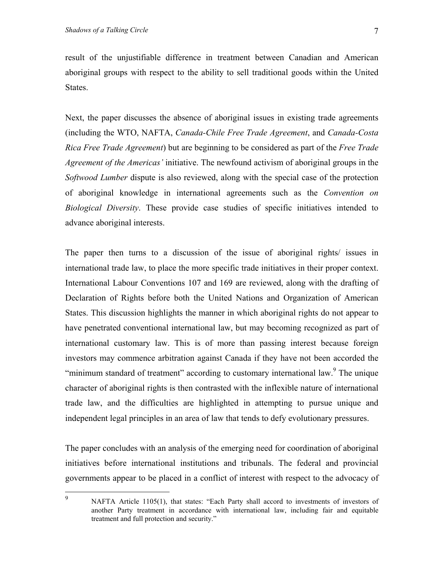States.

result of the unjustifiable difference in treatment between Canadian and American aboriginal groups with respect to the ability to sell traditional goods within the United

Next, the paper discusses the absence of aboriginal issues in existing trade agreements (including the WTO, NAFTA, *Canada-Chile Free Trade Agreement*, and *Canada-Costa Rica Free Trade Agreement*) but are beginning to be considered as part of the *Free Trade Agreement of the Americas'* initiative. The newfound activism of aboriginal groups in the *Softwood Lumber* dispute is also reviewed, along with the special case of the protection of aboriginal knowledge in international agreements such as the *Convention on Biological Diversity*. These provide case studies of specific initiatives intended to advance aboriginal interests.

The paper then turns to a discussion of the issue of aboriginal rights/ issues in international trade law, to place the more specific trade initiatives in their proper context. International Labour Conventions 107 and 169 are reviewed, along with the drafting of Declaration of Rights before both the United Nations and Organization of American States. This discussion highlights the manner in which aboriginal rights do not appear to have penetrated conventional international law, but may becoming recognized as part of international customary law. This is of more than passing interest because foreign investors may commence arbitration against Canada if they have not been accorded the "minimum standard of treatment" according to customary international law. <sup>[9](#page-6-0)</sup> The unique character of aboriginal rights is then contrasted with the inflexible nature of international trade law, and the difficulties are highlighted in attempting to pursue unique and independent legal principles in an area of law that tends to defy evolutionary pressures.

The paper concludes with an analysis of the emerging need for coordination of aboriginal initiatives before international institutions and tribunals. The federal and provincial governments appear to be placed in a conflict of interest with respect to the advocacy of

<span id="page-6-0"></span>–<br>9

NAFTA Article 1105(1), that states: "Each Party shall accord to investments of investors of another Party treatment in accordance with international law, including fair and equitable treatment and full protection and security."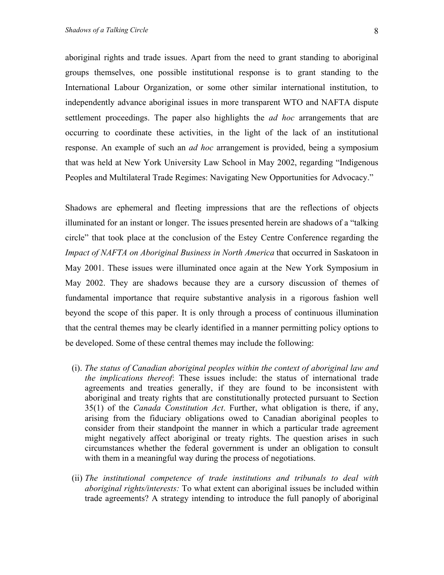aboriginal rights and trade issues. Apart from the need to grant standing to aboriginal groups themselves, one possible institutional response is to grant standing to the International Labour Organization, or some other similar international institution, to independently advance aboriginal issues in more transparent WTO and NAFTA dispute settlement proceedings. The paper also highlights the *ad hoc* arrangements that are occurring to coordinate these activities, in the light of the lack of an institutional response. An example of such an *ad hoc* arrangement is provided, being a symposium that was held at New York University Law School in May 2002, regarding "Indigenous Peoples and Multilateral Trade Regimes: Navigating New Opportunities for Advocacy."

Shadows are ephemeral and fleeting impressions that are the reflections of objects illuminated for an instant or longer. The issues presented herein are shadows of a "talking circle" that took place at the conclusion of the Estey Centre Conference regarding the *Impact of NAFTA on Aboriginal Business in North America* that occurred in Saskatoon in May 2001. These issues were illuminated once again at the New York Symposium in May 2002. They are shadows because they are a cursory discussion of themes of fundamental importance that require substantive analysis in a rigorous fashion well beyond the scope of this paper. It is only through a process of continuous illumination that the central themes may be clearly identified in a manner permitting policy options to be developed. Some of these central themes may include the following:

- (i). *The status of Canadian aboriginal peoples within the context of aboriginal law and the implications thereof*: These issues include: the status of international trade agreements and treaties generally, if they are found to be inconsistent with aboriginal and treaty rights that are constitutionally protected pursuant to Section 35(1) of the *Canada Constitution Act*. Further, what obligation is there, if any, arising from the fiduciary obligations owed to Canadian aboriginal peoples to consider from their standpoint the manner in which a particular trade agreement might negatively affect aboriginal or treaty rights. The question arises in such circumstances whether the federal government is under an obligation to consult with them in a meaningful way during the process of negotiations.
- (ii) *The institutional competence of trade institutions and tribunals to deal with aboriginal rights/interests:* To what extent can aboriginal issues be included within trade agreements? A strategy intending to introduce the full panoply of aboriginal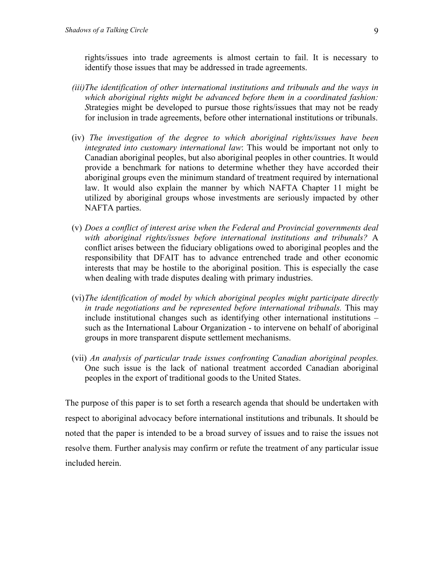rights/issues into trade agreements is almost certain to fail. It is necessary to identify those issues that may be addressed in trade agreements.

- *(iii)The identification of other international institutions and tribunals and the ways in which aboriginal rights might be advanced before them in a coordinated fashion: S*trategies might be developed to pursue those rights/issues that may not be ready for inclusion in trade agreements, before other international institutions or tribunals.
- (iv) *The investigation of the degree to which aboriginal rights/issues have been integrated into customary international law*: This would be important not only to Canadian aboriginal peoples, but also aboriginal peoples in other countries. It would provide a benchmark for nations to determine whether they have accorded their aboriginal groups even the minimum standard of treatment required by international law. It would also explain the manner by which NAFTA Chapter 11 might be utilized by aboriginal groups whose investments are seriously impacted by other NAFTA parties.
- (v) *Does a conflict of interest arise when the Federal and Provincial governments deal with aboriginal rights/issues before international institutions and tribunals?* A conflict arises between the fiduciary obligations owed to aboriginal peoples and the responsibility that DFAIT has to advance entrenched trade and other economic interests that may be hostile to the aboriginal position. This is especially the case when dealing with trade disputes dealing with primary industries.
- (vi) *The identification of model by which aboriginal peoples might participate directly in trade negotiations and be represented before international tribunals.* This may include institutional changes such as identifying other international institutions – such as the International Labour Organization - to intervene on behalf of aboriginal groups in more transparent dispute settlement mechanisms.
- (vii) *An analysis of particular trade issues confronting Canadian aboriginal peoples.* One such issue is the lack of national treatment accorded Canadian aboriginal peoples in the export of traditional goods to the United States.

The purpose of this paper is to set forth a research agenda that should be undertaken with respect to aboriginal advocacy before international institutions and tribunals. It should be noted that the paper is intended to be a broad survey of issues and to raise the issues not resolve them. Further analysis may confirm or refute the treatment of any particular issue included herein.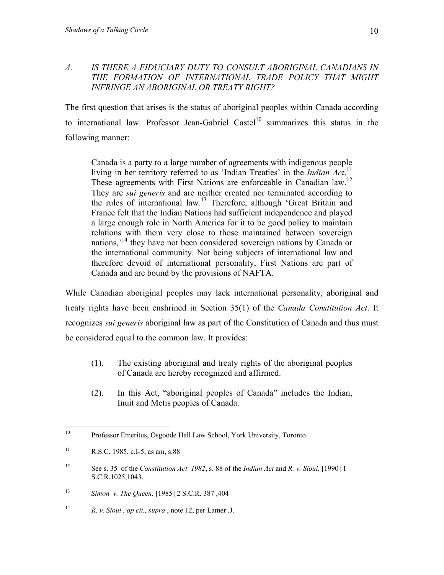## *A. IS THERE A FIDUCIARY DUTY TO CONSULT ABORIGINAL CANADIANS IN THE FORMATION OF INTERNATIONAL TRADE POLICY THAT MIGHT INFRINGE AN ABORIGINAL OR TREATY RIGHT?*

The first question that arises is the status of aboriginal peoples within Canada according to international law. Professor Jean-Gabriel Castel<sup>10</sup> summarizes this status in the following manner:

Canada is a party to a large number of agreements with indigenous people living in her territory referred to as 'Indian Treaties' in the *Indian Act*. [11](#page-9-1) These agreements with First Nations are enforceable in Canadian law.<sup>12</sup> They are *sui generis* and are neither created nor terminated according to the rules of international law.<sup>13</sup> Therefore, although 'Great Britain and France felt that the Indian Nations had sufficient independence and played a large enough role in North America for it to be good policy to maintain relations with them very close to those maintained between sovereign nations,<sup>'14</sup> they have not been considered sovereign nations by Canada or the international community. Not being subjects of international law and therefore devoid of international personality, First Nations are part of Canada and are bound by the provisions of NAFTA.

While Canadian aboriginal peoples may lack international personality, aboriginal and treaty rights have been enshrined in Section 35(1) of the *Canada Constitution Act*. It recognizes *sui generis* aboriginal law as part of the Constitution of Canada and thus must be considered equal to the common law. It provides:

- (1). The existing aboriginal and treaty rights of the aboriginal peoples of Canada are hereby recognized and affirmed.
- (2). In this Act, "aboriginal peoples of Canada" includes the Indian, Inuit and Metis peoples of Canada.

<span id="page-9-0"></span> $10\,$ Professor Emeritus, Osgoode Hall Law School, York University, Toronto

<span id="page-9-1"></span><sup>&</sup>lt;sup>11</sup> R.S.C. 1985, c.I-5, as am, s.88

<span id="page-9-2"></span><sup>12</sup> See s. 35 of the *Constitution Act 1982*, s. 88 of the *Indian Act* and *R. v. Sioui*, [1990] 1 S.C.R.1025,1043.

<span id="page-9-3"></span><sup>13</sup> *Simon v. The Queen,* [1985] 2 S.C.R. 387 ,404

<span id="page-9-4"></span><sup>14</sup> *R. v. Sioui , op cit., supra* , note 12, per Lamer .J.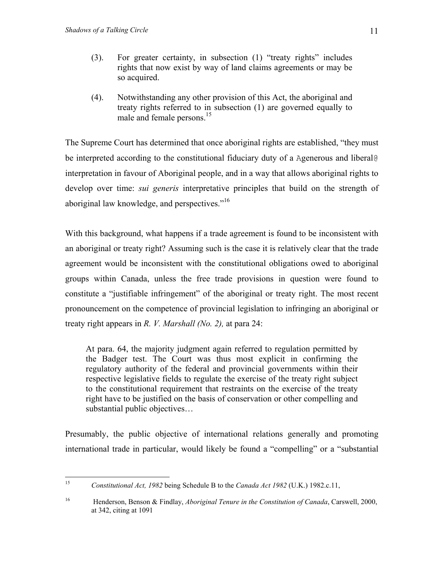- (3). For greater certainty, in subsection (1) "treaty rights" includes rights that now exist by way of land claims agreements or may be so acquired.
- (4). Notwithstanding any other provision of this Act, the aboriginal and treaty rights referred to in subsection (1) are governed equally to male and female persons.<sup>[15](#page-10-0)</sup>

The Supreme Court has determined that once aboriginal rights are established, "they must be interpreted according to the constitutional fiduciary duty of a Agenerous and liberal@ interpretation in favour of Aboriginal people, and in a way that allows aboriginal rights to develop over time: *sui generis* interpretative principles that build on the strength of aboriginal law knowledge, and perspectives."<sup>[16](#page-10-1)</sup>

With this background, what happens if a trade agreement is found to be inconsistent with an aboriginal or treaty right? Assuming such is the case it is relatively clear that the trade agreement would be inconsistent with the constitutional obligations owed to aboriginal groups within Canada, unless the free trade provisions in question were found to constitute a "justifiable infringement" of the aboriginal or treaty right. The most recent pronouncement on the competence of provincial legislation to infringing an aboriginal or treaty right appears in *R. V. Marshall (No. 2),* at para 24:

At para. 64, the majority judgment again referred to regulation permitted by the Badger test. The Court was thus most explicit in confirming the regulatory authority of the federal and provincial governments within their respective legislative fields to regulate the exercise of the treaty right subject to the constitutional requirement that restraints on the exercise of the treaty right have to be justified on the basis of conservation or other compelling and substantial public objectives…

Presumably, the public objective of international relations generally and promoting international trade in particular, would likely be found a "compelling" or a "substantial

<span id="page-10-0"></span> $15<sup>15</sup>$ 15 *Constitutional Act, 1982* being Schedule B to the *Canada Act 1982* (U.K.) 1982.c.11,

<span id="page-10-1"></span><sup>16</sup> Henderson, Benson & Findlay, *Aboriginal Tenure in the Constitution of Canada*, Carswell, 2000, at 342, citing at 1091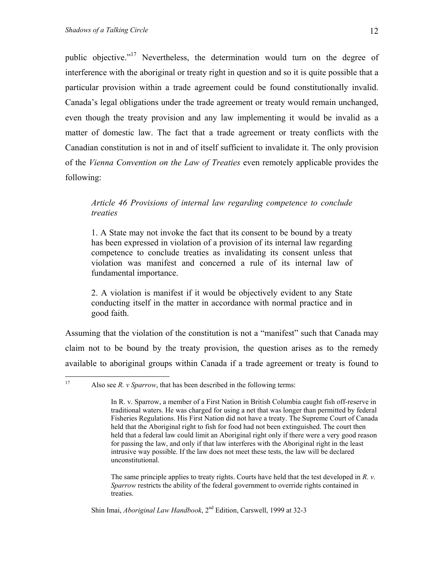$17\,$ 

public objective.["17](#page-11-0) Nevertheless, the determination would turn on the degree of interference with the aboriginal or treaty right in question and so it is quite possible that a particular provision within a trade agreement could be found constitutionally invalid. Canada's legal obligations under the trade agreement or treaty would remain unchanged, even though the treaty provision and any law implementing it would be invalid as a matter of domestic law. The fact that a trade agreement or treaty conflicts with the Canadian constitution is not in and of itself sufficient to invalidate it. The only provision of the *Vienna Convention on the Law of Treaties* even remotely applicable provides the following:

#### *Article 46 Provisions of internal law regarding competence to conclude treaties*

1. A State may not invoke the fact that its consent to be bound by a treaty has been expressed in violation of a provision of its internal law regarding competence to conclude treaties as invalidating its consent unless that violation was manifest and concerned a rule of its internal law of fundamental importance.

2. A violation is manifest if it would be objectively evident to any State conducting itself in the matter in accordance with normal practice and in good faith.

Assuming that the violation of the constitution is not a "manifest" such that Canada may claim not to be bound by the treaty provision, the question arises as to the remedy available to aboriginal groups within Canada if a trade agreement or treaty is found to

The same principle applies to treaty rights. Courts have held that the test developed in *R. v. Sparrow* restricts the ability of the federal government to override rights contained in treaties.

Shin Imai, *Aboriginal Law Handbook*, 2<sup>nd</sup> Edition, Carswell, 1999 at 32-3

<span id="page-11-0"></span>Also see *R. v Sparrow*, that has been described in the following terms:

In R. v. Sparrow, a member of a First Nation in British Columbia caught fish off-reserve in traditional waters. He was charged for using a net that was longer than permitted by federal Fisheries Regulations. His First Nation did not have a treaty. The Supreme Court of Canada held that the Aboriginal right to fish for food had not been extinguished. The court then held that a federal law could limit an Aboriginal right only if there were a very good reason for passing the law, and only if that law interferes with the Aboriginal right in the least intrusive way possible. If the law does not meet these tests, the law will be declared unconstitutional.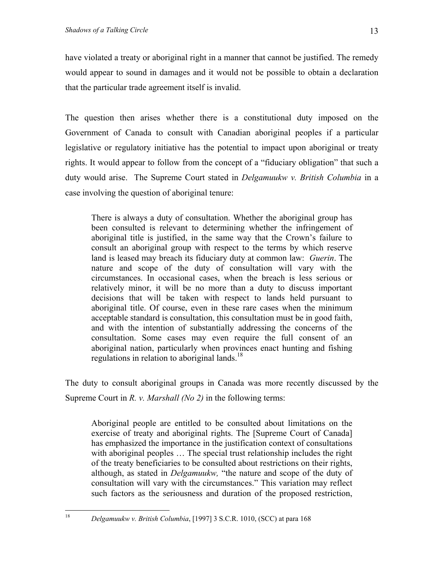have violated a treaty or aboriginal right in a manner that cannot be justified. The remedy would appear to sound in damages and it would not be possible to obtain a declaration that the particular trade agreement itself is invalid.

The question then arises whether there is a constitutional duty imposed on the Government of Canada to consult with Canadian aboriginal peoples if a particular legislative or regulatory initiative has the potential to impact upon aboriginal or treaty rights. It would appear to follow from the concept of a "fiduciary obligation" that such a duty would arise. The Supreme Court stated in *Delgamuukw v. British Columbia* in a case involving the question of aboriginal tenure:

There is always a duty of consultation. Whether the aboriginal group has been consulted is relevant to determining whether the infringement of aboriginal title is justified, in the same way that the Crown's failure to consult an aboriginal group with respect to the terms by which reserve land is leased may breach its fiduciary duty at common law: *Guerin*. The nature and scope of the duty of consultation will vary with the circumstances. In occasional cases, when the breach is less serious or relatively minor, it will be no more than a duty to discuss important decisions that will be taken with respect to lands held pursuant to aboriginal title. Of course, even in these rare cases when the minimum acceptable standard is consultation, this consultation must be in good faith, and with the intention of substantially addressing the concerns of the consultation. Some cases may even require the full consent of an aboriginal nation, particularly when provinces enact hunting and fishing regulations in relation to aboriginal lands.<sup>[18](#page-12-0)</sup>

The duty to consult aboriginal groups in Canada was more recently discussed by the Supreme Court in *R. v. Marshall (No 2)* in the following terms:

Aboriginal people are entitled to be consulted about limitations on the exercise of treaty and aboriginal rights. The [Supreme Court of Canada] has emphasized the importance in the justification context of consultations with aboriginal peoples ... The special trust relationship includes the right of the treaty beneficiaries to be consulted about restrictions on their rights, although, as stated in *Delgamuukw,* "the nature and scope of the duty of consultation will vary with the circumstances." This variation may reflect such factors as the seriousness and duration of the proposed restriction,

 $18$ 

<span id="page-12-0"></span><sup>18</sup> *Delgamuukw v. British Columbia*, [1997] 3 S.C.R. 1010, (SCC) at para 168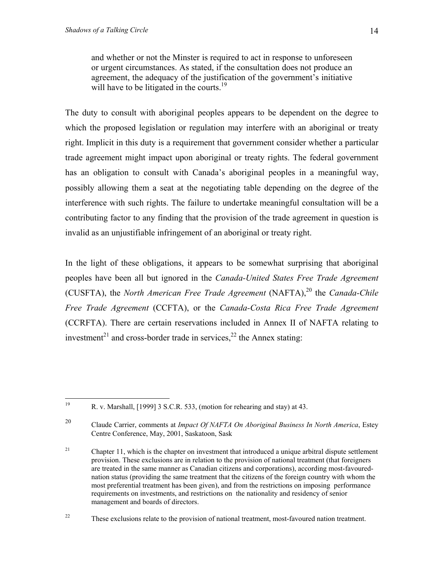and whether or not the Minster is required to act in response to unforeseen or urgent circumstances. As stated, if the consultation does not produce an agreement, the adequacy of the justification of the government's initiative will have to be litigated in the courts.<sup>19</sup>

The duty to consult with aboriginal peoples appears to be dependent on the degree to which the proposed legislation or regulation may interfere with an aboriginal or treaty right. Implicit in this duty is a requirement that government consider whether a particular trade agreement might impact upon aboriginal or treaty rights. The federal government has an obligation to consult with Canada's aboriginal peoples in a meaningful way, possibly allowing them a seat at the negotiating table depending on the degree of the interference with such rights. The failure to undertake meaningful consultation will be a contributing factor to any finding that the provision of the trade agreement in question is invalid as an unjustifiable infringement of an aboriginal or treaty right.

In the light of these obligations, it appears to be somewhat surprising that aboriginal peoples have been all but ignored in the *Canada-United States Free Trade Agreement* (CUSFTA), the *North American Free Trade Agreement* (NAFTA),<sup>20</sup> the *Canada-Chile Free Trade Agreement* (CCFTA), or the *Canada-Costa Rica Free Trade Agreement* (CCRFTA). There are certain reservations included in Annex II of NAFTA relating to investment<sup>21</sup> and cross-border trade in services,<sup>22</sup> the Annex stating:

<span id="page-13-0"></span><sup>19</sup> 19 R. v. Marshall, [1999] 3 S.C.R. 533, (motion for rehearing and stay) at 43.

<span id="page-13-1"></span><sup>20</sup> Claude Carrier, comments at *Impact Of NAFTA On Aboriginal Business In North America*, Estey Centre Conference, May, 2001, Saskatoon, Sask

<span id="page-13-2"></span><sup>&</sup>lt;sup>21</sup> Chapter 11, which is the chapter on investment that introduced a unique arbitral dispute settlement provision. These exclusions are in relation to the provision of national treatment (that foreigners are treated in the same manner as Canadian citizens and corporations), according most-favourednation status (providing the same treatment that the citizens of the foreign country with whom the most preferential treatment has been given), and from the restrictions on imposing performance requirements on investments, and restrictions on the nationality and residency of senior management and boards of directors.

<span id="page-13-3"></span><sup>&</sup>lt;sup>22</sup> These exclusions relate to the provision of national treatment, most-favoured nation treatment.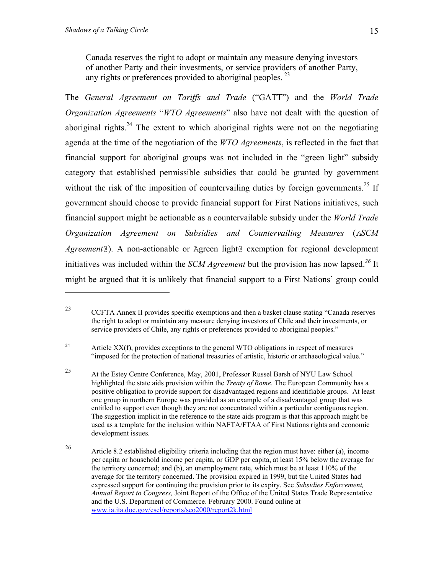$\overline{a}$ 

Canada reserves the right to adopt or maintain any measure denying investors of another Party and their investments, or service providers of another Party, any rights or preferences provided to aboriginal peoples.<sup>23</sup>

The *General Agreement on Tariffs and Trade* ("GATT") and the *World Trade Organization Agreements* "*WTO Agreements*" also have not dealt with the question of aboriginal rights.<sup>24</sup> The extent to which aboriginal rights were not on the negotiating agenda at the time of the negotiation of the *WTO Agreements*, is reflected in the fact that financial support for aboriginal groups was not included in the "green light" subsidy category that established permissible subsidies that could be granted by government without the risk of the imposition of countervailing duties by foreign governments.<sup>25</sup> If government should choose to provide financial support for First Nations initiatives, such financial support might be actionable as a countervailable subsidy under the *World Trade Organization Agreement on Subsidies and Countervailing Measures* (*ASCM Agreement*@). A non-actionable or Agreen light@ exemption for regional development initiatives was included within the *SCM Agreement* but the provision has now lapsed.*[26](#page-14-3)* It might be argued that it is unlikely that financial support to a First Nations' group could

<span id="page-14-1"></span><sup>24</sup> Article XX(f), provides exceptions to the general WTO obligations in respect of measures "imposed for the protection of national treasuries of artistic, historic or archaeological value."

<span id="page-14-0"></span><sup>23</sup> CCFTA Annex II provides specific exemptions and then a basket clause stating "Canada reserves the right to adopt or maintain any measure denying investors of Chile and their investments, or service providers of Chile, any rights or preferences provided to aboriginal peoples."

<span id="page-14-2"></span><sup>25</sup> At the Estey Centre Conference, May, 2001, Professor Russel Barsh of NYU Law School highlighted the state aids provision within the *Treaty of Rome*. The European Community has a positive obligation to provide support for disadvantaged regions and identifiable groups. At least one group in northern Europe was provided as an example of a disadvantaged group that was entitled to support even though they are not concentrated within a particular contiguous region. The suggestion implicit in the reference to the state aids program is that this approach might be used as a template for the inclusion within NAFTA/FTAA of First Nations rights and economic development issues.

<span id="page-14-3"></span><sup>&</sup>lt;sup>26</sup> Article 8.2 established eligibility criteria including that the region must have: either (a), income per capita or household income per capita, or GDP per capita, at least 15% below the average for the territory concerned; and (b), an unemployment rate, which must be at least 110% of the average for the territory concerned. The provision expired in 1999, but the United States had expressed support for continuing the provision prior to its expiry. See *Subsidies Enforcement, Annual Report to Congress,* Joint Report of the Office of the United States Trade Representative and the U.S. Department of Commerce. February 2000. Found online at www.ia.ita.doc.gov/esel/reports/seo2000/report2k.html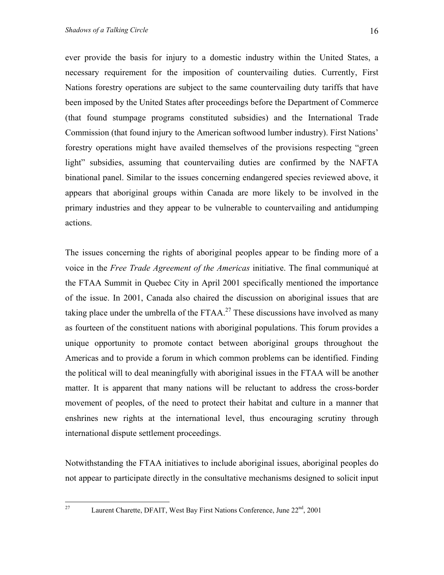ever provide the basis for injury to a domestic industry within the United States, a necessary requirement for the imposition of countervailing duties. Currently, First Nations forestry operations are subject to the same countervailing duty tariffs that have been imposed by the United States after proceedings before the Department of Commerce (that found stumpage programs constituted subsidies) and the International Trade Commission (that found injury to the American softwood lumber industry). First Nations' forestry operations might have availed themselves of the provisions respecting "green light" subsidies, assuming that countervailing duties are confirmed by the NAFTA binational panel. Similar to the issues concerning endangered species reviewed above, it appears that aboriginal groups within Canada are more likely to be involved in the primary industries and they appear to be vulnerable to countervailing and antidumping actions.

The issues concerning the rights of aboriginal peoples appear to be finding more of a voice in the *Free Trade Agreement of the Americas* initiative. The final communiqué at the FTAA Summit in Quebec City in April 2001 specifically mentioned the importance of the issue. In 2001, Canada also chaired the discussion on aboriginal issues that are taking place under the umbrella of the FTAA.<sup>27</sup> These discussions have involved as many as fourteen of the constituent nations with aboriginal populations. This forum provides a unique opportunity to promote contact between aboriginal groups throughout the Americas and to provide a forum in which common problems can be identified. Finding the political will to deal meaningfully with aboriginal issues in the FTAA will be another matter. It is apparent that many nations will be reluctant to address the cross-border movement of peoples, of the need to protect their habitat and culture in a manner that enshrines new rights at the international level, thus encouraging scrutiny through international dispute settlement proceedings.

Notwithstanding the FTAA initiatives to include aboriginal issues, aboriginal peoples do not appear to participate directly in the consultative mechanisms designed to solicit input

<span id="page-15-0"></span>27

Laurent Charette, DFAIT, West Bay First Nations Conference, June 22<sup>nd</sup>, 2001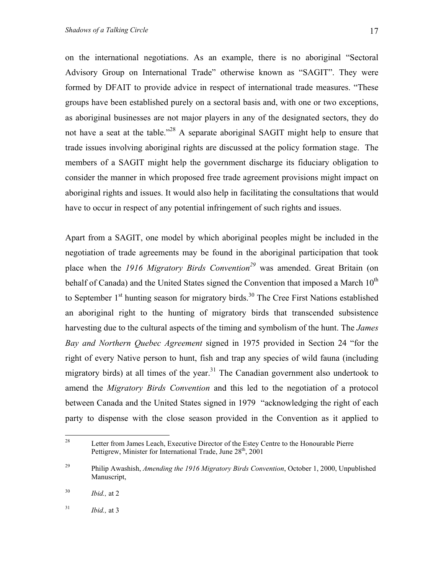on the international negotiations. As an example, there is no aboriginal "Sectoral Advisory Group on International Trade" otherwise known as "SAGIT". They were formed by DFAIT to provide advice in respect of international trade measures. "These groups have been established purely on a sectoral basis and, with one or two exceptions, as aboriginal businesses are not major players in any of the designated sectors, they do not have a seat at the table."<sup>28</sup> A separate aboriginal SAGIT might help to ensure that trade issues involving aboriginal rights are discussed at the policy formation stage. The members of a SAGIT might help the government discharge its fiduciary obligation to consider the manner in which proposed free trade agreement provisions might impact on aboriginal rights and issues. It would also help in facilitating the consultations that would have to occur in respect of any potential infringement of such rights and issues.

Apart from a SAGIT, one model by which aboriginal peoples might be included in the negotiation of trade agreements may be found in the aboriginal participation that took place when the *1916 Migratory Birds Convention*<sup>29</sup> was amended. Great Britain (on behalf of Canada) and the United States signed the Convention that imposed a March  $10<sup>th</sup>$ to September  $1<sup>st</sup>$  hunting season for migratory birds.<sup>30</sup> The Cree First Nations established an aboriginal right to the hunting of migratory birds that transcended subsistence harvesting due to the cultural aspects of the timing and symbolism of the hunt. The *James Bay and Northern Quebec Agreement* signed in 1975 provided in Section 24 "for the right of every Native person to hunt, fish and trap any species of wild fauna (including migratory birds) at all times of the year.<sup>31</sup> The Canadian government also undertook to amend the *Migratory Birds Convention* and this led to the negotiation of a protocol between Canada and the United States signed in 1979 "acknowledging the right of each party to dispense with the close season provided in the Convention as it applied to

<span id="page-16-0"></span><sup>28</sup> Letter from James Leach, Executive Director of the Estey Centre to the Honourable Pierre Pettigrew, Minister for International Trade, June 28<sup>th</sup>, 2001

<span id="page-16-1"></span><sup>29</sup> Philip Awashish, *Amending the 1916 Migratory Birds Convention*, October 1, 2000, Unpublished Manuscript,

<span id="page-16-2"></span><sup>30</sup> *Ibid.,* at 2

<span id="page-16-3"></span><sup>31</sup> *Ibid.,* at 3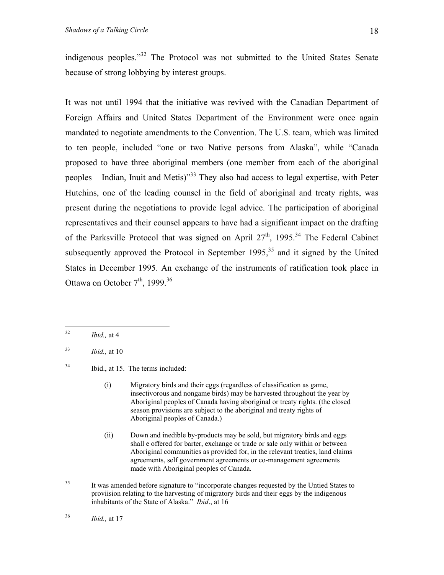indigenous peoples."[32](#page-17-0) The Protocol was not submitted to the United States Senate because of strong lobbying by interest groups.

It was not until 1994 that the initiative was revived with the Canadian Department of Foreign Affairs and United States Department of the Environment were once again mandated to negotiate amendments to the Convention. The U.S. team, which was limited to ten people, included "one or two Native persons from Alaska", while "Canada proposed to have three aboriginal members (one member from each of the aboriginal peoples – Indian, Inuit and Metis)<sup> $33$ </sup> They also had access to legal expertise, with Peter Hutchins, one of the leading counsel in the field of aboriginal and treaty rights, was present during the negotiations to provide legal advice. The participation of aboriginal representatives and their counsel appears to have had a significant impact on the drafting of the Parksville Protocol that was signed on April  $27<sup>th</sup>$ , 1995.<sup>34</sup> The Federal Cabinet subsequently approved the Protocol in September 1995,  $35$  and it signed by the United States in December 1995. An exchange of the instruments of ratification took place in Ottawa on October  $7<sup>th</sup>$ , 1999.<sup>36</sup>

<span id="page-17-2"></span><sup>34</sup> Ibid., at 15. The terms included:

- (i) Migratory birds and their eggs (regardless of classification as game, insectivorous and nongame birds) may be harvested throughout the year by Aboriginal peoples of Canada having aboriginal or treaty rights. (the closed season provisions are subject to the aboriginal and treaty rights of Aboriginal peoples of Canada.)
- (ii) Down and inedible by-products may be sold, but migratory birds and eggs shall e offered for barter, exchange or trade or sale only within or between Aboriginal communities as provided for, in the relevant treaties, land claims agreements, self government agreements or co-management agreements made with Aboriginal peoples of Canada.
- <span id="page-17-3"></span><sup>35</sup> It was amended before signature to "incorporate changes requested by the Untied States to proviision relating to the harvesting of migratory birds and their eggs by the indigenous inhabitants of the State of Alaska." *Ibid*., at 16

<span id="page-17-0"></span> $32$ *Ibid.*, at 4

<span id="page-17-1"></span><sup>33</sup> *Ibid.,* at 10

<span id="page-17-4"></span><sup>36</sup> *Ibid.,* at 17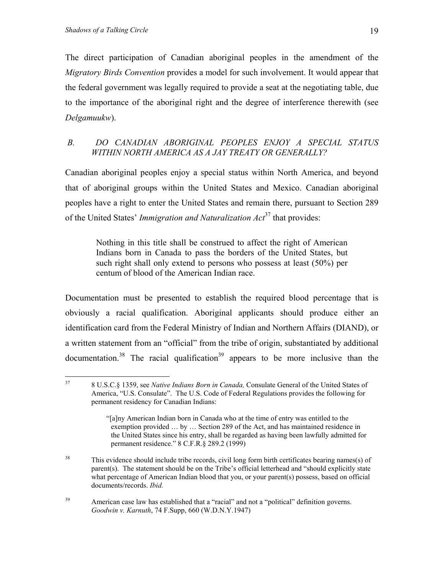The direct participation of Canadian aboriginal peoples in the amendment of the *Migratory Birds Convention* provides a model for such involvement. It would appear that the federal government was legally required to provide a seat at the negotiating table, due to the importance of the aboriginal right and the degree of interference therewith (see *Delgamuukw*).

## *B. DO CANADIAN ABORIGINAL PEOPLES ENJOY A SPECIAL STATUS WITHIN NORTH AMERICA AS A JAY TREATY OR GENERALLY?*

Canadian aboriginal peoples enjoy a special status within North America, and beyond that of aboriginal groups within the United States and Mexico. Canadian aboriginal peoples have a right to enter the United States and remain there, pursuant to Section 289 of the United States' *Immigration and Naturalization Act*[37](#page-18-0) that provides:

Nothing in this title shall be construed to affect the right of American Indians born in Canada to pass the borders of the United States, but such right shall only extend to persons who possess at least (50%) per centum of blood of the American Indian race.

Documentation must be presented to establish the required blood percentage that is obviously a racial qualification. Aboriginal applicants should produce either an identification card from the Federal Ministry of Indian and Northern Affairs (DIAND), or a written statement from an "official" from the tribe of origin, substantiated by additional documentation.<sup>38</sup> The racial qualification<sup>39</sup> appears to be more inclusive than the

<span id="page-18-0"></span><sup>37</sup> 37 8 U.S.C.§ 1359, see *Native Indians Born in Canada,* Consulate General of the United States of America, "U.S. Consulate". The U.S. Code of Federal Regulations provides the following for permanent residency for Canadian Indians:

<sup>&</sup>quot;[a]ny American Indian born in Canada who at the time of entry was entitled to the exemption provided … by … Section 289 of the Act, and has maintained residence in the United States since his entry, shall be regarded as having been lawfully admitted for permanent residence." 8 C.F.R.§ 289.2 (1999)

<span id="page-18-1"></span><sup>&</sup>lt;sup>38</sup> This evidence should include tribe records, civil long form birth certificates bearing names(s) of parent(s). The statement should be on the Tribe's official letterhead and "should explicitly state what percentage of American Indian blood that you, or your parent(s) possess, based on official documents/records. *Ibid.* 

<span id="page-18-2"></span><sup>&</sup>lt;sup>39</sup> American case law has established that a "racial" and not a "political" definition governs. *Goodwin v. Karnuth*, 74 F.Supp, 660 (W.D.N.Y.1947)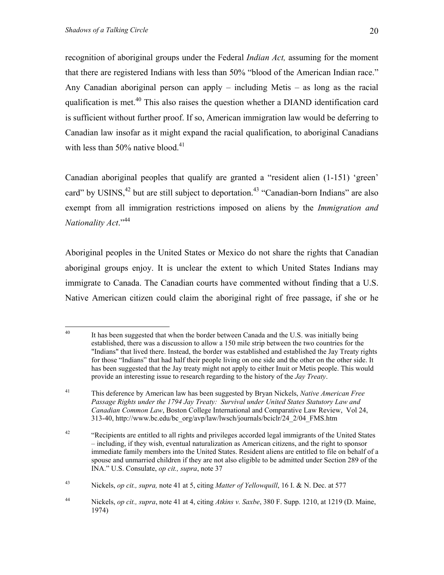recognition of aboriginal groups under the Federal *Indian Act,* assuming for the moment that there are registered Indians with less than 50% "blood of the American Indian race." Any Canadian aboriginal person can apply – including Metis – as long as the racial qualification is met.<sup>40</sup> This also raises the question whether a DIAND identification card is sufficient without further proof. If so, American immigration law would be deferring to Canadian law insofar as it might expand the racial qualification, to aboriginal Canadians with less than  $50\%$  native blood.<sup>[41](#page-19-1)</sup>

Canadian aboriginal peoples that qualify are granted a "resident alien (1-151) 'green' card" by USINS,  $42$  but are still subject to deportation.  $43$  "Canadian-born Indians" are also exempt from all immigration restrictions imposed on aliens by the *Immigration and Nationality Act*."[44](#page-19-4)

Aboriginal peoples in the United States or Mexico do not share the rights that Canadian aboriginal groups enjoy. It is unclear the extent to which United States Indians may immigrate to Canada. The Canadian courts have commented without finding that a U.S. Native American citizen could claim the aboriginal right of free passage, if she or he

<span id="page-19-0"></span> $40\,$ It has been suggested that when the border between Canada and the U.S. was initially being established, there was a discussion to allow a 150 mile strip between the two countries for the "Indians" that lived there. Instead, the border was established and established the Jay Treaty rights for those "Indians" that had half their people living on one side and the other on the other side. It has been suggested that the Jay treaty might not apply to either Inuit or Metis people. This would provide an interesting issue to research regarding to the history of the *Jay Treaty*.

<span id="page-19-1"></span><sup>41</sup> This deference by American law has been suggested by Bryan Nickels, *Native American Free Passage Rights under the 1794 Jay Treaty: Survival under United States Statutory Law and Canadian Common Law*, Boston College International and Comparative Law Review, Vol 24, 313-40, http://www.bc.edu/bc\_org/avp/law/lwsch/journals/bciclr/24\_2/04\_FMS.htm

<span id="page-19-2"></span><sup>&</sup>lt;sup>42</sup> "Recipients are entitled to all rights and privileges accorded legal immigrants of the United States – including, if they wish, eventual naturalization as American citizens, and the right to sponsor immediate family members into the United States. Resident aliens are entitled to file on behalf of a spouse and unmarried children if they are not also eligible to be admitted under Section 289 of the INA." U.S. Consulate, *op cit., supra*, note 37

<span id="page-19-3"></span><sup>43</sup> Nickels, *op cit., supra,* note 41 at 5, citing *Matter of Yellowquill*, 16 I. & N. Dec. at 577

<span id="page-19-4"></span><sup>44</sup> Nickels, *op cit., supra*, note 41 at 4, citing *Atkins v. Saxbe*, 380 F. Supp. 1210, at 1219 (D. Maine, 1974)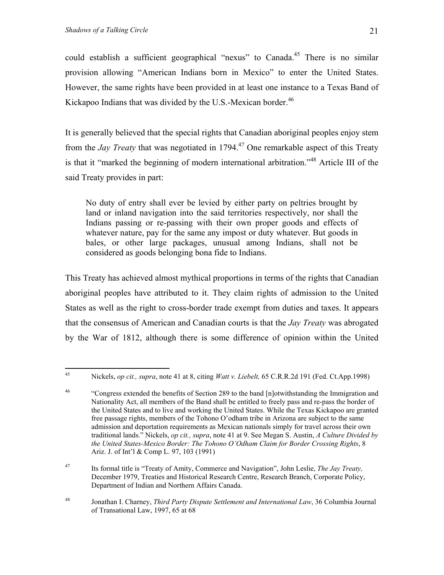45

could establish a sufficient geographical "nexus" to Canada.<sup>45</sup> There is no similar provision allowing "American Indians born in Mexico" to enter the United States. However, the same rights have been provided in at least one instance to a Texas Band of Kickapoo Indians that was divided by the U.S.-Mexican border.<sup>46</sup>

It is generally believed that the special rights that Canadian aboriginal peoples enjoy stem from the *Jay Treaty* that was negotiated in 1794.<sup>47</sup> One remarkable aspect of this Treaty is that it "marked the beginning of modern international arbitration."[48](#page-20-3) Article III of the said Treaty provides in part:

No duty of entry shall ever be levied by either party on peltries brought by land or inland navigation into the said territories respectively, nor shall the Indians passing or re-passing with their own proper goods and effects of whatever nature, pay for the same any impost or duty whatever. But goods in bales, or other large packages, unusual among Indians, shall not be considered as goods belonging bona fide to Indians.

This Treaty has achieved almost mythical proportions in terms of the rights that Canadian aboriginal peoples have attributed to it. They claim rights of admission to the United States as well as the right to cross-border trade exempt from duties and taxes. It appears that the consensus of American and Canadian courts is that the *Jay Treaty* was abrogated by the War of 1812, although there is some difference of opinion within the United

<span id="page-20-2"></span>47 Its formal title is "Treaty of Amity, Commerce and Navigation", John Leslie, *The Jay Treaty,* December 1979, Treaties and Historical Research Centre, Research Branch, Corporate Policy, Department of Indian and Northern Affairs Canada.

<span id="page-20-0"></span><sup>45</sup> Nickels, *op cit., supra*, note 41 at 8, citing *Watt v. Liebelt,* 65 C.R.R.2d 191 (Fed. Ct.App.1998)

<span id="page-20-1"></span><sup>&</sup>lt;sup>46</sup> "Congress extended the benefits of Section 289 to the band [n]otwithstanding the Immigration and Nationality Act, all members of the Band shall be entitled to freely pass and re-pass the border of the United States and to live and working the United States. While the Texas Kickapoo are granted free passage rights, members of the Tohono O'odham tribe in Arizona are subject to the same admission and deportation requirements as Mexican nationals simply for travel across their own traditional lands." Nickels, *op cit., supra*, note 41 at 9. See Megan S. Austin, *A Culture Divided by the United States-Mexico Border: The Tohono O'Odham Claim for Border Crossing Rights*, 8 Ariz. J. of Int'l & Comp L. 97, 103 (1991)

<span id="page-20-3"></span><sup>48</sup> Jonathan I. Charney, *Third Party Dispute Settlement and International Law*, 36 Columbia Journal of Transational Law, 1997, 65 at 68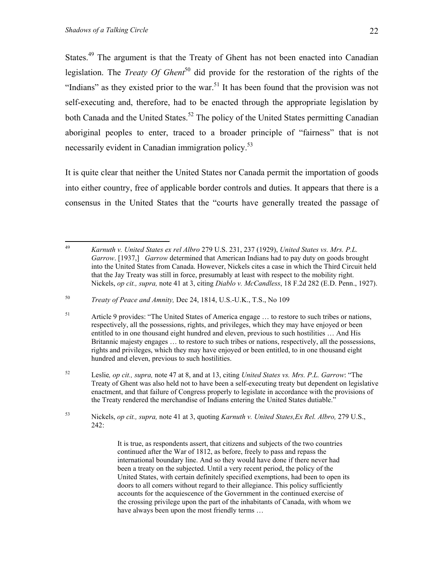States.<sup>49</sup> The argument is that the Treaty of Ghent has not been enacted into Canadian legislation. The *Treaty Of Ghent*<sup>50</sup> did provide for the restoration of the rights of the "Indians" as they existed prior to the war. $51$  It has been found that the provision was not self-executing and, therefore, had to be enacted through the appropriate legislation by both Canada and the United States.<sup>52</sup> The policy of the United States permitting Canadian aboriginal peoples to enter, traced to a broader principle of "fairness" that is not necessarily evident in Canadian immigration policy.<sup>[53](#page-21-4)</sup>

It is quite clear that neither the United States nor Canada permit the importation of goods into either country, free of applicable border controls and duties. It appears that there is a consensus in the United States that the "courts have generally treated the passage of

<span id="page-21-3"></span>52 Leslie*, op cit., supra,* note 47 at 8, and at 13, citing *United States vs. Mrs. P.L. Garrow*: "The Treaty of Ghent was also held not to have been a self-executing treaty but dependent on legislative enactment, and that failure of Congress properly to legislate in accordance with the provisions of the Treaty rendered the merchandise of Indians entering the United States dutiable."

<span id="page-21-4"></span>53 Nickels, *op cit., supra,* note 41 at 3, quoting *Karnuth v. United States,Ex Rel. Albro,* 279 U.S., 242:

> It is true, as respondents assert, that citizens and subjects of the two countries continued after the War of 1812, as before, freely to pass and repass the international boundary line. And so they would have done if there never had been a treaty on the subjected. Until a very recent period, the policy of the United States, with certain definitely specified exemptions, had been to open its doors to all comers without regard to their allegiance. This policy sufficiently accounts for the acquiescence of the Government in the continued exercise of the crossing privilege upon the part of the inhabitants of Canada, with whom we have always been upon the most friendly terms …

<span id="page-21-0"></span><sup>49</sup> 49 *Karnuth v. United States ex rel Albro* 279 U.S. 231, 237 (1929), *United States vs. Mrs. P.L. Garrow*. [1937,] *Garrow* determined that American Indians had to pay duty on goods brought into the United States from Canada. However, Nickels cites a case in which the Third Circuit held that the Jay Treaty was still in force, presumably at least with respect to the mobility right. Nickels, *op cit., supra,* note 41 at 3, citing *Diablo v. McCandless*, 18 F.2d 282 (E.D. Penn., 1927).

<span id="page-21-1"></span><sup>50</sup> *Treaty of Peace and Amnity,* Dec 24, 1814, U.S.-U.K., T.S., No 109

<span id="page-21-2"></span><sup>51</sup> Article 9 provides: "The United States of America engage … to restore to such tribes or nations, respectively, all the possessions, rights, and privileges, which they may have enjoyed or been entitled to in one thousand eight hundred and eleven, previous to such hostilities … And His Britannic majesty engages … to restore to such tribes or nations, respectively, all the possessions, rights and privileges, which they may have enjoyed or been entitled, to in one thousand eight hundred and eleven, previous to such hostilities.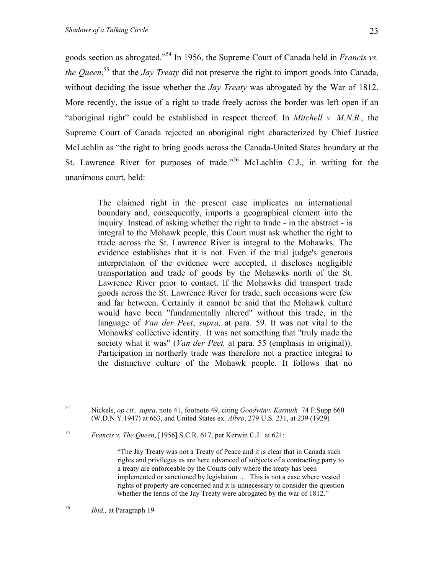goods section as abrogated."[54](#page-22-0) In 1956, the Supreme Court of Canada held in *Francis vs. the Queen*, [55](#page-22-1) that the *Jay Treaty* did not preserve the right to import goods into Canada, without deciding the issue whether the *Jay Treaty* was abrogated by the War of 1812. More recently, the issue of a right to trade freely across the border was left open if an "aboriginal right" could be established in respect thereof. In *Mitchell v. M.N.R.,* the Supreme Court of Canada rejected an aboriginal right characterized by Chief Justice McLachlin as "the right to bring goods across the Canada-United States boundary at the St. Lawrence River for purposes of trade."[56](#page-22-2) McLachlin C.J., in writing for the unanimous court, held:

> The claimed right in the present case implicates an international boundary and, consequently, imports a geographical element into the inquiry. Instead of asking whether the right to trade - in the abstract - is integral to the Mohawk people, this Court must ask whether the right to trade across the St. Lawrence River is integral to the Mohawks. The evidence establishes that it is not. Even if the trial judge's generous interpretation of the evidence were accepted, it discloses negligible transportation and trade of goods by the Mohawks north of the St. Lawrence River prior to contact. If the Mohawks did transport trade goods across the St. Lawrence River for trade, such occasions were few and far between. Certainly it cannot be said that the Mohawk culture would have been "fundamentally altered" without this trade, in the language of *Van der Peet*, *supra,* at para. 59. It was not vital to the Mohawks' collective identity. It was not something that "truly made the society what it was" (*Van der Peet,* at para. 55 (emphasis in original)). Participation in northerly trade was therefore not a practice integral to the distinctive culture of the Mohawk people. It follows that no

<span id="page-22-2"></span>56 *Ibid.,* at Paragraph 19

<span id="page-22-0"></span><sup>54</sup> 54 Nickels, *op cit., supra,* note 41, footnote 49, citing *Goodwinv. Karnuth* 74 F.Supp 660 (W.D.N.Y.1947) at 663, and United States ex. *Albro*, 279 U.S. 231, at 239 (1929)

<span id="page-22-1"></span><sup>55</sup> *Francis v. The Queen*, [1956] S.C.R. 617, per Kerwin C.J. at 621:

<sup>&</sup>quot;The Jay Treaty was not a Treaty of Peace and it is clear that in Canada such rights and privileges as are here advanced of subjects of a contracting party to a treaty are enforceable by the Courts only where the treaty has been implemented or sanctioned by legislation … This is not a case where vested rights of property are concerned and it is unnecessary to consider the question whether the terms of the Jay Treaty were abrogated by the war of 1812."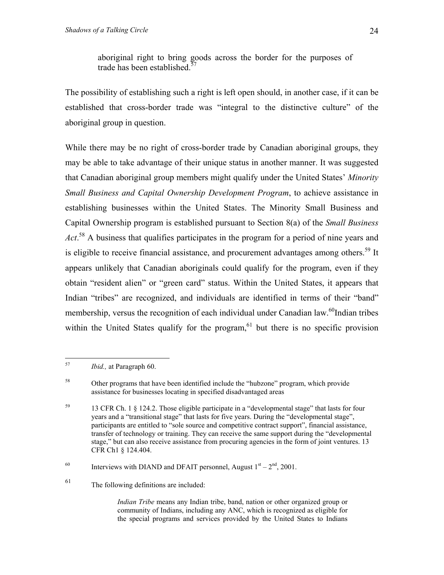aboriginal right to bring goods across the border for the purposes of trade has been established. $57$ 

<span id="page-23-4"></span>The possibility of establishing such a right is left open should, in another case, if it can be established that cross-border trade was "integral to the distinctive culture" of the aboriginal group in question.

While there may be no right of cross-border trade by Canadian aboriginal groups, they may be able to take advantage of their unique status in another manner. It was suggested that Canadian aboriginal group members might qualify under the United States' *Minority Small Business and Capital Ownership Development Program*, to achieve assistance in establishing businesses within the United States. The Minority Small Business and Capital Ownership program is established pursuant to Section 8(a) of the *Small Business Act*. [58](#page-23-1) A business that qualifies participates in the program for a period of nine years and is eligible to receive financial assistance, and procurement advantages among others.<sup>59</sup> It appears unlikely that Canadian aboriginals could qualify for the program, even if they obtain "resident alien" or "green card" status. Within the United States, it appears that Indian "tribes" are recognized, and individuals are identified in terms of their "band" membership, versus the recognition of each individual under Canadian law.<sup>60</sup>Indian tribes within the United States qualify for the program,  $61$  but there is no specific provision

*Indian Tribe* means any Indian tribe, band, nation or other organized group or community of Indians, including any ANC, which is recognized as eligible for the special programs and services provided by the United States to Indians

<span id="page-23-0"></span><sup>57</sup> *Ibid.*, at Paragraph 60.

<span id="page-23-1"></span><sup>&</sup>lt;sup>58</sup> Other programs that have been identified include the "hubzone" program, which provide assistance for businesses locating in specified disadvantaged areas

<span id="page-23-2"></span><sup>59 13</sup> CFR Ch. 1 § 124.2. Those eligible participate in a "developmental stage" that lasts for four years and a "transitional stage" that lasts for five years. During the "developmental stage", participants are entitled to "sole source and competitive contract support", financial assistance, transfer of technology or training. They can receive the same support during the "developmental stage," but can also receive assistance from procuring agencies in the form of joint ventures. 13 CFR Ch1 § 124.404.

<span id="page-23-3"></span><sup>&</sup>lt;sup>60</sup> Interviews with DIAND and DFAIT personnel, August  $1<sup>st</sup> - 2<sup>nd</sup>$ , 2001.

<sup>61</sup> The following definitions are included: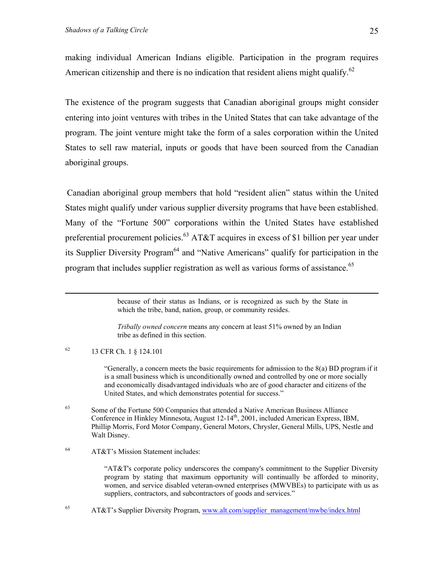making individual American Indians eligible. Participation in the program requires American citizenship and there is no indication that resident aliens might qualify.<sup>62</sup>

The existence of the program suggests that Canadian aboriginal groups might consider entering into joint ventures with tribes in the United States that can take advantage of the program. The joint venture might take the form of a sales corporation within the United States to sell raw material, inputs or goods that have been sourced from the Canadian aboriginal groups.

Canadian aboriginal group members that hold "resident alien" status within the United States might qualify under various supplier diversity programs that have been established. Many of the "Fortune 500" corporations within the United States have established preferential procurement policies.<sup>63</sup> AT&T acquires in excess of \$1 billion per year under its Supplier Diversity Program<sup>64</sup> and "Native Americans" qualify for participation in the program that includes supplier registration as well as various forms of assistance.<sup>65</sup>

*Tribally owned concern* means any concern at least 51% owned by an Indian tribe as defined in this section.

<span id="page-24-0"></span>62 13 CFR Ch. 1 § 124.101

"Generally, a concern meets the basic requirements for admission to the  $8(a)$  BD program if it is a small business which is unconditionally owned and controlled by one or more socially and economically disadvantaged individuals who are of good character and citizens of the United States, and which demonstrates potential for success."

- <span id="page-24-1"></span><sup>63</sup> Some of the Fortune 500 Companies that attended a Native American Business Alliance Conference in Hinkley Minnesota, August 12-14<sup>th</sup>, 2001, included American Express, IBM, Phillip Morris, Ford Motor Company, General Motors, Chrysler, General Mills, UPS, Nestle and Walt Disney.
- <span id="page-24-2"></span>64 AT&T's Mission Statement includes:

"AT&T's corporate policy underscores the company's commitment to the Supplier Diversity program by stating that maximum opportunity will continually be afforded to minority, women, and service disabled veteran-owned enterprises (MWVBEs) to participate with us as suppliers, contractors, and subcontractors of goods and services."

<span id="page-24-3"></span>65 65 AT&T's Supplier Diversity Program, [www.alt.com/supplier\\_management/mwbe/index.html](http://www.alt.com/supplier_management/mwbe/index.html)

because of their status as Indians, or is recognized as such by the State in which the tribe, band, nation, group, or community resides.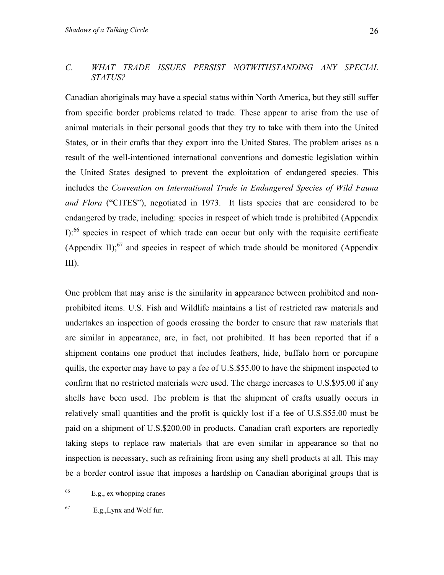#### *C. WHAT TRADE ISSUES PERSIST NOTWITHSTANDING ANY SPECIAL STATUS?*

Canadian aboriginals may have a special status within North America, but they still suffer from specific border problems related to trade. These appear to arise from the use of animal materials in their personal goods that they try to take with them into the United States, or in their crafts that they export into the United States. The problem arises as a result of the well-intentioned international conventions and domestic legislation within the United States designed to prevent the exploitation of endangered species. This includes the *Convention on International Trade in Endangered Species of Wild Fauna and Flora* ("CITES"), negotiated in 1973. It lists species that are considered to be endangered by trade, including: species in respect of which trade is prohibited (Appendix I):<sup>66</sup> species in respect of which trade can occur but only with the requisite certificate (Appendix II);<sup>67</sup> and species in respect of which trade should be monitored (Appendix III).

One problem that may arise is the similarity in appearance between prohibited and nonprohibited items. U.S. Fish and Wildlife maintains a list of restricted raw materials and undertakes an inspection of goods crossing the border to ensure that raw materials that are similar in appearance, are, in fact, not prohibited. It has been reported that if a shipment contains one product that includes feathers, hide, buffalo horn or porcupine quills, the exporter may have to pay a fee of U.S.\$55.00 to have the shipment inspected to confirm that no restricted materials were used. The charge increases to U.S.\$95.00 if any shells have been used. The problem is that the shipment of crafts usually occurs in relatively small quantities and the profit is quickly lost if a fee of U.S.\$55.00 must be paid on a shipment of U.S.\$200.00 in products. Canadian craft exporters are reportedly taking steps to replace raw materials that are even similar in appearance so that no inspection is necessary, such as refraining from using any shell products at all. This may be a border control issue that imposes a hardship on Canadian aboriginal groups that is

<span id="page-25-0"></span><sup>66</sup> E.g., ex whopping cranes

<span id="page-25-1"></span><sup>67</sup> E.g.,Lynx and Wolf fur.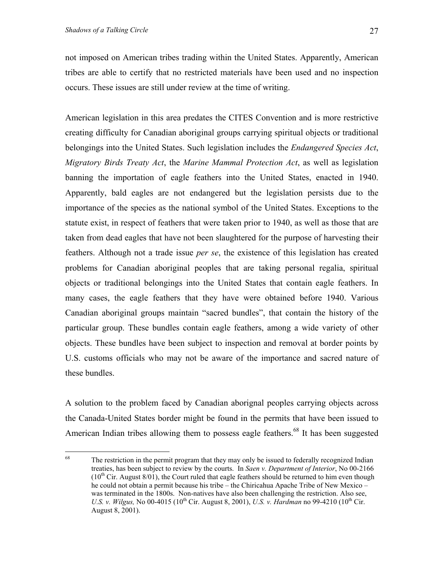not imposed on American tribes trading within the United States. Apparently, American tribes are able to certify that no restricted materials have been used and no inspection occurs. These issues are still under review at the time of writing.

American legislation in this area predates the CITES Convention and is more restrictive creating difficulty for Canadian aboriginal groups carrying spiritual objects or traditional belongings into the United States. Such legislation includes the *Endangered Species Act*, *Migratory Birds Treaty Act*, the *Marine Mammal Protection Act*, as well as legislation banning the importation of eagle feathers into the United States, enacted in 1940. Apparently, bald eagles are not endangered but the legislation persists due to the importance of the species as the national symbol of the United States. Exceptions to the statute exist, in respect of feathers that were taken prior to 1940, as well as those that are taken from dead eagles that have not been slaughtered for the purpose of harvesting their feathers. Although not a trade issue *per se*, the existence of this legislation has created problems for Canadian aboriginal peoples that are taking personal regalia, spiritual objects or traditional belongings into the United States that contain eagle feathers. In many cases, the eagle feathers that they have were obtained before 1940. Various Canadian aboriginal groups maintain "sacred bundles", that contain the history of the particular group. These bundles contain eagle feathers, among a wide variety of other objects. These bundles have been subject to inspection and removal at border points by U.S. customs officials who may not be aware of the importance and sacred nature of these bundles.

A solution to the problem faced by Canadian aborignal peoples carrying objects across the Canada-United States border might be found in the permits that have been issued to American Indian tribes allowing them to possess eagle feathers.<sup>68</sup> It has been suggested

<span id="page-26-0"></span><sup>68</sup> The restriction in the permit program that they may only be issued to federally recognized Indian treaties, has been subject to review by the courts. In *Saen v. Department of Interior*, No 00-2166  $(10<sup>th</sup> Cir. August 8/01)$ , the Court ruled that eagle feathers should be returned to him even though he could not obtain a permit because his tribe – the Chiricahua Apache Tribe of New Mexico – was terminated in the 1800s. Non-natives have also been challenging the restriction. Also see, *U.S. v. Wilgus, No* 00-4015 (10<sup>th</sup> Cir. August 8, 2001), *U.S. v. Hardman* no 99-4210 (10<sup>th</sup> Cir. August 8, 2001).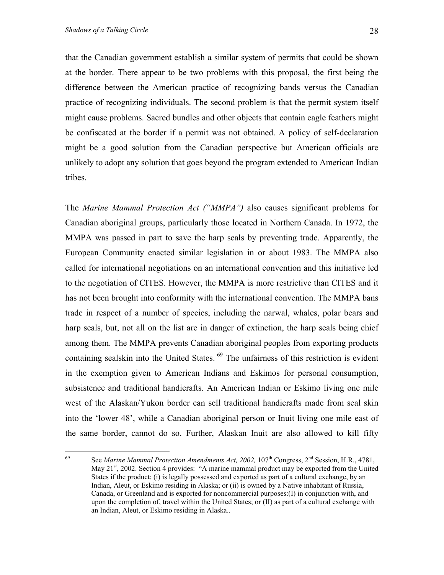that the Canadian government establish a similar system of permits that could be shown at the border. There appear to be two problems with this proposal, the first being the difference between the American practice of recognizing bands versus the Canadian practice of recognizing individuals. The second problem is that the permit system itself might cause problems. Sacred bundles and other objects that contain eagle feathers might be confiscated at the border if a permit was not obtained. A policy of self-declaration might be a good solution from the Canadian perspective but American officials are unlikely to adopt any solution that goes beyond the program extended to American Indian tribes.

The *Marine Mammal Protection Act ("MMPA")* also causes significant problems for Canadian aboriginal groups, particularly those located in Northern Canada. In 1972, the MMPA was passed in part to save the harp seals by preventing trade. Apparently, the European Community enacted similar legislation in or about 1983. The MMPA also called for international negotiations on an international convention and this initiative led to the negotiation of CITES. However, the MMPA is more restrictive than CITES and it has not been brought into conformity with the international convention. The MMPA bans trade in respect of a number of species, including the narwal, whales, polar bears and harp seals, but, not all on the list are in danger of extinction, the harp seals being chief among them. The MMPA prevents Canadian aboriginal peoples from exporting products containing sealskin into the United States. <sup>69</sup> The unfairness of this restriction is evident in the exemption given to American Indians and Eskimos for personal consumption, subsistence and traditional handicrafts. An American Indian or Eskimo living one mile west of the Alaskan/Yukon border can sell traditional handicrafts made from seal skin into the 'lower 48', while a Canadian aboriginal person or Inuit living one mile east of the same border, cannot do so. Further, Alaskan Inuit are also allowed to kill fifty

<span id="page-27-0"></span><sup>69</sup> See *Marine Mammal Protection Amendments Act, 2002,* 107<sup>th</sup> Congress, 2<sup>nd</sup> Session, H.R., 4781, May  $21<sup>st</sup>$ , 2002. Section 4 provides: "A marine mammal product may be exported from the United States if the product: (i) is legally possessed and exported as part of a cultural exchange, by an Indian, Aleut, or Eskimo residing in Alaska; or (ii) is owned by a Native inhabitant of Russia, Canada, or Greenland and is exported for noncommercial purposes:(I) in conjunction with, and upon the completion of, travel within the United States; or (II) as part of a cultural exchange with an Indian, Aleut, or Eskimo residing in Alaska..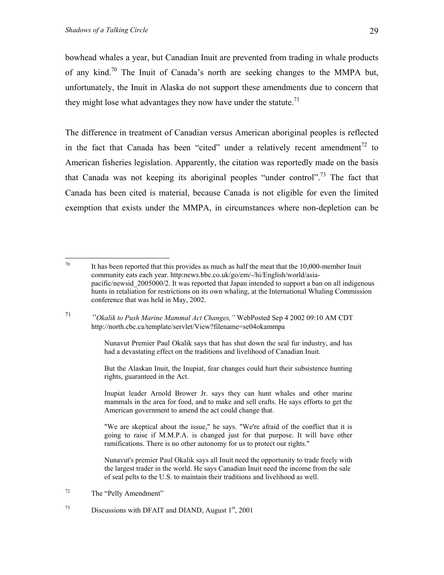bowhead whales a year, but Canadian Inuit are prevented from trading in whale products of any kind.<sup>70</sup> The Inuit of Canada's north are seeking changes to the MMPA but, unfortunately, the Inuit in Alaska do not support these amendments due to concern that they might lose what advantages they now have under the statute.<sup>71</sup>

The difference in treatment of Canadian versus American aboriginal peoples is reflected in the fact that Canada has been "cited" under a relatively recent amendment<sup>72</sup> to American fisheries legislation. Apparently, the citation was reportedly made on the basis that Canada was not keeping its aboriginal peoples "under control".<sup>73</sup> The fact that Canada has been cited is material, because Canada is not eligible for even the limited exemption that exists under the MMPA, in circumstances where non-depletion can be

<span id="page-28-1"></span>71 *"Okalik to Push Marine Mammal Act Changes,"* WebPosted Sep 4 2002 09:10 AM CDT http://north.cbc.ca/template/servlet/View?filename=se04okammpa

> Nunavut Premier Paul Okalik says that has shut down the seal fur industry, and has had a devastating effect on the traditions and livelihood of Canadian Inuit.

> But the Alaskan Inuit, the Inupiat, fear changes could hurt their subsistence hunting rights, guaranteed in the Act.

> Inupiat leader Arnold Brower Jr. says they can hunt whales and other marine mammals in the area for food, and to make and sell crafts. He says efforts to get the American government to amend the act could change that.

> "We are skeptical about the issue," he says. "We're afraid of the conflict that it is going to raise if M.M.P.A. is changed just for that purpose. It will have other ramifications. There is no other autonomy for us to protect our rights."

> Nunavut's premier Paul Okalik says all Inuit need the opportunity to trade freely with the largest trader in the world. He says Canadian Inuit need the income from the sale of seal pelts to the U.S. to maintain their traditions and livelihood as well.

<span id="page-28-0"></span> $70\,$ It has been reported that this provides as much as half the meat that the  $10,000$ -member Inuit community eats each year. http:news.bbc.co.uk/go/em/-/hi/English/world/asiapacific/newsid 2005000/2. It was reported that Japan intended to support a ban on all indigenous hunts in retaliation for restrictions on its own whaling, at the International Whaling Commission conference that was held in May, 2002.

<span id="page-28-2"></span><sup>72</sup> The "Pelly Amendment"

<span id="page-28-3"></span> $^{73}$  Discussions with DFAIT and DIAND, August  $1<sup>st</sup>$ , 2001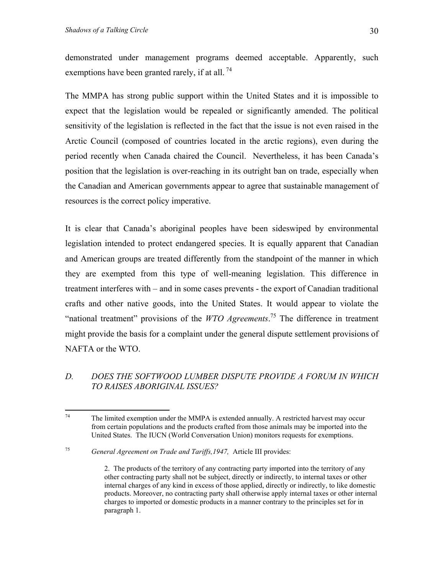demonstrated under management programs deemed acceptable. Apparently, such exemptions have been granted rarely, if at all.  $^{74}$ 

The MMPA has strong public support within the United States and it is impossible to expect that the legislation would be repealed or significantly amended. The political sensitivity of the legislation is reflected in the fact that the issue is not even raised in the Arctic Council (composed of countries located in the arctic regions), even during the period recently when Canada chaired the Council. Nevertheless, it has been Canada's position that the legislation is over-reaching in its outright ban on trade, especially when the Canadian and American governments appear to agree that sustainable management of resources is the correct policy imperative.

It is clear that Canada's aboriginal peoples have been sideswiped by environmental legislation intended to protect endangered species. It is equally apparent that Canadian and American groups are treated differently from the standpoint of the manner in which they are exempted from this type of well-meaning legislation. This difference in treatment interferes with – and in some cases prevents - the export of Canadian traditional crafts and other native goods, into the United States. It would appear to violate the "national treatment" provisions of the *WTO Agreements*. [75](#page-29-1) The difference in treatment might provide the basis for a complaint under the general dispute settlement provisions of NAFTA or the WTO.

## *D. DOES THE SOFTWOOD LUMBER DISPUTE PROVIDE A FORUM IN WHICH TO RAISES ABORIGINAL ISSUES?*

<span id="page-29-0"></span><sup>74</sup> The limited exemption under the MMPA is extended annually. A restricted harvest may occur from certain populations and the products crafted from those animals may be imported into the United States. The IUCN (World Conversation Union) monitors requests for exemptions.

<span id="page-29-1"></span><sup>75</sup> *General Agreement on Trade and Tariffs,1947,* Article III provides:

<sup>2.</sup> The products of the territory of any contracting party imported into the territory of any other contracting party shall not be subject, directly or indirectly, to internal taxes or other internal charges of any kind in excess of those applied, directly or indirectly, to like domestic products. Moreover, no contracting party shall otherwise apply internal taxes or other internal charges to imported or domestic products in a manner contrary to the principles set for in paragraph 1.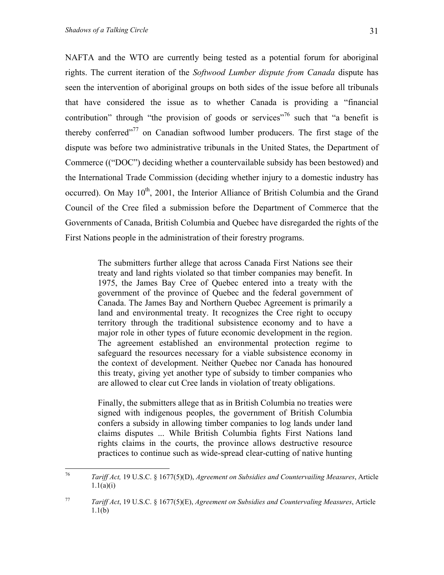NAFTA and the WTO are currently being tested as a potential forum for aboriginal rights. The current iteration of the *Softwood Lumber dispute from Canada* dispute has seen the intervention of aboriginal groups on both sides of the issue before all tribunals that have considered the issue as to whether Canada is providing a "financial contribution" through "the provision of goods or services"<sup>76</sup> such that "a benefit is thereby conferred"<sup>77</sup> on Canadian softwood lumber producers. The first stage of the dispute was before two administrative tribunals in the United States, the Department of Commerce (("DOC") deciding whether a countervailable subsidy has been bestowed) and the International Trade Commission (deciding whether injury to a domestic industry has occurred). On May  $10<sup>th</sup>$ , 2001, the Interior Alliance of British Columbia and the Grand Council of the Cree filed a submission before the Department of Commerce that the Governments of Canada, British Columbia and Quebec have disregarded the rights of the First Nations people in the administration of their forestry programs.

> The submitters further allege that across Canada First Nations see their treaty and land rights violated so that timber companies may benefit. In 1975, the James Bay Cree of Quebec entered into a treaty with the government of the province of Quebec and the federal government of Canada. The James Bay and Northern Quebec Agreement is primarily a land and environmental treaty. It recognizes the Cree right to occupy territory through the traditional subsistence economy and to have a major role in other types of future economic development in the region. The agreement established an environmental protection regime to safeguard the resources necessary for a viable subsistence economy in the context of development. Neither Quebec nor Canada has honoured this treaty, giving yet another type of subsidy to timber companies who are allowed to clear cut Cree lands in violation of treaty obligations.

> Finally, the submitters allege that as in British Columbia no treaties were signed with indigenous peoples, the government of British Columbia confers a subsidy in allowing timber companies to log lands under land claims disputes ... While British Columbia fights First Nations land rights claims in the courts, the province allows destructive resource practices to continue such as wide-spread clear-cutting of native hunting

<span id="page-30-0"></span><sup>76</sup> 76 *Tariff Act,* 19 U.S.C. § 1677(5)(D), *Agreement on Subsidies and Countervailing Measures*, Article  $1.1(a)(i)$ 

<span id="page-30-1"></span><sup>77</sup> *Tariff Act*, 19 U.S.C. § 1677(5)(E), *Agreement on Subsidies and Countervaling Measures*, Article 1.1(b)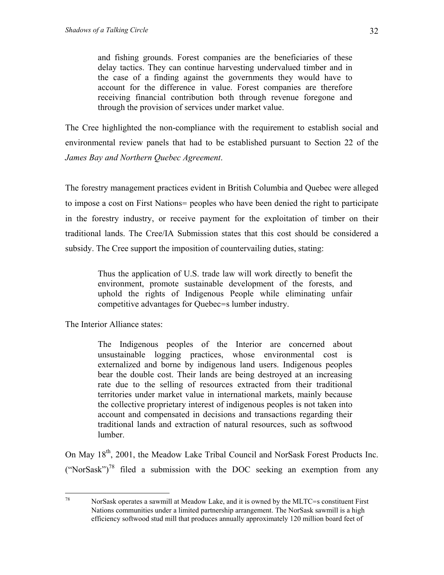<span id="page-31-0"></span>and fishing grounds. Forest companies are the beneficiaries of these delay tactics. They can continue harvesting undervalued timber and in the case of a finding against the governments they would have to account for the difference in value. Forest companies are therefore receiving financial contribution both through revenue foregone and through the provision of services under market value.

The Cree highlighted the non-compliance with the requirement to establish social and environmental review panels that had to be established pursuant to Section 22 of the *James Bay and Northern Quebec Agreement*.

The forestry management practices evident in British Columbia and Quebec were alleged to impose a cost on First Nations= peoples who have been denied the right to participate in the forestry industry, or receive payment for the exploitation of timber on their traditional lands. The Cree/IA Submission states that this cost should be considered a subsidy. The Cree support the imposition of countervailing duties, stating:

> Thus the application of U.S. trade law will work directly to benefit the environment, promote sustainable development of the forests, and uphold the rights of Indigenous People while eliminating unfair competitive advantages for Quebec=s lumber industry.

The Interior Alliance states:

78

The Indigenous peoples of the Interior are concerned about unsustainable logging practices, whose environmental cost is externalized and borne by indigenous land users. Indigenous peoples bear the double cost. Their lands are being destroyed at an increasing rate due to the selling of resources extracted from their traditional territories under market value in international markets, mainly because the collective proprietary interest of indigenous peoples is not taken into account and compensated in decisions and transactions regarding their traditional lands and extraction of natural resources, such as softwood lumber.

On May 18th, 2001, the Meadow Lake Tribal Council and NorSask Forest Products Inc. ("NorSask")<sup>78</sup> filed a submission with the DOC seeking an exemption from any

NorSask operates a sawmill at Meadow Lake, and it is owned by the MLTC=s constituent First Nations communities under a limited partnership arrangement. The NorSask sawmill is a high efficiency softwood stud mill that produces annually approximately 120 million board feet of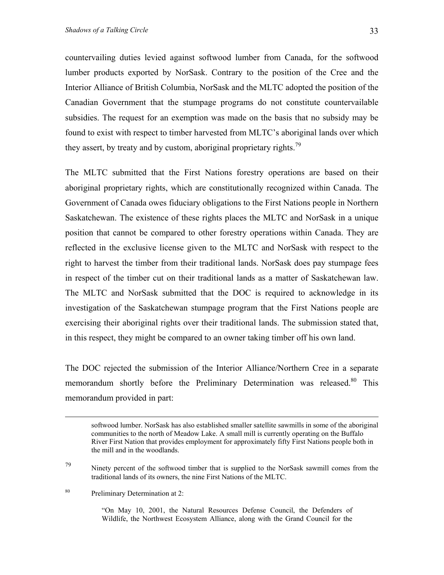<span id="page-32-1"></span>countervailing duties levied against softwood lumber from Canada, for the softwood lumber products exported by NorSask. Contrary to the position of the Cree and the Interior Alliance of British Columbia, NorSask and the MLTC adopted the position of the Canadian Government that the stumpage programs do not constitute countervailable subsidies. The request for an exemption was made on the basis that no subsidy may be found to exist with respect to timber harvested from MLTC's aboriginal lands over which they assert, by treaty and by custom, aboriginal proprietary rights.<sup>79</sup>

The MLTC submitted that the First Nations forestry operations are based on their aboriginal proprietary rights, which are constitutionally recognized within Canada. The Government of Canada owes fiduciary obligations to the First Nations people in Northern Saskatchewan. The existence of these rights places the MLTC and NorSask in a unique position that cannot be compared to other forestry operations within Canada. They are reflected in the exclusive license given to the MLTC and NorSask with respect to the right to harvest the timber from their traditional lands. NorSask does pay stumpage fees in respect of the timber cut on their traditional lands as a matter of Saskatchewan law. The MLTC and NorSask submitted that the DOC is required to acknowledge in its investigation of the Saskatchewan stumpage program that the First Nations people are exercising their aboriginal rights over their traditional lands. The submission stated that, in this respect, they might be compared to an owner taking timber off his own land.

The DOC rejected the submission of the Interior Alliance/Northern Cree in a separate memorandum shortly before the Preliminary Determination was released.<sup>80</sup> This memorandum provided in part:

<span id="page-32-0"></span> $79$  Ninety percent of the softwood timber that is supplied to the NorSask sawmill comes from the traditional lands of its owners, the nine First Nations of the MLTC.

80 Preliminary Determination at 2:

"On May 10, 2001, the Natural Resources Defense Council, the Defenders of Wildlife, the Northwest Ecosystem Alliance, along with the Grand Council for the

softwood lumber. NorSask has also established smaller satellite sawmills in some of the aboriginal communities to the north of Meadow Lake. A small mill is currently operating on the Buffalo River First Nation that provides employment for approximately fifty First Nations people both in the mill and in the woodlands.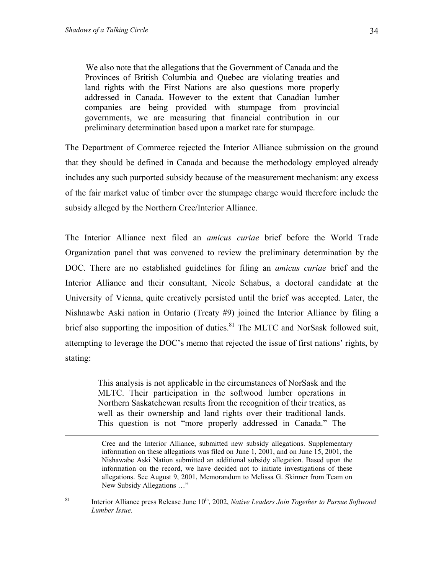We also note that the allegations that the Government of Canada and the Provinces of British Columbia and Quebec are violating treaties and land rights with the First Nations are also questions more properly addressed in Canada. However to the extent that Canadian lumber companies are being provided with stumpage from provincial governments, we are measuring that financial contribution in our preliminary determination based upon a market rate for stumpage.

The Department of Commerce rejected the Interior Alliance submission on the ground that they should be defined in Canada and because the methodology employed already includes any such purported subsidy because of the measurement mechanism: any excess of the fair market value of timber over the stumpage charge would therefore include the subsidy alleged by the Northern Cree/Interior Alliance.

The Interior Alliance next filed an *amicus curiae* brief before the World Trade Organization panel that was convened to review the preliminary determination by the DOC. There are no established guidelines for filing an *amicus curiae* brief and the Interior Alliance and their consultant, Nicole Schabus, a doctoral candidate at the University of Vienna, quite creatively persisted until the brief was accepted. Later, the Nishnawbe Aski nation in Ontario (Treaty #9) joined the Interior Alliance by filing a brief also supporting the imposition of duties. $81$  The MLTC and NorSask followed suit, attempting to leverage the DOC's memo that rejected the issue of first nations' rights, by stating:

> This analysis is not applicable in the circumstances of NorSask and the MLTC. Their participation in the softwood lumber operations in Northern Saskatchewan results from the recognition of their treaties, as well as their ownership and land rights over their traditional lands. This question is not "more properly addressed in Canada." The

<span id="page-33-0"></span><sup>81</sup> Interior Alliance press Release June  $10^{th}$ , 2002, *Native Leaders Join Together to Pursue Softwood Lumber Issue*.

Cree and the Interior Alliance, submitted new subsidy allegations. Supplementary information on these allegations was filed on June 1, 2001, and on June 15, 2001, the Nishawabe Aski Nation submitted an additional subsidy allegation. Based upon the information on the record, we have decided not to initiate investigations of these allegations. See August 9, 2001, Memorandum to Melissa G. Skinner from Team on New Subsidy Allegations …"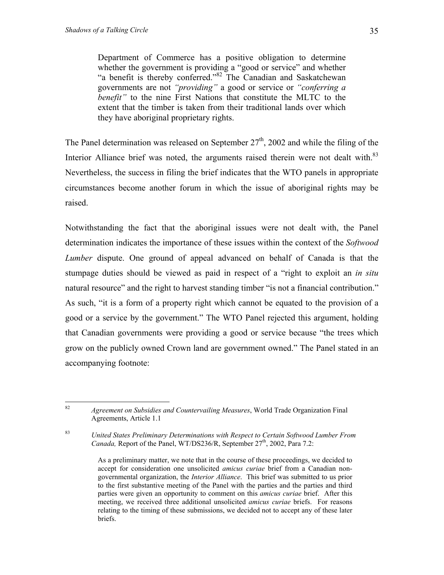Department of Commerce has a positive obligation to determine whether the government is providing a "good or service" and whether "a benefit is thereby conferred.["82](#page-34-0) The Canadian and Saskatchewan governments are not *"providing"* a good or service or *"conferring a benefit*" to the nine First Nations that constitute the MLTC to the extent that the timber is taken from their traditional lands over which they have aboriginal proprietary rights.

The Panel determination was released on September  $27<sup>th</sup>$ , 2002 and while the filing of the Interior Alliance brief was noted, the arguments raised therein were not dealt with.<sup>83</sup> Nevertheless, the success in filing the brief indicates that the WTO panels in appropriate circumstances become another forum in which the issue of aboriginal rights may be raised.

Notwithstanding the fact that the aboriginal issues were not dealt with, the Panel determination indicates the importance of these issues within the context of the *Softwood Lumber* dispute. One ground of appeal advanced on behalf of Canada is that the stumpage duties should be viewed as paid in respect of a "right to exploit an *in situ* natural resource" and the right to harvest standing timber "is not a financial contribution." As such, "it is a form of a property right which cannot be equated to the provision of a good or a service by the government." The WTO Panel rejected this argument, holding that Canadian governments were providing a good or service because "the trees which grow on the publicly owned Crown land are government owned." The Panel stated in an accompanying footnote:

<span id="page-34-0"></span><sup>82</sup> 82 *Agreement on Subsidies and Countervailing Measures*, World Trade Organization Final Agreements, Article 1.1

<span id="page-34-1"></span><sup>83</sup> *United States Preliminary Determinations with Respect to Certain Softwood Lumber From Canada,* Report of the Panel, WT/DS236/R, September 27<sup>th</sup>, 2002, Para 7.2:

As a preliminary matter, we note that in the course of these proceedings, we decided to accept for consideration one unsolicited *amicus curiae* brief from a Canadian nongovernmental organization, the *Interior Alliance*. This brief was submitted to us prior to the first substantive meeting of the Panel with the parties and the parties and third parties were given an opportunity to comment on this *amicus curiae* brief. After this meeting, we received three additional unsolicited *amicus curiae* briefs. For reasons relating to the timing of these submissions, we decided not to accept any of these later briefs.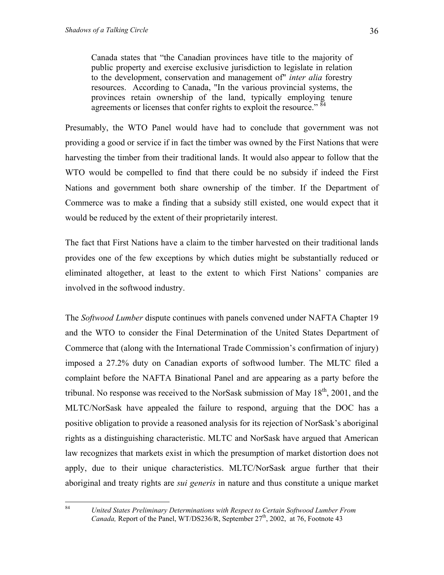Canada states that "the Canadian provinces have title to the majority of public property and exercise exclusive jurisdiction to legislate in relation to the development, conservation and management of" *inter alia* forestry resources. According to Canada, "In the various provincial systems, the provinces retain ownership of the land, typically employing tenure agreements or licenses that confer rights to exploit the resource."<sup>84</sup>

Presumably, the WTO Panel would have had to conclude that government was not providing a good or service if in fact the timber was owned by the First Nations that were harvesting the timber from their traditional lands. It would also appear to follow that the WTO would be compelled to find that there could be no subsidy if indeed the First Nations and government both share ownership of the timber. If the Department of Commerce was to make a finding that a subsidy still existed, one would expect that it would be reduced by the extent of their proprietarily interest.

The fact that First Nations have a claim to the timber harvested on their traditional lands provides one of the few exceptions by which duties might be substantially reduced or eliminated altogether, at least to the extent to which First Nations' companies are involved in the softwood industry.

The *Softwood Lumber* dispute continues with panels convened under NAFTA Chapter 19 and the WTO to consider the Final Determination of the United States Department of Commerce that (along with the International Trade Commission's confirmation of injury) imposed a 27.2% duty on Canadian exports of softwood lumber. The MLTC filed a complaint before the NAFTA Binational Panel and are appearing as a party before the tribunal. No response was received to the NorSask submission of May  $18<sup>th</sup>$ , 2001, and the MLTC/NorSask have appealed the failure to respond, arguing that the DOC has a positive obligation to provide a reasoned analysis for its rejection of NorSask's aboriginal rights as a distinguishing characteristic. MLTC and NorSask have argued that American law recognizes that markets exist in which the presumption of market distortion does not apply, due to their unique characteristics. MLTC/NorSask argue further that their aboriginal and treaty rights are *sui generis* in nature and thus constitute a unique market

<span id="page-35-0"></span>84

<sup>84</sup> *United States Preliminary Determinations with Respect to Certain Softwood Lumber From Canada,* Report of the Panel, WT/DS236/R, September  $27<sup>th</sup>$ , 2002, at 76, Footnote 43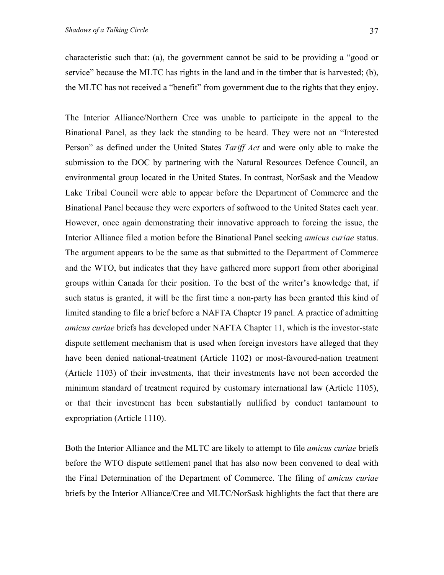characteristic such that: (a), the government cannot be said to be providing a "good or service" because the MLTC has rights in the land and in the timber that is harvested; (b), the MLTC has not received a "benefit" from government due to the rights that they enjoy.

The Interior Alliance/Northern Cree was unable to participate in the appeal to the Binational Panel, as they lack the standing to be heard. They were not an "Interested Person" as defined under the United States *Tariff Act* and were only able to make the submission to the DOC by partnering with the Natural Resources Defence Council, an environmental group located in the United States. In contrast, NorSask and the Meadow Lake Tribal Council were able to appear before the Department of Commerce and the Binational Panel because they were exporters of softwood to the United States each year. However, once again demonstrating their innovative approach to forcing the issue, the Interior Alliance filed a motion before the Binational Panel seeking *amicus curiae* status. The argument appears to be the same as that submitted to the Department of Commerce and the WTO, but indicates that they have gathered more support from other aboriginal groups within Canada for their position. To the best of the writer's knowledge that, if such status is granted, it will be the first time a non-party has been granted this kind of limited standing to file a brief before a NAFTA Chapter 19 panel. A practice of admitting *amicus curiae* briefs has developed under NAFTA Chapter 11, which is the investor-state dispute settlement mechanism that is used when foreign investors have alleged that they have been denied national-treatment (Article 1102) or most-favoured-nation treatment (Article 1103) of their investments, that their investments have not been accorded the minimum standard of treatment required by customary international law (Article 1105), or that their investment has been substantially nullified by conduct tantamount to expropriation (Article 1110).

Both the Interior Alliance and the MLTC are likely to attempt to file *amicus curiae* briefs before the WTO dispute settlement panel that has also now been convened to deal with the Final Determination of the Department of Commerce. The filing of *amicus curiae* briefs by the Interior Alliance/Cree and MLTC/NorSask highlights the fact that there are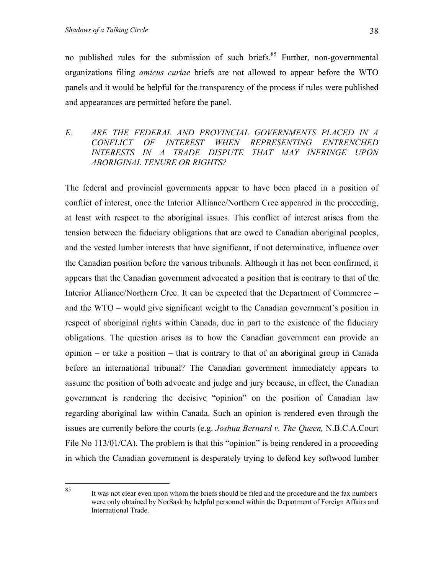no published rules for the submission of such briefs.<sup>85</sup> Further, non-governmental organizations filing *amicus curiae* briefs are not allowed to appear before the WTO panels and it would be helpful for the transparency of the process if rules were published and appearances are permitted before the panel.

### *E. ARE THE FEDERAL AND PROVINCIAL GOVERNMENTS PLACED IN A CONFLICT OF INTEREST WHEN REPRESENTING ENTRENCHED INTERESTS IN A TRADE DISPUTE THAT MAY INFRINGE UPON ABORIGINAL TENURE OR RIGHTS?*

The federal and provincial governments appear to have been placed in a position of conflict of interest, once the Interior Alliance/Northern Cree appeared in the proceeding, at least with respect to the aboriginal issues. This conflict of interest arises from the tension between the fiduciary obligations that are owed to Canadian aboriginal peoples, and the vested lumber interests that have significant, if not determinative, influence over the Canadian position before the various tribunals. Although it has not been confirmed, it appears that the Canadian government advocated a position that is contrary to that of the Interior Alliance/Northern Cree. It can be expected that the Department of Commerce – and the WTO – would give significant weight to the Canadian government's position in respect of aboriginal rights within Canada, due in part to the existence of the fiduciary obligations. The question arises as to how the Canadian government can provide an opinion – or take a position – that is contrary to that of an aboriginal group in Canada before an international tribunal? The Canadian government immediately appears to assume the position of both advocate and judge and jury because, in effect, the Canadian government is rendering the decisive "opinion" on the position of Canadian law regarding aboriginal law within Canada. Such an opinion is rendered even through the issues are currently before the courts (e.g. *Joshua Bernard v. The Queen,* N.B.C.A.Court File No 113/01/CA). The problem is that this "opinion" is being rendered in a proceeding in which the Canadian government is desperately trying to defend key softwood lumber

<span id="page-37-0"></span><sup>85</sup> It was not clear even upon whom the briefs should be filed and the procedure and the fax numbers were only obtained by NorSask by helpful personnel within the Department of Foreign Affairs and International Trade.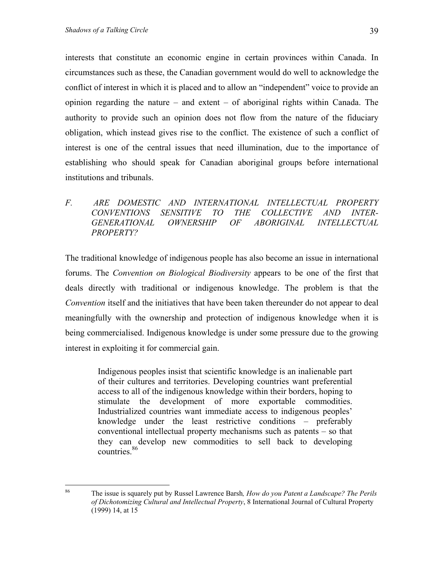interests that constitute an economic engine in certain provinces within Canada. In circumstances such as these, the Canadian government would do well to acknowledge the conflict of interest in which it is placed and to allow an "independent" voice to provide an opinion regarding the nature – and extent – of aboriginal rights within Canada. The authority to provide such an opinion does not flow from the nature of the fiduciary obligation, which instead gives rise to the conflict. The existence of such a conflict of interest is one of the central issues that need illumination, due to the importance of establishing who should speak for Canadian aboriginal groups before international institutions and tribunals.

### *F. ARE DOMESTIC AND INTERNATIONAL INTELLECTUAL PROPERTY CONVENTIONS SENSITIVE TO THE COLLECTIVE AND INTER-GENERATIONAL OWNERSHIP OF ABORIGINAL INTELLECTUAL PROPERTY?*

The traditional knowledge of indigenous people has also become an issue in international forums. The *Convention on Biological Biodiversity* appears to be one of the first that deals directly with traditional or indigenous knowledge. The problem is that the *Convention* itself and the initiatives that have been taken thereunder do not appear to deal meaningfully with the ownership and protection of indigenous knowledge when it is being commercialised. Indigenous knowledge is under some pressure due to the growing interest in exploiting it for commercial gain.

> Indigenous peoples insist that scientific knowledge is an inalienable part of their cultures and territories. Developing countries want preferential access to all of the indigenous knowledge within their borders, hoping to stimulate the development of more exportable commodities. Industrialized countries want immediate access to indigenous peoples' knowledge under the least restrictive conditions – preferably conventional intellectual property mechanisms such as patents – so that they can develop new commodities to sell back to developing countries.<sup>86</sup>

<span id="page-38-0"></span><sup>86</sup> 86 The issue is squarely put by Russel Lawrence Barsh*, How do you Patent a Landscape? The Perils of Dichotomizing Cultural and Intellectual Property*, 8 International Journal of Cultural Property (1999) 14, at 15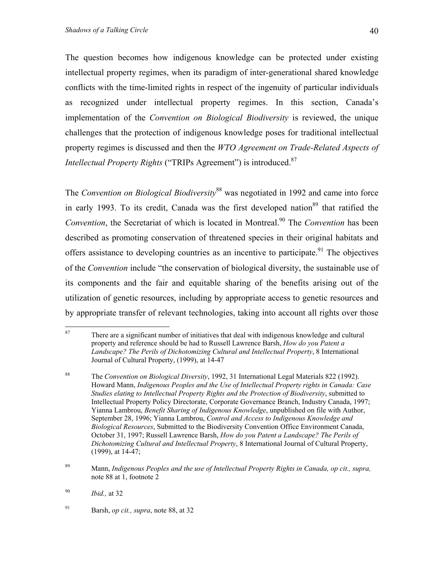The question becomes how indigenous knowledge can be protected under existing intellectual property regimes, when its paradigm of inter-generational shared knowledge conflicts with the time-limited rights in respect of the ingenuity of particular individuals as recognized under intellectual property regimes. In this section, Canada's implementation of the *Convention on Biological Biodiversity* is reviewed, the unique challenges that the protection of indigenous knowledge poses for traditional intellectual property regimes is discussed and then the *WTO Agreement on Trade-Related Aspects of Intellectual Property Rights* ("TRIPs Agreement") is introduced.<sup>87</sup>

The *Convention on Biological Biodiversity*[88](#page-39-1) was negotiated in 1992 and came into force in early 1993. To its credit, Canada was the first developed nation $89$  that ratified the *Convention*, the Secretariat of which is located in Montreal.<sup>90</sup> The *Convention* has been described as promoting conservation of threatened species in their original habitats and offers assistance to developing countries as an incentive to participate.<sup>91</sup> The objectives of the *Convention* include "the conservation of biological diversity, the sustainable use of its components and the fair and equitable sharing of the benefits arising out of the utilization of genetic resources, including by appropriate access to genetic resources and by appropriate transfer of relevant technologies, taking into account all rights over those

<span id="page-39-0"></span><sup>87</sup> There are a significant number of initiatives that deal with indigenous knowledge and cultural property and reference should be had to Russell Lawrence Barsh, *How do you Patent a Landscape? The Perils of Dichotomizing Cultural and Intellectual Property*, 8 International Journal of Cultural Property, (1999), at 14-47

<span id="page-39-1"></span><sup>88</sup> The *Convention on Biological Diversity*, 1992, 31 International Legal Materials 822 (1992). Howard Mann, *Indigenous Peoples and the Use of Intellectual Property rights in Canada: Case Studies elating to Intellectual Property Rights and the Protection of Biodiversity*, submitted to Intellectual Property Policy Directorate, Corporate Governance Branch, Industry Canada, 1997; Yianna Lambrou, *Benefit Sharing of Indigenous Knowledge*, unpublished on file with Author, September 28, 1996; Yianna Lambrou, *Control and Access to Indigenous Knowledge and Biological Resources*, Submitted to the Biodiversity Convention Office Environment Canada, October 31, 1997; Russell Lawrence Barsh, *How do you Patent a Landscape? The Perils of Dichotomizing Cultural and Intellectual Property*, 8 International Journal of Cultural Property, (1999), at 14-47;

<span id="page-39-2"></span><sup>89</sup> Mann, *Indigenous Peoples and the use of Intellectual Property Rights in Canada, op cit., supra,* note 88 at 1, footnote 2

<span id="page-39-3"></span><sup>90</sup> *Ibid.,* at 32

<span id="page-39-4"></span><sup>91</sup> Barsh, *op cit., supra*, note 88, at 32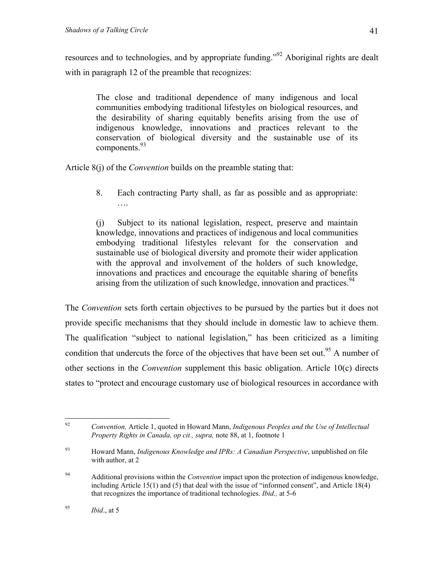resources and to technologies, and by appropriate funding."<sup>92</sup> Aboriginal rights are dealt with in paragraph 12 of the preamble that recognizes:

The close and traditional dependence of many indigenous and local communities embodying traditional lifestyles on biological resources, and the desirability of sharing equitably benefits arising from the use of indigenous knowledge, innovations and practices relevant to the conservation of biological diversity and the sustainable use of its components.<sup>93</sup>

Article 8(j) of the *Convention* builds on the preamble stating that:

8. Each contracting Party shall, as far as possible and as appropriate: ….

(j) Subject to its national legislation, respect, preserve and maintain knowledge, innovations and practices of indigenous and local communities embodying traditional lifestyles relevant for the conservation and sustainable use of biological diversity and promote their wider application with the approval and involvement of the holders of such knowledge, innovations and practices and encourage the equitable sharing of benefits arising from the utilization of such knowledge, innovation and practices.  $94$ 

The *Convention* sets forth certain objectives to be pursued by the parties but it does not provide specific mechanisms that they should include in domestic law to achieve them. The qualification "subject to national legislation," has been criticized as a limiting condition that undercuts the force of the objectives that have been set out.<sup>95</sup> A number of other sections in the *Convention* supplement this basic obligation. Article 10(c) directs states to "protect and encourage customary use of biological resources in accordance with

<span id="page-40-0"></span><sup>92</sup> 92 *Convention,* Article 1, quoted in Howard Mann, *Indigenous Peoples and the Use of Intellectual Property Rights in Canada, op cit., supra,* note 88, at 1, footnote 1

<span id="page-40-1"></span><sup>93</sup> Howard Mann, *Indigenous Knowledge and IPRs: A Canadian Perspective*, unpublished on file with author, at 2

<span id="page-40-2"></span><sup>94</sup> Additional provisions within the *Convention* impact upon the protection of indigenous knowledge, including Article 15(1) and (5) that deal with the issue of "informed consent", and Article 18(4) that recognizes the importance of traditional technologies. *Ibid.,* at 5-6

<span id="page-40-3"></span> $95$  *Ibid.*, at 5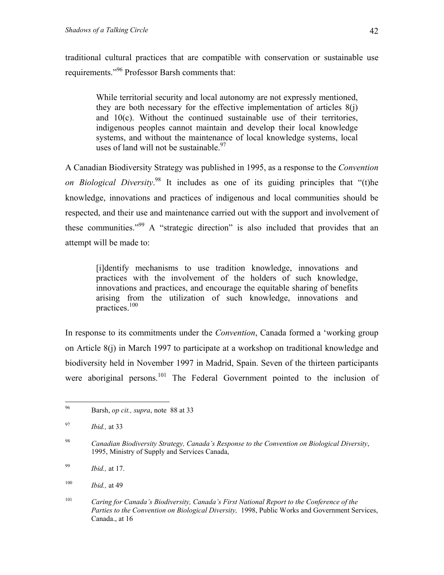<span id="page-41-5"></span>traditional cultural practices that are compatible with conservation or sustainable use requirements.["96](#page-41-0) Professor Barsh comments that:

While territorial security and local autonomy are not expressly mentioned, they are both necessary for the effective implementation of articles  $8(i)$ and 10(c). Without the continued sustainable use of their territories, indigenous peoples cannot maintain and develop their local knowledge systems, and without the maintenance of local knowledge systems, local uses of land will not be sustainable  $97$ 

A Canadian Biodiversity Strategy was published in 1995, as a response to the *Convention on Biological Diversity*. [98](#page-41-2) It includes as one of its guiding principles that "(t)he knowledge, innovations and practices of indigenous and local communities should be respected, and their use and maintenance carried out with the support and involvement of these communities."[99](#page-41-3) A "strategic direction" is also included that provides that an attempt will be made to:

[i]dentify mechanisms to use tradition knowledge, innovations and practices with the involvement of the holders of such knowledge, innovations and practices, and encourage the equitable sharing of benefits arising from the utilization of such knowledge, innovations and practices.[100](#page-41-4)

In response to its commitments under the *Convention*, Canada formed a 'working group on Article 8(j) in March 1997 to participate at a workshop on traditional knowledge and biodiversity held in November 1997 in Madrid, Spain. Seven of the thirteen participants were aboriginal persons.<sup>101</sup> The Federal Government pointed to the inclusion of

<span id="page-41-0"></span><sup>96</sup> 96 Barsh, *op cit., supra*, note 88 at 33

<span id="page-41-1"></span><sup>97</sup> *Ibid.,* at 33

<span id="page-41-2"></span><sup>98</sup> 98 *Canadian Biodiversity Strategy, Canada's Response to the Convention on Biological Diversity*, 1995, Ministry of Supply and Services Canada,

<span id="page-41-3"></span><sup>99</sup> *Ibid.,* at 17.

<span id="page-41-4"></span><sup>100</sup> *Ibid.,* at 49

<sup>101</sup> *Caring for Canada's Biodiversity, Canada's First National Report to the Conference of the Parties to the Convention on Biological Diversity,* 1998, Public Works and Government Services, Canada., at 16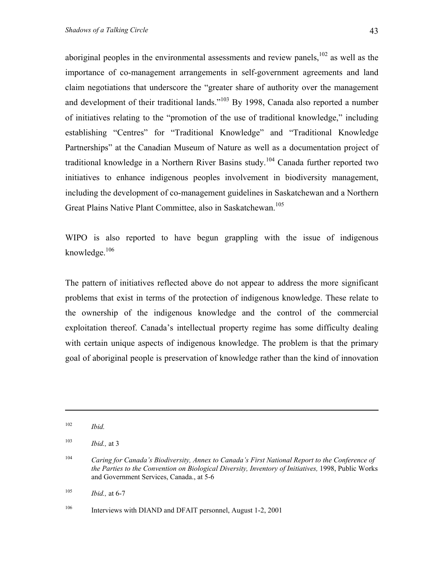aboriginal peoples in the environmental assessments and review panels,  $102$  as well as the importance of co-management arrangements in self-government agreements and land claim negotiations that underscore the "greater share of authority over the management and development of their traditional lands."<sup>103</sup> By 1998, Canada also reported a number of initiatives relating to the "promotion of the use of traditional knowledge," including establishing "Centres" for "Traditional Knowledge" and "Traditional Knowledge Partnerships" at the Canadian Museum of Nature as well as a documentation project of traditional knowledge in a Northern River Basins study.<sup>104</sup> Canada further reported two initiatives to enhance indigenous peoples involvement in biodiversity management, including the development of co-management guidelines in Saskatchewan and a Northern Great Plains Native Plant Committee, also in Saskatchewan.<sup>[105](#page-42-3)</sup>

WIPO is also reported to have begun grappling with the issue of indigenous knowledge.[106](#page-42-4)

The pattern of initiatives reflected above do not appear to address the more significant problems that exist in terms of the protection of indigenous knowledge. These relate to the ownership of the indigenous knowledge and the control of the commercial exploitation thereof. Canada's intellectual property regime has some difficulty dealing with certain unique aspects of indigenous knowledge. The problem is that the primary goal of aboriginal people is preservation of knowledge rather than the kind of innovation

 $\overline{a}$ 

<span id="page-42-3"></span>105 *Ibid.,* at 6-7

<span id="page-42-4"></span><sup>106</sup> Interviews with DIAND and DFAIT personnel, August 1-2, 2001

<span id="page-42-0"></span><sup>102</sup> *Ibid.*

<span id="page-42-1"></span><sup>103</sup> *Ibid.,* at 3

<span id="page-42-2"></span><sup>104</sup> *Caring for Canada's Biodiversity, Annex to Canada's First National Report to the Conference of the Parties to the Convention on Biological Diversity, Inventory of Initiatives,* 1998, Public Works and Government Services, Canada., at 5-6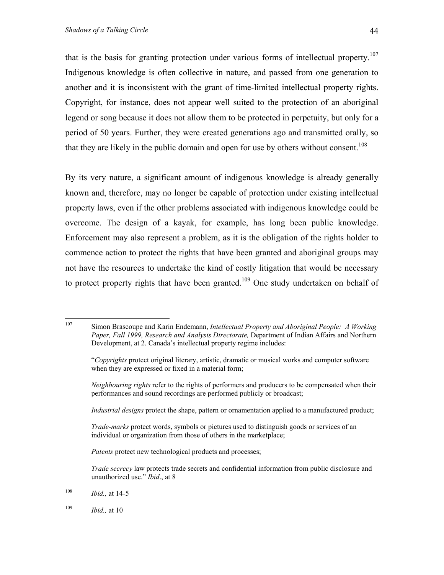that is the basis for granting protection under various forms of intellectual property.<sup>107</sup> Indigenous knowledge is often collective in nature, and passed from one generation to another and it is inconsistent with the grant of time-limited intellectual property rights. Copyright, for instance, does not appear well suited to the protection of an aboriginal legend or song because it does not allow them to be protected in perpetuity, but only for a period of 50 years. Further, they were created generations ago and transmitted orally, so that they are likely in the public domain and open for use by others without consent.<sup>[108](#page-43-1)</sup>

By its very nature, a significant amount of indigenous knowledge is already generally known and, therefore, may no longer be capable of protection under existing intellectual property laws, even if the other problems associated with indigenous knowledge could be overcome. The design of a kayak, for example, has long been public knowledge. Enforcement may also represent a problem, as it is the obligation of the rights holder to commence action to protect the rights that have been granted and aboriginal groups may not have the resources to undertake the kind of costly litigation that would be necessary to protect property rights that have been granted.<sup>109</sup> One study undertaken on behalf of

- *Industrial designs* protect the shape, pattern or ornamentation applied to a manufactured product;
- *Trade-marks* protect words, symbols or pictures used to distinguish goods or services of an individual or organization from those of others in the marketplace;
- *Patents* protect new technological products and processes;
- *Trade secrecy* law protects trade secrets and confidential information from public disclosure and unauthorized use." *Ibid*., at 8
- <span id="page-43-1"></span>108 *Ibid.,* at 14-5
- <span id="page-43-2"></span>109 *Ibid.,* at 10

<span id="page-43-0"></span><sup>107</sup> 107 Simon Brascoupe and Karin Endemann, *Intellectual Property and Aboriginal People: A Working Paper, Fall 1999, Research and Analysis Directorate,* Department of Indian Affairs and Northern Development, at 2. Canada's intellectual property regime includes:

 <sup>&</sup>quot;*Copyrights* protect original literary, artistic, dramatic or musical works and computer software when they are expressed or fixed in a material form;

*Neighbouring rights* refer to the rights of performers and producers to be compensated when their performances and sound recordings are performed publicly or broadcast;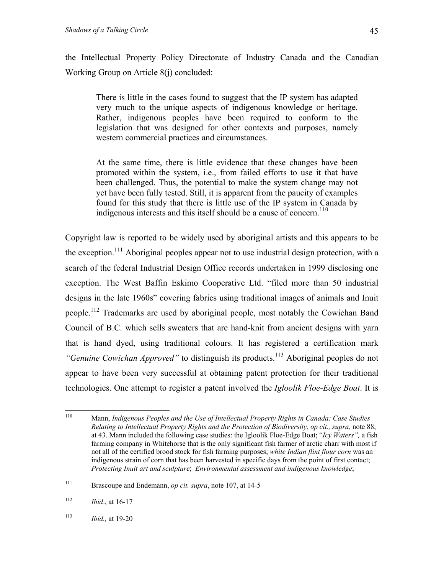the Intellectual Property Policy Directorate of Industry Canada and the Canadian Working Group on Article 8(j) concluded:

There is little in the cases found to suggest that the IP system has adapted very much to the unique aspects of indigenous knowledge or heritage. Rather, indigenous peoples have been required to conform to the legislation that was designed for other contexts and purposes, namely western commercial practices and circumstances.

At the same time, there is little evidence that these changes have been promoted within the system, i.e., from failed efforts to use it that have been challenged. Thus, the potential to make the system change may not yet have been fully tested. Still, it is apparent from the paucity of examples found for this study that there is little use of the IP system in Canada by indigenous interests and this itself should be a cause of concern.<sup>[110](#page-44-0)</sup>

Copyright law is reported to be widely used by aboriginal artists and this appears to be the exception.<sup>111</sup> Aboriginal peoples appear not to use industrial design protection, with a search of the federal Industrial Design Office records undertaken in 1999 disclosing one exception. The West Baffin Eskimo Cooperative Ltd. "filed more than 50 industrial designs in the late 1960s" covering fabrics using traditional images of animals and Inuit people.<sup>112</sup> Trademarks are used by aboriginal people, most notably the Cowichan Band Council of B.C. which sells sweaters that are hand-knit from ancient designs with yarn that is hand dyed, using traditional colours. It has registered a certification mark *"Genuine Cowichan Approved"* to distinguish its products.<sup>113</sup> Aboriginal peoples do not appear to have been very successful at obtaining patent protection for their traditional technologies. One attempt to register a patent involved the *Igloolik Floe-Edge Boat*. It is

<span id="page-44-3"></span>113 *Ibid.,* at 19-20

<span id="page-44-0"></span><sup>110</sup> 110 Mann, *Indigenous Peoples and the Use of Intellectual Property Rights in Canada: Case Studies Relating to Intellectual Property Rights and the Protection of Biodiversity, op cit., supra,* note 88, at 43. Mann included the following case studies: the Igloolik Floe-Edge Boat; "*Icy Waters",* a fish farming company in Whitehorse that is the only significant fish farmer of arctic charr with most if not all of the certified brood stock for fish farming purposes; *white Indian flint flour corn* was an indigenous strain of corn that has been harvested in specific days from the point of first contact; *Protecting Inuit art and sculpture*; *Environmental assessment and indigenous knowledge*;

<span id="page-44-1"></span><sup>111</sup> Brascoupe and Endemann, *op cit. supra*, note 107, at 14-5

<span id="page-44-2"></span> $112$  *Ibid.*, at 16-17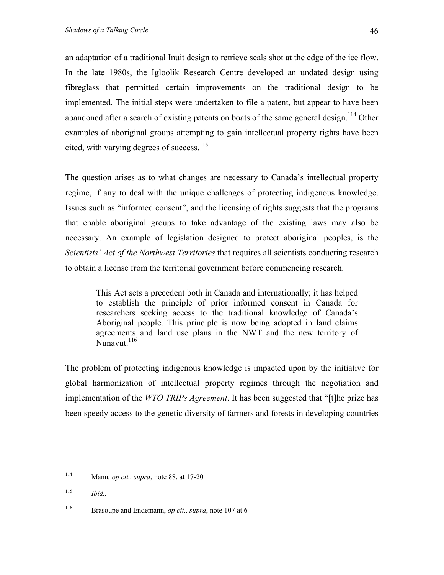an adaptation of a traditional Inuit design to retrieve seals shot at the edge of the ice flow. In the late 1980s, the Igloolik Research Centre developed an undated design using fibreglass that permitted certain improvements on the traditional design to be implemented. The initial steps were undertaken to file a patent, but appear to have been abandoned after a search of existing patents on boats of the same general design.<sup>114</sup> Other examples of aboriginal groups attempting to gain intellectual property rights have been cited, with varying degrees of success.<sup>115</sup>

The question arises as to what changes are necessary to Canada's intellectual property regime, if any to deal with the unique challenges of protecting indigenous knowledge. Issues such as "informed consent", and the licensing of rights suggests that the programs that enable aboriginal groups to take advantage of the existing laws may also be necessary. An example of legislation designed to protect aboriginal peoples, is the *Scientists' Act of the Northwest Territories* that requires all scientists conducting research to obtain a license from the territorial government before commencing research.

This Act sets a precedent both in Canada and internationally; it has helped to establish the principle of prior informed consent in Canada for researchers seeking access to the traditional knowledge of Canada's Aboriginal people. This principle is now being adopted in land claims agreements and land use plans in the NWT and the new territory of Nunavut. $^{116}$  $^{116}$  $^{116}$ 

The problem of protecting indigenous knowledge is impacted upon by the initiative for global harmonization of intellectual property regimes through the negotiation and implementation of the *WTO TRIPs Agreement*. It has been suggested that "[t]he prize has been speedy access to the genetic diversity of farmers and forests in developing countries

 $\overline{a}$ 

<span id="page-45-0"></span><sup>114</sup> Mann*, op cit., supra*, note 88, at 17-20

<span id="page-45-1"></span><sup>115</sup> *Ibid.,*

<span id="page-45-2"></span><sup>116</sup> Brasoupe and Endemann, *op cit., supra*, note 107 at 6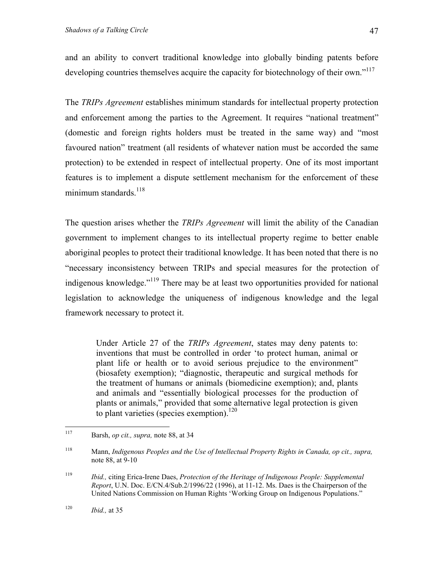and an ability to convert traditional knowledge into globally binding patents before developing countries themselves acquire the capacity for biotechnology of their own."<sup>117</sup>

The *TRIPs Agreement* establishes minimum standards for intellectual property protection and enforcement among the parties to the Agreement. It requires "national treatment" (domestic and foreign rights holders must be treated in the same way) and "most favoured nation" treatment (all residents of whatever nation must be accorded the same protection) to be extended in respect of intellectual property. One of its most important features is to implement a dispute settlement mechanism for the enforcement of these minimum standards. $^{118}$ 

The question arises whether the *TRIPs Agreement* will limit the ability of the Canadian government to implement changes to its intellectual property regime to better enable aboriginal peoples to protect their traditional knowledge. It has been noted that there is no "necessary inconsistency between TRIPs and special measures for the protection of indigenous knowledge."[119](#page-46-2) There may be at least two opportunities provided for national legislation to acknowledge the uniqueness of indigenous knowledge and the legal framework necessary to protect it.

Under Article 27 of the *TRIPs Agreement*, states may deny patents to: inventions that must be controlled in order 'to protect human, animal or plant life or health or to avoid serious prejudice to the environment" (biosafety exemption); "diagnostic, therapeutic and surgical methods for the treatment of humans or animals (biomedicine exemption); and, plants and animals and "essentially biological processes for the production of plants or animals," provided that some alternative legal protection is given to plant varieties (species exemption).<sup>120</sup>

<span id="page-46-0"></span><sup>117</sup> Barsh, *op cit., supra,* note 88, at 34

<span id="page-46-1"></span><sup>118</sup> Mann, *Indigenous Peoples and the Use of Intellectual Property Rights in Canada, op cit., supra,* note 88, at 9-10

<span id="page-46-2"></span><sup>119</sup> *Ibid.,* citing Erica-Irene Daes, *Protection of the Heritage of Indigenous People: Supplemental Report*, U.N. Doc. E/CN.4/Sub.2/1996/22 (1996), at 11-12. Ms. Daes is the Chairperson of the United Nations Commission on Human Rights 'Working Group on Indigenous Populations."

<span id="page-46-3"></span><sup>120</sup> *Ibid.,* at 35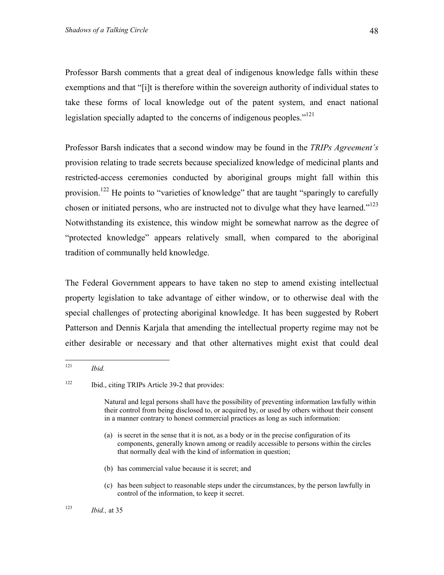Professor Barsh comments that a great deal of indigenous knowledge falls within these exemptions and that "[i]t is therefore within the sovereign authority of individual states to take these forms of local knowledge out of the patent system, and enact national legislation specially adapted to the concerns of indigenous peoples."<sup>121</sup>

Professor Barsh indicates that a second window may be found in the *TRIPs Agreement's* provision relating to trade secrets because specialized knowledge of medicinal plants and restricted-access ceremonies conducted by aboriginal groups might fall within this provision.<sup>122</sup> He points to "varieties of knowledge" that are taught "sparingly to carefully chosen or initiated persons, who are instructed not to divulge what they have learned."<sup>[123](#page-47-2)</sup> Notwithstanding its existence, this window might be somewhat narrow as the degree of "protected knowledge" appears relatively small, when compared to the aboriginal tradition of communally held knowledge.

The Federal Government appears to have taken no step to amend existing intellectual property legislation to take advantage of either window, or to otherwise deal with the special challenges of protecting aboriginal knowledge. It has been suggested by Robert Patterson and Dennis Karjala that amending the intellectual property regime may not be either desirable or necessary and that other alternatives might exist that could deal

- (b) has commercial value because it is secret; and
- (c) has been subject to reasonable steps under the circumstances, by the person lawfully in control of the information, to keep it secret.

<span id="page-47-0"></span><sup>121</sup> *Ibid.* 

<span id="page-47-1"></span><sup>122</sup> Ibid., citing TRIPs Article 39-2 that provides:

Natural and legal persons shall have the possibility of preventing information lawfully within their control from being disclosed to, or acquired by, or used by others without their consent in a manner contrary to honest commercial practices as long as such information:

<sup>(</sup>a) is secret in the sense that it is not, as a body or in the precise configuration of its components, generally known among or readily accessible to persons within the circles that normally deal with the kind of information in question;

<span id="page-47-2"></span>

<sup>123</sup> *Ibid.,* at 35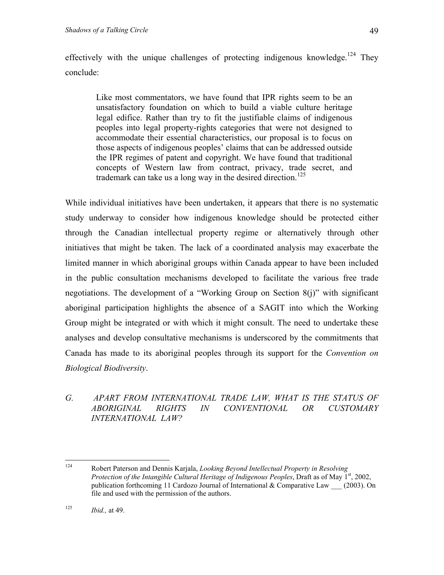effectively with the unique challenges of protecting indigenous knowledge.<sup>124</sup> They conclude:

Like most commentators, we have found that IPR rights seem to be an unsatisfactory foundation on which to build a viable culture heritage legal edifice. Rather than try to fit the justifiable claims of indigenous peoples into legal property-rights categories that were not designed to accommodate their essential characteristics, our proposal is to focus on those aspects of indigenous peoples' claims that can be addressed outside the IPR regimes of patent and copyright. We have found that traditional concepts of Western law from contract, privacy, trade secret, and trademark can take us a long way in the desired direction.<sup>[125](#page-48-1)</sup>

While individual initiatives have been undertaken, it appears that there is no systematic study underway to consider how indigenous knowledge should be protected either through the Canadian intellectual property regime or alternatively through other initiatives that might be taken. The lack of a coordinated analysis may exacerbate the limited manner in which aboriginal groups within Canada appear to have been included in the public consultation mechanisms developed to facilitate the various free trade negotiations. The development of a "Working Group on Section 8(j)" with significant aboriginal participation highlights the absence of a SAGIT into which the Working Group might be integrated or with which it might consult. The need to undertake these analyses and develop consultative mechanisms is underscored by the commitments that Canada has made to its aboriginal peoples through its support for the *Convention on Biological Biodiversity*.

### *G. APART FROM INTERNATIONAL TRADE LAW, WHAT IS THE STATUS OF ABORIGINAL RIGHTS IN CONVENTIONAL OR CUSTOMARY INTERNATIONAL LAW?*

<span id="page-48-0"></span><sup>124</sup> 124 Robert Paterson and Dennis Karjala, *Looking Beyond Intellectual Property in Resolving Protection of the Intangible Cultural Heritage of Indigenous Peoples*, Draft as of May 1<sup>st</sup>, 2002, publication forthcoming 11 Cardozo Journal of International & Comparative Law \_\_\_ (2003). On file and used with the permission of the authors.

<span id="page-48-1"></span><sup>125</sup> *Ibid.,* at 49.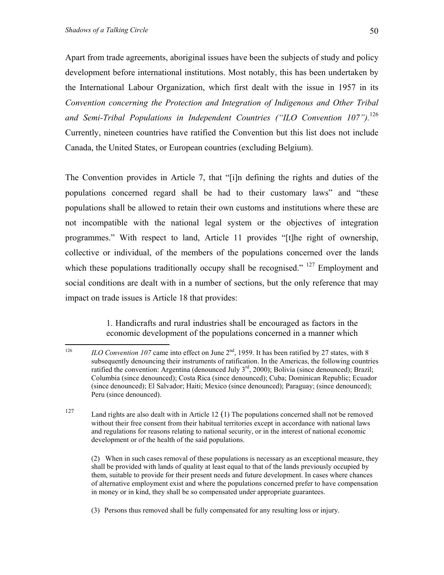Apart from trade agreements, aboriginal issues have been the subjects of study and policy development before international institutions. Most notably, this has been undertaken by the International Labour Organization, which first dealt with the issue in 1957 in its *Convention concerning the Protection and Integration of Indigenous and Other Tribal and Semi-Tribal Populations in Independent Countries ("ILO Convention 107").*[126](#page-49-0) Currently, nineteen countries have ratified the Convention but this list does not include Canada, the United States, or European countries (excluding Belgium).

The Convention provides in Article 7, that "[i]n defining the rights and duties of the populations concerned regard shall be had to their customary laws" and "these populations shall be allowed to retain their own customs and institutions where these are not incompatible with the national legal system or the objectives of integration programmes." With respect to land, Article 11 provides "[t]he right of ownership, collective or individual, of the members of the populations concerned over the lands which these populations traditionally occupy shall be recognised." <sup>127</sup> Employment and social conditions are dealt with in a number of sections, but the only reference that may impact on trade issues is Article 18 that provides:

> 1. Handicrafts and rural industries shall be encouraged as factors in the economic development of the populations concerned in a manner which

(2) When in such cases removal of these populations is necessary as an exceptional measure, they shall be provided with lands of quality at least equal to that of the lands previously occupied by them, suitable to provide for their present needs and future development. In cases where chances of alternative employment exist and where the populations concerned prefer to have compensation in money or in kind, they shall be so compensated under appropriate guarantees.

(3) Persons thus removed shall be fully compensated for any resulting loss or injury.

<span id="page-49-0"></span><sup>126</sup> ILO Convention 107 came into effect on June 2<sup>nd</sup>, 1959. It has been ratified by 27 states, with 8 subsequently denouncing their instruments of ratification. In the Americas, the following countries ratified the convention: Argentina (denounced July  $3<sup>rd</sup>$ , 2000); Bolivia (since denounced); Brazil; Columbia (since denounced); Costa Rica (since denounced); Cuba; Dominican Republic; Ecuador (since denounced); El Salvador; Haiti; Mexico (since denounced); Paraguay; (since denounced); Peru (since denounced).

<span id="page-49-1"></span><sup>127</sup> Land rights are also dealt with in Article 12 (1) The populations concerned shall not be removed without their free consent from their habitual territories except in accordance with national laws and regulations for reasons relating to national security, or in the interest of national economic development or of the health of the said populations.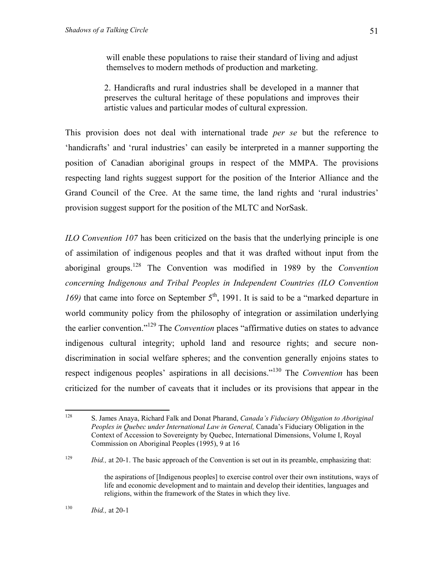will enable these populations to raise their standard of living and adjust themselves to modern methods of production and marketing.

2. Handicrafts and rural industries shall be developed in a manner that preserves the cultural heritage of these populations and improves their artistic values and particular modes of cultural expression.

This provision does not deal with international trade *per se* but the reference to 'handicrafts' and 'rural industries' can easily be interpreted in a manner supporting the position of Canadian aboriginal groups in respect of the MMPA. The provisions respecting land rights suggest support for the position of the Interior Alliance and the Grand Council of the Cree. At the same time, the land rights and 'rural industries' provision suggest support for the position of the MLTC and NorSask.

*ILO Convention 107* has been criticized on the basis that the underlying principle is one of assimilation of indigenous peoples and that it was drafted without input from the aboriginal groups.[128](#page-50-0) The Convention was modified in 1989 by the *Convention concerning Indigenous and Tribal Peoples in Independent Countries (ILO Convention 169*) that came into force on September  $5<sup>th</sup>$ , 1991. It is said to be a "marked departure in world community policy from the philosophy of integration or assimilation underlying the earlier convention.["129](#page-50-1) The *Convention* places "affirmative duties on states to advance indigenous cultural integrity; uphold land and resource rights; and secure nondiscrimination in social welfare spheres; and the convention generally enjoins states to respect indigenous peoples' aspirations in all decisions.["130](#page-50-2) The *Convention* has been criticized for the number of caveats that it includes or its provisions that appear in the

<span id="page-50-0"></span><sup>128</sup> 128 S. James Anaya, Richard Falk and Donat Pharand, *Canada's Fiduciary Obligation to Aboriginal Peoples in Quebec under International Law in General,* Canada's Fiduciary Obligation in the Context of Accession to Sovereignty by Quebec, International Dimensions, Volume I, Royal Commission on Aboriginal Peoples (1995), 9 at 16

<span id="page-50-1"></span><sup>&</sup>lt;sup>129</sup> *Ibid.*, at 20-1. The basic approach of the Convention is set out in its preamble, emphasizing that:

<span id="page-50-2"></span>the aspirations of [Indigenous peoples] to exercise control over their own institutions, ways of life and economic development and to maintain and develop their identities, languages and religions, within the framework of the States in which they live.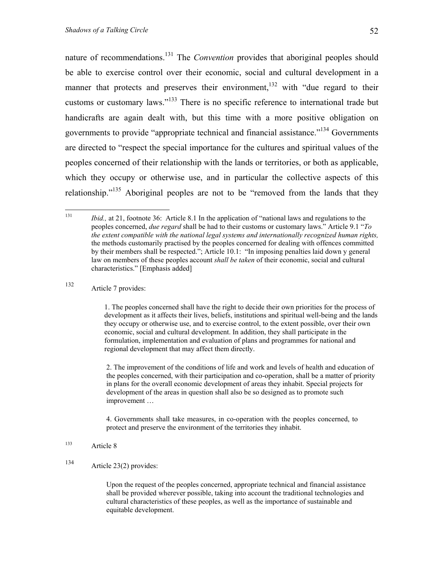nature of recommendations.<sup>131</sup> The *Convention* provides that aboriginal peoples should be able to exercise control over their economic, social and cultural development in a manner that protects and preserves their environment, $132$  with "due regard to their customs or customary laws."[133](#page-51-2) There is no specific reference to international trade but handicrafts are again dealt with, but this time with a more positive obligation on governments to provide "appropriate technical and financial assistance."[134](#page-51-3) Governments are directed to "respect the special importance for the cultures and spiritual values of the peoples concerned of their relationship with the lands or territories, or both as applicable, which they occupy or otherwise use, and in particular the collective aspects of this relationship."<sup>135</sup> Aboriginal peoples are not to be "removed from the lands that they

<span id="page-51-1"></span>132 Article 7 provides:

1. The peoples concerned shall have the right to decide their own priorities for the process of development as it affects their lives, beliefs, institutions and spiritual well-being and the lands they occupy or otherwise use, and to exercise control, to the extent possible, over their own economic, social and cultural development. In addition, they shall participate in the formulation, implementation and evaluation of plans and programmes for national and regional development that may affect them directly.

<span id="page-51-4"></span>2. The improvement of the conditions of life and work and levels of health and education of the peoples concerned, with their participation and co-operation, shall be a matter of priority in plans for the overall economic development of areas they inhabit. Special projects for development of the areas in question shall also be so designed as to promote such improvement …

4. Governments shall take measures, in co-operation with the peoples concerned, to protect and preserve the environment of the territories they inhabit.

- <span id="page-51-2"></span>133 Article 8
- <span id="page-51-3"></span>134 Article 23(2) provides:

Upon the request of the peoples concerned, appropriate technical and financial assistance shall be provided wherever possible, taking into account the traditional technologies and cultural characteristics of these peoples, as well as the importance of sustainable and equitable development.

<span id="page-51-0"></span><sup>131</sup> *Ibid.*, at 21, footnote 36: Article 8.1 In the application of "national laws and regulations to the peoples concerned, *due regard* shall be had to their customs or customary laws." Article 9.1 "*To the extent compatible with the national legal systems and internationally recognized human rights,* the methods customarily practised by the peoples concerned for dealing with offences committed by their members shall be respected."; Article 10.1: "In imposing penalties laid down y general law on members of these peoples account *shall be taken* of their economic, social and cultural characteristics." [Emphasis added]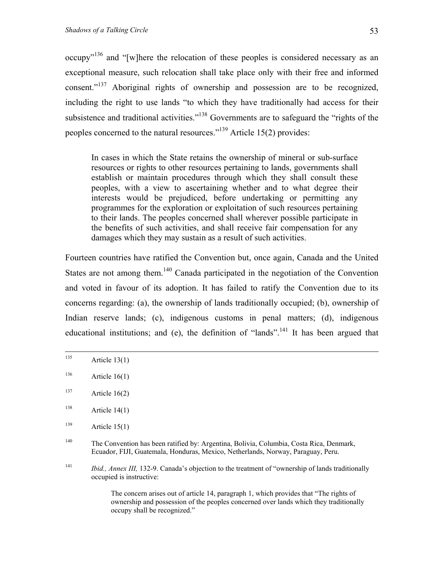<span id="page-52-5"></span>occupy"[136](#page-52-0) and "[w]here the relocation of these peoples is considered necessary as an exceptional measure, such relocation shall take place only with their free and informed consent."<sup>137</sup> Aboriginal rights of ownership and possession are to be recognized, including the right to use lands "to which they have traditionally had access for their subsistence and traditional activities."<sup>138</sup> Governments are to safeguard the "rights of the peoples concerned to the natural resources.["139](#page-52-3) Article 15(2) provides:

In cases in which the State retains the ownership of mineral or sub-surface resources or rights to other resources pertaining to lands, governments shall establish or maintain procedures through which they shall consult these peoples, with a view to ascertaining whether and to what degree their interests would be prejudiced, before undertaking or permitting any programmes for the exploration or exploitation of such resources pertaining to their lands. The peoples concerned shall wherever possible participate in the benefits of such activities, and shall receive fair compensation for any damages which they may sustain as a result of such activities.

Fourteen countries have ratified the Convention but, once again, Canada and the United States are not among them.<sup>140</sup> Canada participated in the negotiation of the Convention and voted in favour of its adoption. It has failed to ratify the Convention due to its concerns regarding: (a), the ownership of lands traditionally occupied; (b), ownership of Indian reserve lands; (c), indigenous customs in penal matters; (d), indigenous educational institutions; and (e), the definition of "lands".<sup>141</sup> It has been argued that

<span id="page-52-2"></span><sup>138</sup> Article 14(1)

The concern arises out of article 14, paragraph 1, which provides that "The rights of ownership and possession of the peoples concerned over lands which they traditionally occupy shall be recognized."

 $135$  Article 13(1)

<span id="page-52-0"></span> $136$  Article 16(1)

<span id="page-52-1"></span><sup>&</sup>lt;sup>137</sup> Article 16(2)

<span id="page-52-3"></span> $139$  Article 15(1)

<span id="page-52-4"></span><sup>140</sup> The Convention has been ratified by: Argentina, Bolivia, Columbia, Costa Rica, Denmark, Ecuador, FIJI, Guatemala, Honduras, Mexico, Netherlands, Norway, Paraguay, Peru.

<sup>141</sup> *Ibid., Annex III,* 132-9. Canada's objection to the treatment of "ownership of lands traditionally occupied is instructive: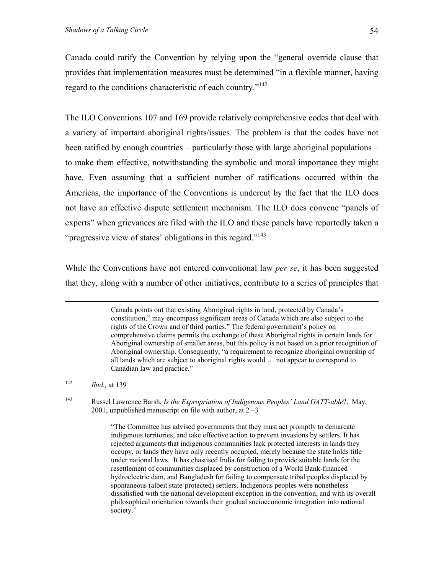Canada could ratify the Convention by relying upon the "general override clause that provides that implementation measures must be determined "in a flexible manner, having regard to the conditions characteristic of each country."<sup>142</sup>

The ILO Conventions 107 and 169 provide relatively comprehensive codes that deal with a variety of important aboriginal rights/issues. The problem is that the codes have not been ratified by enough countries – particularly those with large aboriginal populations – to make them effective, notwithstanding the symbolic and moral importance they might have. Even assuming that a sufficient number of ratifications occurred within the Americas, the importance of the Conventions is undercut by the fact that the ILO does not have an effective dispute settlement mechanism. The ILO does convene "panels of experts" when grievances are filed with the ILO and these panels have reportedly taken a "progressive view of states' obligations in this regard."<sup>143</sup>

While the Conventions have not entered conventional law *per se*, it has been suggested that they, along with a number of other initiatives, contribute to a series of principles that

<span id="page-53-0"></span>142 *Ibid.,* at 139

<span id="page-53-1"></span>143 Russel Lawrence Barsh, *Is the Expropriation of Indigenous Peoples' Land GATT-able*?, May, 2001, unpublished manuscript on file with author, at  $2 - 3$ 

> "The Committee has advised governments that they must act promptly to demarcate indigenous territories, and take effective action to prevent invasions by settlers. It has rejected arguments that indigenous communities lack protected interests in lands they occupy, or lands they have only recently occupied, merely because the state holds title under national laws. It has chastised India for failing to provide suitable lands for the resettlement of communities displaced by construction of a World Bank-financed hydroelectric dam, and Bangladesh for failing to compensate tribal peoples displaced by spontaneous (albeit state-protected) settlers. Indigenous peoples were nonetheless dissatisfied with the national development exception in the convention, and with its overall philosophical orientation towards their gradual socioeconomic integration into national society."

Canada points out that existing Aboriginal rights in land, protected by Canada's constitution," may encompass significant areas of Canada which are also subject to the rights of the Crown and of third parties." The federal government's policy on comprehensive claims permits the exchange of these Aboriginal rights in certain lands for Aboriginal ownership of smaller areas, but this policy is not based on a prior recognition of Aboriginal ownership. Consequently, "a requirement to recognize aboriginal ownership of all lands which are subject to aboriginal rights would … not appear to correspond to Canadian law and practice."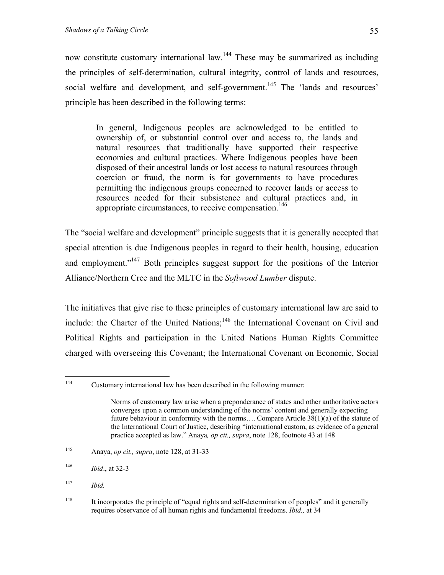now constitute customary international law.<sup>144</sup> These may be summarized as including the principles of self-determination, cultural integrity, control of lands and resources, social welfare and development, and self-government.<sup>145</sup> The 'lands and resources' principle has been described in the following terms:

In general, Indigenous peoples are acknowledged to be entitled to ownership of, or substantial control over and access to, the lands and natural resources that traditionally have supported their respective economies and cultural practices. Where Indigenous peoples have been disposed of their ancestral lands or lost access to natural resources through coercion or fraud, the norm is for governments to have procedures permitting the indigenous groups concerned to recover lands or access to resources needed for their subsistence and cultural practices and, in appropriate circumstances, to receive compensation.<sup>[146](#page-54-2)</sup>

The "social welfare and development" principle suggests that it is generally accepted that special attention is due Indigenous peoples in regard to their health, housing, education and employment."<sup>147</sup> Both principles suggest support for the positions of the Interior Alliance/Northern Cree and the MLTC in the *Softwood Lumber* dispute.

The initiatives that give rise to these principles of customary international law are said to include: the Charter of the United Nations;<sup>148</sup> the International Covenant on Civil and Political Rights and participation in the United Nations Human Rights Committee charged with overseeing this Covenant; the International Covenant on Economic, Social

<span id="page-54-1"></span>145 Anaya, *op cit., supra*, note 128, at 31-33

<span id="page-54-0"></span> $144$ Customary international law has been described in the following manner:

Norms of customary law arise when a preponderance of states and other authoritative actors converges upon a common understanding of the norms' content and generally expecting future behaviour in conformity with the norms…. Compare Article 38(1)(a) of the statute of the International Court of Justice, describing "international custom, as evidence of a general practice accepted as law." Anaya*, op cit., supra*, note 128, footnote 43 at 148

<span id="page-54-2"></span><sup>146</sup> *Ibid*., at 32-3

<span id="page-54-3"></span><sup>147</sup> *Ibid.* 

<span id="page-54-4"></span><sup>&</sup>lt;sup>148</sup> It incorporates the principle of "equal rights and self-determination of peoples" and it generally requires observance of all human rights and fundamental freedoms. *Ibid.,* at 34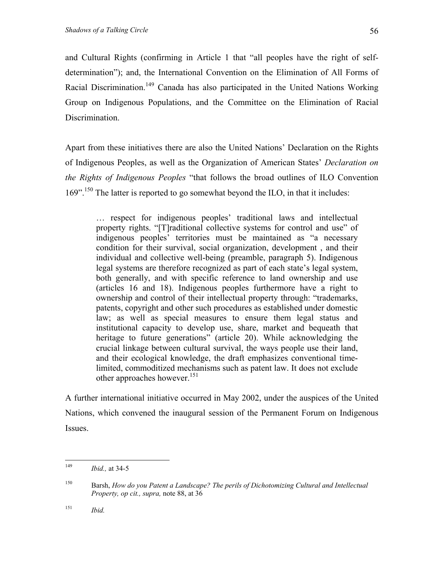and Cultural Rights (confirming in Article 1 that "all peoples have the right of selfdetermination"); and, the International Convention on the Elimination of All Forms of Racial Discrimination.<sup>149</sup> Canada has also participated in the United Nations Working Group on Indigenous Populations, and the Committee on the Elimination of Racial Discrimination.

Apart from these initiatives there are also the United Nations' Declaration on the Rights of Indigenous Peoples, as well as the Organization of American States' *Declaration on the Rights of Indigenous Peoples* "that follows the broad outlines of ILO Convention 169"[.150](#page-55-1) The latter is reported to go somewhat beyond the ILO, in that it includes:

… respect for indigenous peoples' traditional laws and intellectual property rights. "[T]raditional collective systems for control and use" of indigenous peoples' territories must be maintained as "a necessary condition for their survival, social organization, development , and their individual and collective well-being (preamble, paragraph 5). Indigenous legal systems are therefore recognized as part of each state's legal system, both generally, and with specific reference to land ownership and use (articles 16 and 18). Indigenous peoples furthermore have a right to ownership and control of their intellectual property through: "trademarks, patents, copyright and other such procedures as established under domestic law; as well as special measures to ensure them legal status and institutional capacity to develop use, share, market and bequeath that heritage to future generations" (article 20). While acknowledging the crucial linkage between cultural survival, the ways people use their land, and their ecological knowledge, the draft emphasizes conventional timelimited, commoditized mechanisms such as patent law. It does not exclude other approaches however.<sup>[151](#page-55-2)</sup>

A further international initiative occurred in May 2002, under the auspices of the United Nations, which convened the inaugural session of the Permanent Forum on Indigenous Issues.

<span id="page-55-2"></span>151 *Ibid.* 

<span id="page-55-0"></span><sup>149</sup> *Ibid.*, at 34-5

<span id="page-55-1"></span><sup>150</sup> Barsh, *How do you Patent a Landscape? The perils of Dichotomizing Cultural and Intellectual Property, op cit., supra,* note 88, at 36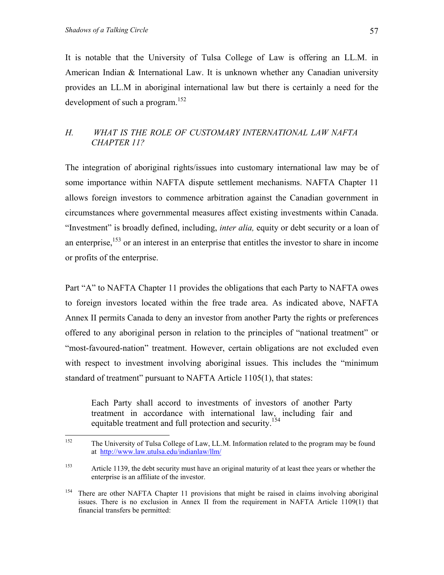<span id="page-56-2"></span>It is notable that the University of Tulsa College of Law is offering an LL.M. in American Indian & International Law. It is unknown whether any Canadian university provides an LL.M in aboriginal international law but there is certainly a need for the development of such a program.<sup>152</sup>

# *H. WHAT IS THE ROLE OF CUSTOMARY INTERNATIONAL LAW NAFTA CHAPTER 11?*

The integration of aboriginal rights/issues into customary international law may be of some importance within NAFTA dispute settlement mechanisms. NAFTA Chapter 11 allows foreign investors to commence arbitration against the Canadian government in circumstances where governmental measures affect existing investments within Canada. "Investment" is broadly defined, including, *inter alia,* equity or debt security or a loan of an enterprise, $153$  or an interest in an enterprise that entitles the investor to share in income or profits of the enterprise.

Part "A" to NAFTA Chapter 11 provides the obligations that each Party to NAFTA owes to foreign investors located within the free trade area. As indicated above, NAFTA Annex II permits Canada to deny an investor from another Party the rights or preferences offered to any aboriginal person in relation to the principles of "national treatment" or "most-favoured-nation" treatment. However, certain obligations are not excluded even with respect to investment involving aboriginal issues. This includes the "minimum standard of treatment" pursuant to NAFTA Article 1105(1), that states:

Each Party shall accord to investments of investors of another Party treatment in accordance with international law, including fair and equitable treatment and full protection and security.<sup>154</sup>

<span id="page-56-0"></span><sup>152</sup> The University of Tulsa College of Law, LL.M. Information related to the program may be found at <http://www.law.utulsa.edu/indianlaw/llm/>

<span id="page-56-1"></span><sup>&</sup>lt;sup>153</sup> Article 1139, the debt security must have an original maturity of at least thee years or whether the enterprise is an affiliate of the investor.

<sup>&</sup>lt;sup>154</sup> There are other NAFTA Chapter 11 provisions that might be raised in claims involving aboriginal issues. There is no exclusion in Annex II from the requirement in NAFTA Article 1109(1) that financial transfers be permitted: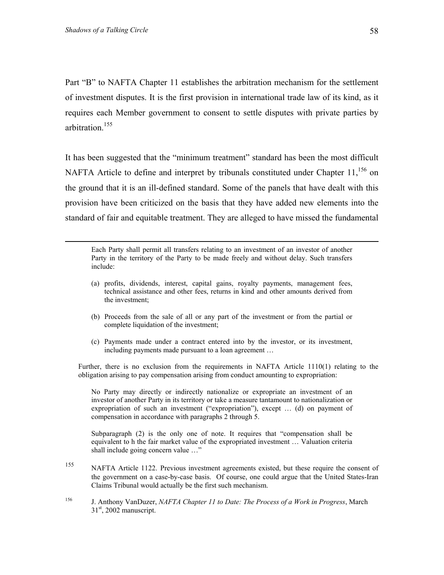Part "B" to NAFTA Chapter 11 establishes the arbitration mechanism for the settlement of investment disputes. It is the first provision in international trade law of its kind, as it requires each Member government to consent to settle disputes with private parties by arbitration.<sup>155</sup>

It has been suggested that the "minimum treatment" standard has been the most difficult NAFTA Article to define and interpret by tribunals constituted under Chapter  $11$ ,  $^{156}$  on the ground that it is an ill-defined standard. Some of the panels that have dealt with this provision have been criticized on the basis that they have added new elements into the standard of fair and equitable treatment. They are alleged to have missed the fundamental

 Each Party shall permit all transfers relating to an investment of an investor of another Party in the territory of the Party to be made freely and without delay. Such transfers include:

- (a) profits, dividends, interest, capital gains, royalty payments, management fees, technical assistance and other fees, returns in kind and other amounts derived from the investment;
- (b) Proceeds from the sale of all or any part of the investment or from the partial or complete liquidation of the investment;
- (c) Payments made under a contract entered into by the investor, or its investment, including payments made pursuant to a loan agreement …

Further, there is no exclusion from the requirements in NAFTA Article 1110(1) relating to the obligation arising to pay compensation arising from conduct amounting to expropriation:

No Party may directly or indirectly nationalize or expropriate an investment of an investor of another Party in its territory or take a measure tantamount to nationalization or expropriation of such an investment ("expropriation"), except … (d) on payment of compensation in accordance with paragraphs 2 through 5.

Subparagraph (2) is the only one of note. It requires that "compensation shall be equivalent to h the fair market value of the expropriated investment … Valuation criteria shall include going concern value …"

- <span id="page-57-0"></span>155 NAFTA Article 1122. Previous investment agreements existed, but these require the consent of the government on a case-by-case basis. Of course, one could argue that the United States-Iran Claims Tribunal would actually be the first such mechanism.
- <span id="page-57-1"></span>156 J. Anthony VanDuzer, *NAFTA Chapter 11 to Date: The Process of a Work in Progress*, March  $31<sup>st</sup>$ , 2002 manuscript.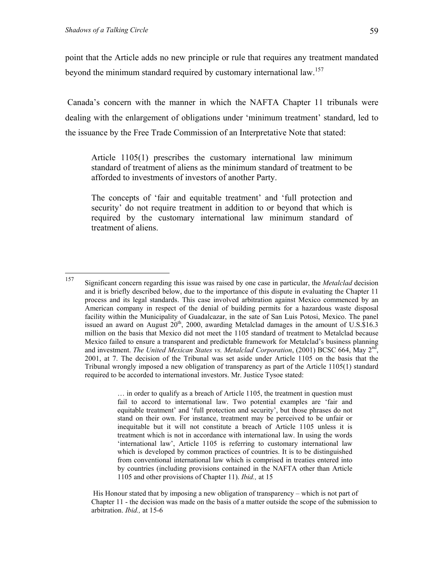point that the Article adds no new principle or rule that requires any treatment mandated beyond the minimum standard required by customary international law.<sup>157</sup>

 Canada's concern with the manner in which the NAFTA Chapter 11 tribunals were dealing with the enlargement of obligations under 'minimum treatment' standard, led to the issuance by the Free Trade Commission of an Interpretative Note that stated:

Article 1105(1) prescribes the customary international law minimum standard of treatment of aliens as the minimum standard of treatment to be afforded to investments of investors of another Party.

The concepts of 'fair and equitable treatment' and 'full protection and security' do not require treatment in addition to or beyond that which is required by the customary international law minimum standard of treatment of aliens.

… in order to qualify as a breach of Article 1105, the treatment in question must fail to accord to international law. Two potential examples are 'fair and equitable treatment' and 'full protection and security', but those phrases do not stand on their own. For instance, treatment may be perceived to be unfair or inequitable but it will not constitute a breach of Article 1105 unless it is treatment which is not in accordance with international law. In using the words 'international law', Article 1105 is referring to customary international law which is developed by common practices of countries. It is to be distinguished from conventional international law which is comprised in treaties entered into by countries (including provisions contained in the NAFTA other than Article 1105 and other provisions of Chapter 11). *Ibid.,* at 15

 His Honour stated that by imposing a new obligation of transparency – which is not part of Chapter 11 - the decision was made on the basis of a matter outside the scope of the submission to arbitration. *Ibid.,* at 15-6

<span id="page-58-0"></span><sup>157</sup> 157 Significant concern regarding this issue was raised by one case in particular, the *Metalclad* decision and it is briefly described below, due to the importance of this dispute in evaluating the Chapter 11 process and its legal standards. This case involved arbitration against Mexico commenced by an American company in respect of the denial of building permits for a hazardous waste disposal facility within the Municipality of Guadalcazar, in the sate of San Luis Potosi, Mexico. The panel issued an award on August  $20<sup>th</sup>$ , 2000, awarding Metalclad damages in the amount of U.S.\$16.3 million on the basis that Mexico did not meet the 1105 standard of treatment to Metalclad because Mexico failed to ensure a transparent and predictable framework for Metalclad's business planning and investment. *The United Mexican States vs. Metalclad Corporation*, (2001) BCSC 664, May 2<sup>nd</sup>, 2001, at 7. The decision of the Tribunal was set aside under Article 1105 on the basis that the Tribunal wrongly imposed a new obligation of transparency as part of the Article 1105(1) standard required to be accorded to international investors. Mr. Justice Tysoe stated: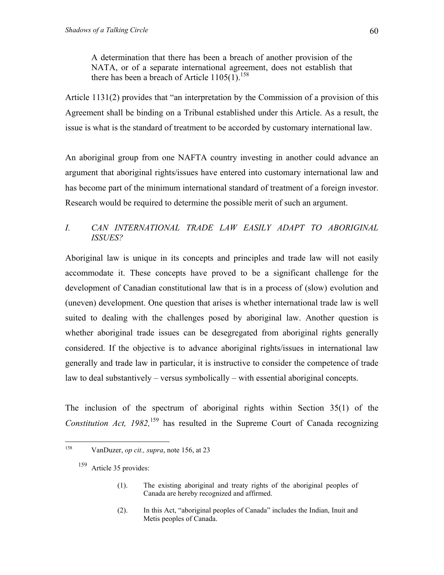there has been a breach of Article  $1105(1)$ .<sup>158</sup>

<span id="page-59-1"></span>Article 1131(2) provides that "an interpretation by the Commission of a provision of this Agreement shall be binding on a Tribunal established under this Article. As a result, the issue is what is the standard of treatment to be accorded by customary international law.

An aboriginal group from one NAFTA country investing in another could advance an argument that aboriginal rights/issues have entered into customary international law and has become part of the minimum international standard of treatment of a foreign investor. Research would be required to determine the possible merit of such an argument.

# *I. CAN INTERNATIONAL TRADE LAW EASILY ADAPT TO ABORIGINAL ISSUES?*

Aboriginal law is unique in its concepts and principles and trade law will not easily accommodate it. These concepts have proved to be a significant challenge for the development of Canadian constitutional law that is in a process of (slow) evolution and (uneven) development. One question that arises is whether international trade law is well suited to dealing with the challenges posed by aboriginal law. Another question is whether aboriginal trade issues can be desegregated from aboriginal rights generally considered. If the objective is to advance aboriginal rights/issues in international law generally and trade law in particular, it is instructive to consider the competence of trade law to deal substantively – versus symbolically – with essential aboriginal concepts.

The inclusion of the spectrum of aboriginal rights within Section 35(1) of the *Constitution Act, 1982*,<sup>159</sup> has resulted in the Supreme Court of Canada recognizing

(2). In this Act, "aboriginal peoples of Canada" includes the Indian, Inuit and Metis peoples of Canada.

<span id="page-59-0"></span><sup>158</sup> 158 VanDuzer, *op cit., supra*, note 156, at 23

<sup>159</sup> Article 35 provides:

<sup>(1).</sup> The existing aboriginal and treaty rights of the aboriginal peoples of Canada are hereby recognized and affirmed.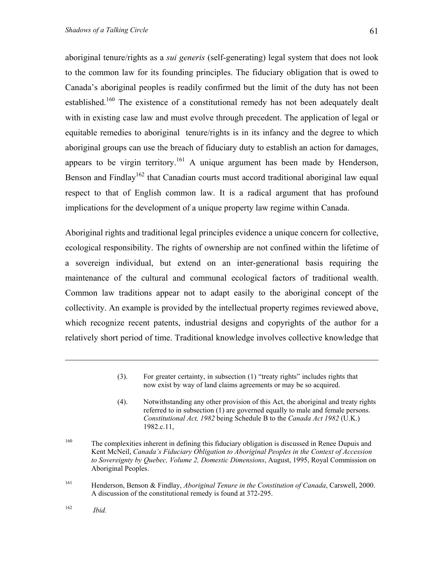aboriginal tenure/rights as a *sui generis* (self-generating) legal system that does not look to the common law for its founding principles. The fiduciary obligation that is owed to Canada's aboriginal peoples is readily confirmed but the limit of the duty has not been established.<sup>160</sup> The existence of a constitutional remedy has not been adequately dealt with in existing case law and must evolve through precedent. The application of legal or equitable remedies to aboriginal tenure/rights is in its infancy and the degree to which aboriginal groups can use the breach of fiduciary duty to establish an action for damages, appears to be virgin territory.<sup>161</sup> A unique argument has been made by Henderson, Benson and Findlay<sup>162</sup> that Canadian courts must accord traditional aboriginal law equal respect to that of English common law. It is a radical argument that has profound implications for the development of a unique property law regime within Canada.

Aboriginal rights and traditional legal principles evidence a unique concern for collective, ecological responsibility. The rights of ownership are not confined within the lifetime of a sovereign individual, but extend on an inter-generational basis requiring the maintenance of the cultural and communal ecological factors of traditional wealth. Common law traditions appear not to adapt easily to the aboriginal concept of the collectivity. An example is provided by the intellectual property regimes reviewed above, which recognize recent patents, industrial designs and copyrights of the author for a relatively short period of time. Traditional knowledge involves collective knowledge that

(4). Notwithstanding any other provision of this Act, the aboriginal and treaty rights referred to in subsection (1) are governed equally to male and female persons. *Constitutional Act, 1982* being Schedule B to the *Canada Act 1982* (U.K.) 1982.c.11,

1

<sup>(3).</sup> For greater certainty, in subsection (1) "treaty rights" includes rights that now exist by way of land claims agreements or may be so acquired.

<span id="page-60-0"></span><sup>&</sup>lt;sup>160</sup> The complexities inherent in defining this fiduciary obligation is discussed in Renee Dupuis and Kent McNeil, *Canada's Fiduciary Obligation to Aboriginal Peoples in the Context of Accession to Sovereignty by Quebec, Volume 2, Domestic Dimensions*, August, 1995, Royal Commission on Aboriginal Peoples.

<span id="page-60-1"></span><sup>161</sup> Henderson, Benson & Findlay, *Aboriginal Tenure in the Constitution of Canada*, Carswell, 2000. A discussion of the constitutional remedy is found at 372-295.

<span id="page-60-2"></span><sup>162</sup> *Ibid.*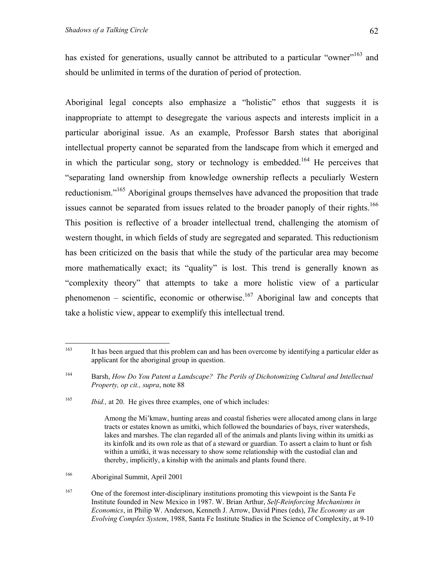has existed for generations, usually cannot be attributed to a particular "owner"<sup>163</sup> and should be unlimited in terms of the duration of period of protection.

Aboriginal legal concepts also emphasize a "holistic" ethos that suggests it is inappropriate to attempt to desegregate the various aspects and interests implicit in a particular aboriginal issue. As an example, Professor Barsh states that aboriginal intellectual property cannot be separated from the landscape from which it emerged and in which the particular song, story or technology is embedded.<sup>164</sup> He perceives that "separating land ownership from knowledge ownership reflects a peculiarly Western reductionism."[165](#page-61-2) Aboriginal groups themselves have advanced the proposition that trade issues cannot be separated from issues related to the broader panoply of their rights.<sup>166</sup> This position is reflective of a broader intellectual trend, challenging the atomism of western thought, in which fields of study are segregated and separated. This reductionism has been criticized on the basis that while the study of the particular area may become more mathematically exact; its "quality" is lost. This trend is generally known as "complexity theory" that attempts to take a more holistic view of a particular phenomenon – scientific, economic or otherwise.<sup>167</sup> Aboriginal law and concepts that take a holistic view, appear to exemplify this intellectual trend.

<span id="page-61-3"></span>166 Aboriginal Summit, April 2001

<span id="page-61-4"></span><sup>167</sup> One of the foremost inter-disciplinary institutions promoting this viewpoint is the Santa Fe Institute founded in New Mexico in 1987. W. Brian Arthur, *Self-Reinforcing Mechanisms in Economics*, in Philip W. Anderson, Kenneth J. Arrow, David Pines (eds), *The Economy as an Evolving Complex System*, 1988, Santa Fe Institute Studies in the Science of Complexity, at 9-10

<span id="page-61-0"></span><sup>163</sup> It has been argued that this problem can and has been overcome by identifying a particular elder as applicant for the aboriginal group in question.

<span id="page-61-1"></span><sup>164</sup> Barsh, *How Do You Patent a Landscape? The Perils of Dichotomizing Cultural and Intellectual Property, op cit., supra*, note 88

<span id="page-61-2"></span><sup>165</sup> *Ibid.,* at 20. He gives three examples, one of which includes:

Among the Mi'kmaw, hunting areas and coastal fisheries were allocated among clans in large tracts or estates known as umitki, which followed the boundaries of bays, river watersheds, lakes and marshes. The clan regarded all of the animals and plants living within its umitki as its kinfolk and its own role as that of a steward or guardian. To assert a claim to hunt or fish within a umitki, it was necessary to show some relationship with the custodial clan and thereby, implicitly, a kinship with the animals and plants found there.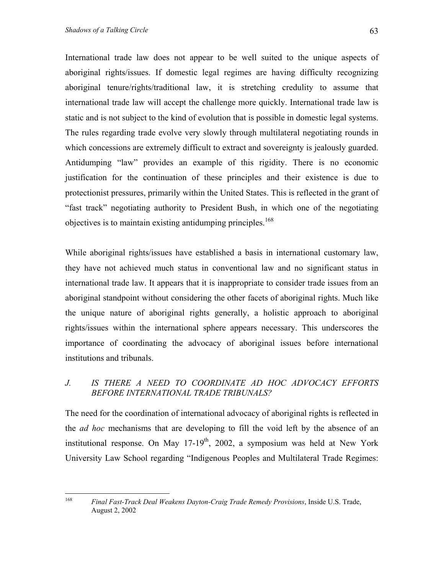International trade law does not appear to be well suited to the unique aspects of aboriginal rights/issues. If domestic legal regimes are having difficulty recognizing aboriginal tenure/rights/traditional law, it is stretching credulity to assume that international trade law will accept the challenge more quickly. International trade law is static and is not subject to the kind of evolution that is possible in domestic legal systems. The rules regarding trade evolve very slowly through multilateral negotiating rounds in which concessions are extremely difficult to extract and sovereignty is jealously guarded. Antidumping "law" provides an example of this rigidity. There is no economic justification for the continuation of these principles and their existence is due to protectionist pressures, primarily within the United States. This is reflected in the grant of "fast track" negotiating authority to President Bush, in which one of the negotiating objectives is to maintain existing antidumping principles.<sup>[168](#page-62-0)</sup>

While aboriginal rights/issues have established a basis in international customary law, they have not achieved much status in conventional law and no significant status in international trade law. It appears that it is inappropriate to consider trade issues from an aboriginal standpoint without considering the other facets of aboriginal rights. Much like the unique nature of aboriginal rights generally, a holistic approach to aboriginal rights/issues within the international sphere appears necessary. This underscores the importance of coordinating the advocacy of aboriginal issues before international institutions and tribunals.

### *J. IS THERE A NEED TO COORDINATE AD HOC ADVOCACY EFFORTS BEFORE INTERNATIONAL TRADE TRIBUNALS?*

The need for the coordination of international advocacy of aboriginal rights is reflected in the *ad hoc* mechanisms that are developing to fill the void left by the absence of an institutional response. On May  $17-19^{th}$ , 2002, a symposium was held at New York University Law School regarding "Indigenous Peoples and Multilateral Trade Regimes:

<span id="page-62-0"></span><sup>168</sup> 168 *Final Fast-Track Deal Weakens Dayton-Craig Trade Remedy Provisions*, Inside U.S. Trade, August 2, 2002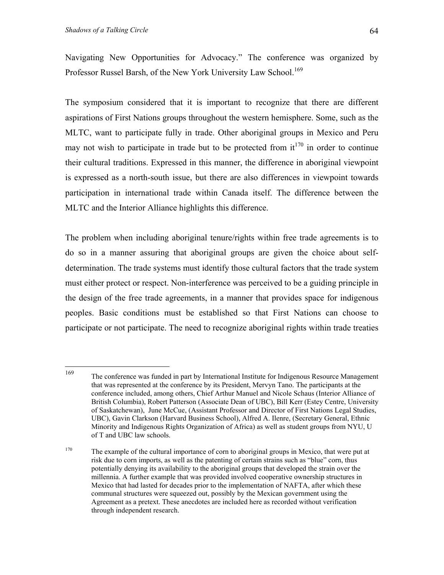Navigating New Opportunities for Advocacy." The conference was organized by Professor Russel Barsh, of the New York University Law School.<sup>[169](#page-63-0)</sup>

The symposium considered that it is important to recognize that there are different aspirations of First Nations groups throughout the western hemisphere. Some, such as the MLTC, want to participate fully in trade. Other aboriginal groups in Mexico and Peru may not wish to participate in trade but to be protected from  $it^{170}$  in order to continue their cultural traditions. Expressed in this manner, the difference in aboriginal viewpoint is expressed as a north-south issue, but there are also differences in viewpoint towards participation in international trade within Canada itself. The difference between the MLTC and the Interior Alliance highlights this difference.

The problem when including aboriginal tenure/rights within free trade agreements is to do so in a manner assuring that aboriginal groups are given the choice about selfdetermination. The trade systems must identify those cultural factors that the trade system must either protect or respect. Non-interference was perceived to be a guiding principle in the design of the free trade agreements, in a manner that provides space for indigenous peoples. Basic conditions must be established so that First Nations can choose to participate or not participate. The need to recognize aboriginal rights within trade treaties

<span id="page-63-0"></span><sup>169</sup> 169 The conference was funded in part by International Institute for Indigenous Resource Management that was represented at the conference by its President, Mervyn Tano. The participants at the conference included, among others, Chief Arthur Manuel and Nicole Schaus (Interior Alliance of British Columbia), Robert Patterson (Associate Dean of UBC), Bill Kerr (Estey Centre, University of Saskatchewan), June McCue, (Assistant Professor and Director of First Nations Legal Studies, UBC), Gavin Clarkson (Harvard Business School), Alfred A. Ilenre, (Secretary General, Ethnic Minority and Indigenous Rights Organization of Africa) as well as student groups from NYU, U of T and UBC law schools.

<span id="page-63-1"></span><sup>&</sup>lt;sup>170</sup> The example of the cultural importance of corn to aboriginal groups in Mexico, that were put at risk due to corn imports, as well as the patenting of certain strains such as "blue" corn, thus potentially denying its availability to the aboriginal groups that developed the strain over the millennia. A further example that was provided involved cooperative ownership structures in Mexico that had lasted for decades prior to the implementation of NAFTA, after which these communal structures were squeezed out, possibly by the Mexican government using the Agreement as a pretext. These anecdotes are included here as recorded without verification through independent research.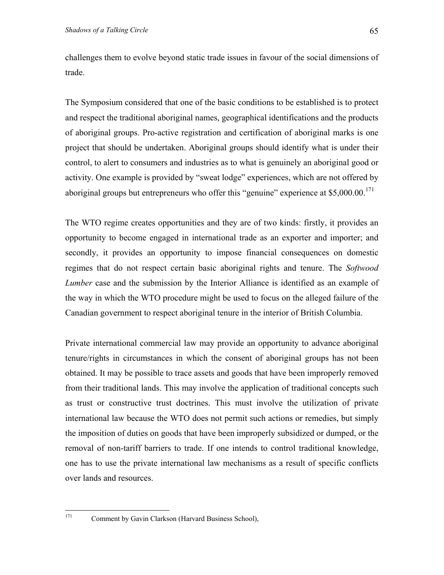challenges them to evolve beyond static trade issues in favour of the social dimensions of trade.

The Symposium considered that one of the basic conditions to be established is to protect and respect the traditional aboriginal names, geographical identifications and the products of aboriginal groups. Pro-active registration and certification of aboriginal marks is one project that should be undertaken. Aboriginal groups should identify what is under their control, to alert to consumers and industries as to what is genuinely an aboriginal good or activity. One example is provided by "sweat lodge" experiences, which are not offered by aboriginal groups but entrepreneurs who offer this "genuine" experience at \$5,000.00.<sup>171</sup>

The WTO regime creates opportunities and they are of two kinds: firstly, it provides an opportunity to become engaged in international trade as an exporter and importer; and secondly, it provides an opportunity to impose financial consequences on domestic regimes that do not respect certain basic aboriginal rights and tenure. The *Softwood Lumber* case and the submission by the Interior Alliance is identified as an example of the way in which the WTO procedure might be used to focus on the alleged failure of the Canadian government to respect aboriginal tenure in the interior of British Columbia.

Private international commercial law may provide an opportunity to advance aboriginal tenure/rights in circumstances in which the consent of aboriginal groups has not been obtained. It may be possible to trace assets and goods that have been improperly removed from their traditional lands. This may involve the application of traditional concepts such as trust or constructive trust doctrines. This must involve the utilization of private international law because the WTO does not permit such actions or remedies, but simply the imposition of duties on goods that have been improperly subsidized or dumped, or the removal of non-tariff barriers to trade. If one intends to control traditional knowledge, one has to use the private international law mechanisms as a result of specific conflicts over lands and resources.

<span id="page-64-0"></span>171

Comment by Gavin Clarkson (Harvard Business School),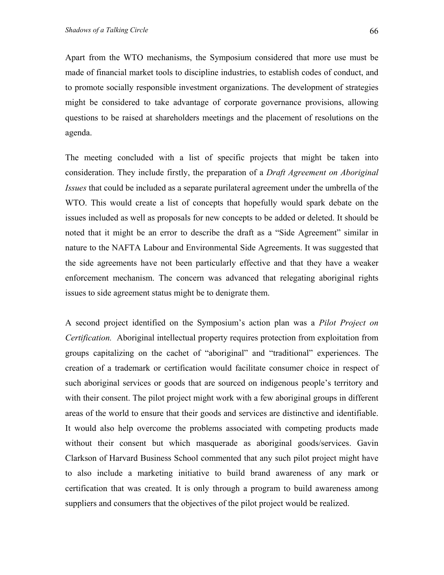Apart from the WTO mechanisms, the Symposium considered that more use must be made of financial market tools to discipline industries, to establish codes of conduct, and to promote socially responsible investment organizations. The development of strategies might be considered to take advantage of corporate governance provisions, allowing questions to be raised at shareholders meetings and the placement of resolutions on the agenda.

The meeting concluded with a list of specific projects that might be taken into consideration. They include firstly, the preparation of a *Draft Agreement on Aboriginal Issues* that could be included as a separate purilateral agreement under the umbrella of the WTO. This would create a list of concepts that hopefully would spark debate on the issues included as well as proposals for new concepts to be added or deleted. It should be noted that it might be an error to describe the draft as a "Side Agreement" similar in nature to the NAFTA Labour and Environmental Side Agreements. It was suggested that the side agreements have not been particularly effective and that they have a weaker enforcement mechanism. The concern was advanced that relegating aboriginal rights issues to side agreement status might be to denigrate them.

A second project identified on the Symposium's action plan was a *Pilot Project on Certification.* Aboriginal intellectual property requires protection from exploitation from groups capitalizing on the cachet of "aboriginal" and "traditional" experiences. The creation of a trademark or certification would facilitate consumer choice in respect of such aboriginal services or goods that are sourced on indigenous people's territory and with their consent. The pilot project might work with a few aboriginal groups in different areas of the world to ensure that their goods and services are distinctive and identifiable. It would also help overcome the problems associated with competing products made without their consent but which masquerade as aboriginal goods/services. Gavin Clarkson of Harvard Business School commented that any such pilot project might have to also include a marketing initiative to build brand awareness of any mark or certification that was created. It is only through a program to build awareness among suppliers and consumers that the objectives of the pilot project would be realized.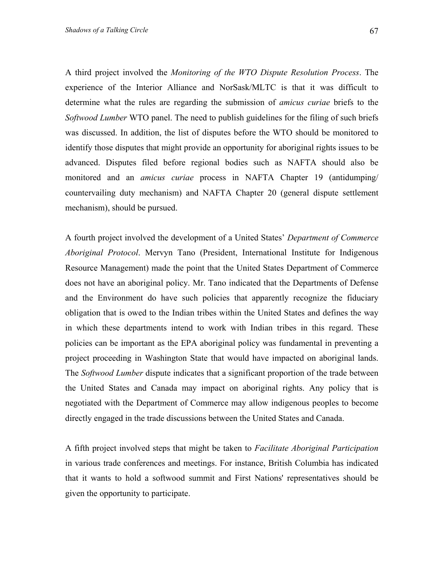A third project involved the *Monitoring of the WTO Dispute Resolution Process*. The experience of the Interior Alliance and NorSask/MLTC is that it was difficult to determine what the rules are regarding the submission of *amicus curiae* briefs to the *Softwood Lumber* WTO panel. The need to publish guidelines for the filing of such briefs was discussed. In addition, the list of disputes before the WTO should be monitored to identify those disputes that might provide an opportunity for aboriginal rights issues to be advanced. Disputes filed before regional bodies such as NAFTA should also be monitored and an *amicus curiae* process in NAFTA Chapter 19 (antidumping/ countervailing duty mechanism) and NAFTA Chapter 20 (general dispute settlement mechanism), should be pursued.

A fourth project involved the development of a United States' *Department of Commerce Aboriginal Protocol*. Mervyn Tano (President, International Institute for Indigenous Resource Management) made the point that the United States Department of Commerce does not have an aboriginal policy. Mr. Tano indicated that the Departments of Defense and the Environment do have such policies that apparently recognize the fiduciary obligation that is owed to the Indian tribes within the United States and defines the way in which these departments intend to work with Indian tribes in this regard. These policies can be important as the EPA aboriginal policy was fundamental in preventing a project proceeding in Washington State that would have impacted on aboriginal lands. The *Softwood Lumber* dispute indicates that a significant proportion of the trade between the United States and Canada may impact on aboriginal rights. Any policy that is negotiated with the Department of Commerce may allow indigenous peoples to become directly engaged in the trade discussions between the United States and Canada.

A fifth project involved steps that might be taken to *Facilitate Aboriginal Participation*  in various trade conferences and meetings. For instance, British Columbia has indicated that it wants to hold a softwood summit and First Nations' representatives should be given the opportunity to participate.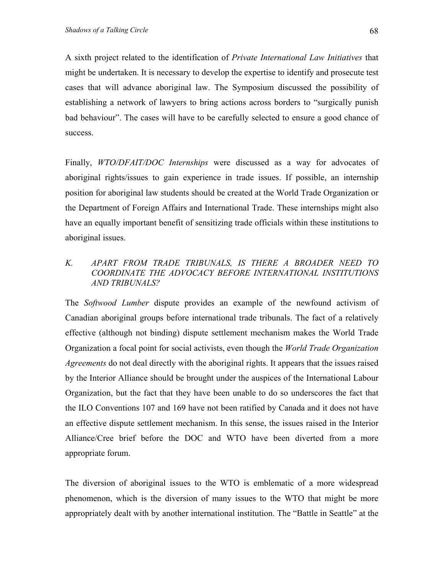A sixth project related to the identification of *Private International Law Initiatives* that might be undertaken. It is necessary to develop the expertise to identify and prosecute test cases that will advance aboriginal law. The Symposium discussed the possibility of establishing a network of lawyers to bring actions across borders to "surgically punish bad behaviour". The cases will have to be carefully selected to ensure a good chance of success.

Finally, *WTO/DFAIT/DOC Internships* were discussed as a way for advocates of aboriginal rights/issues to gain experience in trade issues. If possible, an internship position for aboriginal law students should be created at the World Trade Organization or the Department of Foreign Affairs and International Trade. These internships might also have an equally important benefit of sensitizing trade officials within these institutions to aboriginal issues.

#### *K. APART FROM TRADE TRIBUNALS, IS THERE A BROADER NEED TO COORDINATE THE ADVOCACY BEFORE INTERNATIONAL INSTITUTIONS AND TRIBUNALS?*

The *Softwood Lumber* dispute provides an example of the newfound activism of Canadian aboriginal groups before international trade tribunals. The fact of a relatively effective (although not binding) dispute settlement mechanism makes the World Trade Organization a focal point for social activists, even though the *World Trade Organization Agreements* do not deal directly with the aboriginal rights. It appears that the issues raised by the Interior Alliance should be brought under the auspices of the International Labour Organization, but the fact that they have been unable to do so underscores the fact that the ILO Conventions 107 and 169 have not been ratified by Canada and it does not have an effective dispute settlement mechanism. In this sense, the issues raised in the Interior Alliance/Cree brief before the DOC and WTO have been diverted from a more appropriate forum.

The diversion of aboriginal issues to the WTO is emblematic of a more widespread phenomenon, which is the diversion of many issues to the WTO that might be more appropriately dealt with by another international institution. The "Battle in Seattle" at the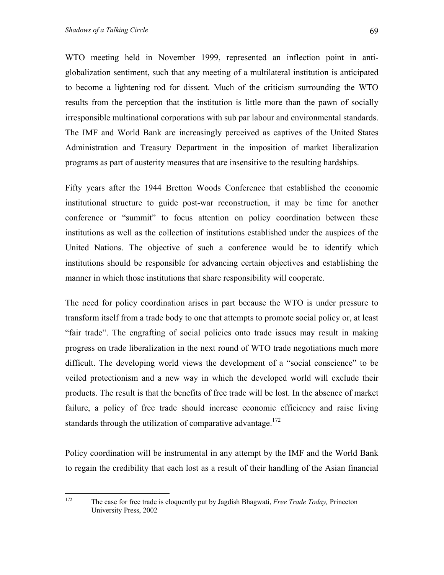WTO meeting held in November 1999, represented an inflection point in antiglobalization sentiment, such that any meeting of a multilateral institution is anticipated to become a lightening rod for dissent. Much of the criticism surrounding the WTO results from the perception that the institution is little more than the pawn of socially irresponsible multinational corporations with sub par labour and environmental standards. The IMF and World Bank are increasingly perceived as captives of the United States Administration and Treasury Department in the imposition of market liberalization programs as part of austerity measures that are insensitive to the resulting hardships.

Fifty years after the 1944 Bretton Woods Conference that established the economic institutional structure to guide post-war reconstruction, it may be time for another conference or "summit" to focus attention on policy coordination between these institutions as well as the collection of institutions established under the auspices of the United Nations. The objective of such a conference would be to identify which institutions should be responsible for advancing certain objectives and establishing the manner in which those institutions that share responsibility will cooperate.

The need for policy coordination arises in part because the WTO is under pressure to transform itself from a trade body to one that attempts to promote social policy or, at least "fair trade". The engrafting of social policies onto trade issues may result in making progress on trade liberalization in the next round of WTO trade negotiations much more difficult. The developing world views the development of a "social conscience" to be veiled protectionism and a new way in which the developed world will exclude their products. The result is that the benefits of free trade will be lost. In the absence of market failure, a policy of free trade should increase economic efficiency and raise living standards through the utilization of comparative advantage.<sup>172</sup>

Policy coordination will be instrumental in any attempt by the IMF and the World Bank to regain the credibility that each lost as a result of their handling of the Asian financial

<span id="page-68-0"></span><sup>172</sup> 172 The case for free trade is eloquently put by Jagdish Bhagwati, *Free Trade Today,* Princeton University Press, 2002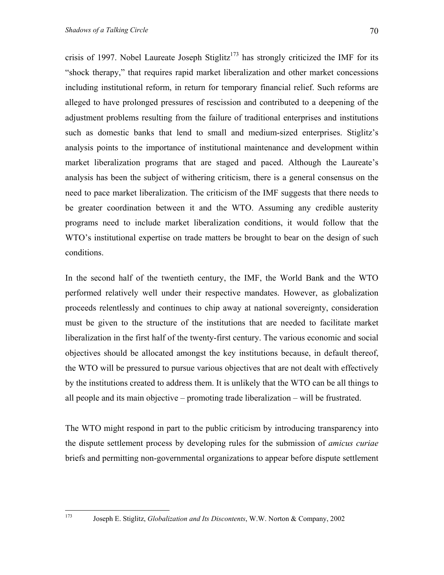crisis of 1997. Nobel Laureate Joseph Stiglitz<sup>173</sup> has strongly criticized the IMF for its "shock therapy," that requires rapid market liberalization and other market concessions including institutional reform, in return for temporary financial relief. Such reforms are alleged to have prolonged pressures of rescission and contributed to a deepening of the adjustment problems resulting from the failure of traditional enterprises and institutions such as domestic banks that lend to small and medium-sized enterprises. Stiglitz's analysis points to the importance of institutional maintenance and development within market liberalization programs that are staged and paced. Although the Laureate's analysis has been the subject of withering criticism, there is a general consensus on the need to pace market liberalization. The criticism of the IMF suggests that there needs to be greater coordination between it and the WTO. Assuming any credible austerity programs need to include market liberalization conditions, it would follow that the WTO's institutional expertise on trade matters be brought to bear on the design of such conditions.

In the second half of the twentieth century, the IMF, the World Bank and the WTO performed relatively well under their respective mandates. However, as globalization proceeds relentlessly and continues to chip away at national sovereignty, consideration must be given to the structure of the institutions that are needed to facilitate market liberalization in the first half of the twenty-first century. The various economic and social objectives should be allocated amongst the key institutions because, in default thereof, the WTO will be pressured to pursue various objectives that are not dealt with effectively by the institutions created to address them. It is unlikely that the WTO can be all things to all people and its main objective – promoting trade liberalization – will be frustrated.

The WTO might respond in part to the public criticism by introducing transparency into the dispute settlement process by developing rules for the submission of *amicus curiae* briefs and permitting non-governmental organizations to appear before dispute settlement

<span id="page-69-0"></span>173

<sup>173</sup> Joseph E. Stiglitz, *Globalization and Its Discontents*, W.W. Norton & Company, 2002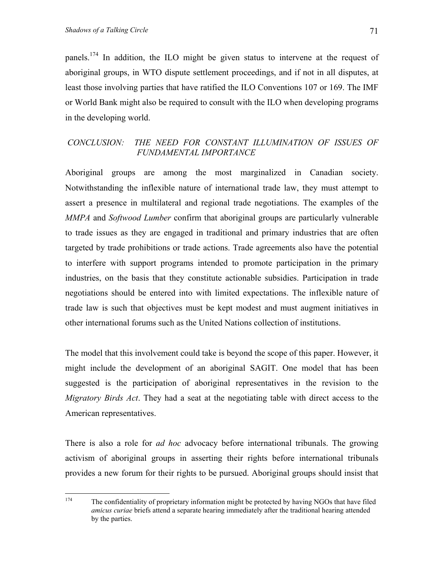panels.[174](#page-70-0) In addition, the ILO might be given status to intervene at the request of aboriginal groups, in WTO dispute settlement proceedings, and if not in all disputes, at least those involving parties that have ratified the ILO Conventions 107 or 169. The IMF or World Bank might also be required to consult with the ILO when developing programs in the developing world.

### *CONCLUSION: THE NEED FOR CONSTANT ILLUMINATION OF ISSUES OF FUNDAMENTAL IMPORTANCE*

Aboriginal groups are among the most marginalized in Canadian society. Notwithstanding the inflexible nature of international trade law, they must attempt to assert a presence in multilateral and regional trade negotiations. The examples of the *MMPA* and *Softwood Lumber* confirm that aboriginal groups are particularly vulnerable to trade issues as they are engaged in traditional and primary industries that are often targeted by trade prohibitions or trade actions. Trade agreements also have the potential to interfere with support programs intended to promote participation in the primary industries, on the basis that they constitute actionable subsidies. Participation in trade negotiations should be entered into with limited expectations. The inflexible nature of trade law is such that objectives must be kept modest and must augment initiatives in other international forums such as the United Nations collection of institutions.

The model that this involvement could take is beyond the scope of this paper. However, it might include the development of an aboriginal SAGIT. One model that has been suggested is the participation of aboriginal representatives in the revision to the *Migratory Birds Act*. They had a seat at the negotiating table with direct access to the American representatives.

There is also a role for *ad hoc* advocacy before international tribunals. The growing activism of aboriginal groups in asserting their rights before international tribunals provides a new forum for their rights to be pursued. Aboriginal groups should insist that

<span id="page-70-0"></span><sup>174</sup> The confidentiality of proprietary information might be protected by having NGOs that have filed *amicus curiae* briefs attend a separate hearing immediately after the traditional hearing attended by the parties.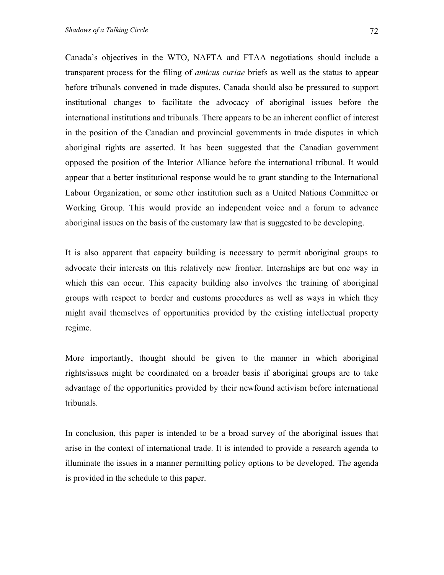Canada's objectives in the WTO, NAFTA and FTAA negotiations should include a transparent process for the filing of *amicus curiae* briefs as well as the status to appear before tribunals convened in trade disputes. Canada should also be pressured to support institutional changes to facilitate the advocacy of aboriginal issues before the international institutions and tribunals. There appears to be an inherent conflict of interest in the position of the Canadian and provincial governments in trade disputes in which aboriginal rights are asserted. It has been suggested that the Canadian government opposed the position of the Interior Alliance before the international tribunal. It would appear that a better institutional response would be to grant standing to the International Labour Organization, or some other institution such as a United Nations Committee or Working Group. This would provide an independent voice and a forum to advance aboriginal issues on the basis of the customary law that is suggested to be developing.

It is also apparent that capacity building is necessary to permit aboriginal groups to advocate their interests on this relatively new frontier. Internships are but one way in which this can occur. This capacity building also involves the training of aboriginal groups with respect to border and customs procedures as well as ways in which they might avail themselves of opportunities provided by the existing intellectual property regime.

More importantly, thought should be given to the manner in which aboriginal rights/issues might be coordinated on a broader basis if aboriginal groups are to take advantage of the opportunities provided by their newfound activism before international tribunals.

In conclusion, this paper is intended to be a broad survey of the aboriginal issues that arise in the context of international trade. It is intended to provide a research agenda to illuminate the issues in a manner permitting policy options to be developed. The agenda is provided in the schedule to this paper.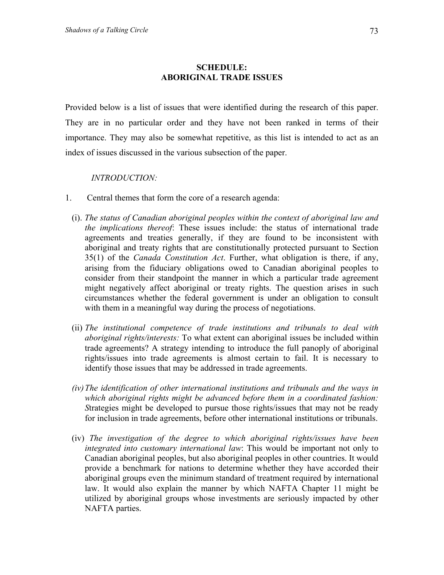## **SCHEDULE: ABORIGINAL TRADE ISSUES**

Provided below is a list of issues that were identified during the research of this paper. They are in no particular order and they have not been ranked in terms of their importance. They may also be somewhat repetitive, as this list is intended to act as an index of issues discussed in the various subsection of the paper.

*INTRODUCTION:* 

- 1. Central themes that form the core of a research agenda:
	- (i). *The status of Canadian aboriginal peoples within the context of aboriginal law and the implications thereof*: These issues include: the status of international trade agreements and treaties generally, if they are found to be inconsistent with aboriginal and treaty rights that are constitutionally protected pursuant to Section 35(1) of the *Canada Constitution Act*. Further, what obligation is there, if any, arising from the fiduciary obligations owed to Canadian aboriginal peoples to consider from their standpoint the manner in which a particular trade agreement might negatively affect aboriginal or treaty rights. The question arises in such circumstances whether the federal government is under an obligation to consult with them in a meaningful way during the process of negotiations.
	- (ii) *The institutional competence of trade institutions and tribunals to deal with aboriginal rights/interests:* To what extent can aboriginal issues be included within trade agreements? A strategy intending to introduce the full panoply of aboriginal rights/issues into trade agreements is almost certain to fail. It is necessary to identify those issues that may be addressed in trade agreements.
	- *(iv) The identification of other international institutions and tribunals and the ways in which aboriginal rights might be advanced before them in a coordinated fashion: S*trategies might be developed to pursue those rights/issues that may not be ready for inclusion in trade agreements, before other international institutions or tribunals.
	- (iv) *The investigation of the degree to which aboriginal rights/issues have been integrated into customary international law*: This would be important not only to Canadian aboriginal peoples, but also aboriginal peoples in other countries. It would provide a benchmark for nations to determine whether they have accorded their aboriginal groups even the minimum standard of treatment required by international law. It would also explain the manner by which NAFTA Chapter 11 might be utilized by aboriginal groups whose investments are seriously impacted by other NAFTA parties.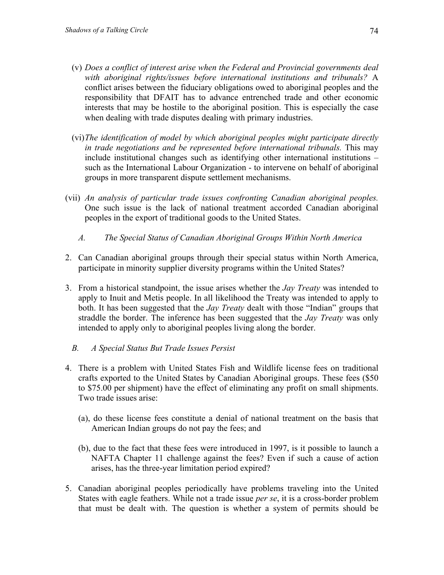- (v) *Does a conflict of interest arise when the Federal and Provincial governments deal with aboriginal rights/issues before international institutions and tribunals?* A conflict arises between the fiduciary obligations owed to aboriginal peoples and the responsibility that DFAIT has to advance entrenched trade and other economic interests that may be hostile to the aboriginal position. This is especially the case when dealing with trade disputes dealing with primary industries.
- (vi) *The identification of model by which aboriginal peoples might participate directly in trade negotiations and be represented before international tribunals.* This may include institutional changes such as identifying other international institutions – such as the International Labour Organization - to intervene on behalf of aboriginal groups in more transparent dispute settlement mechanisms.
- (vii) *An analysis of particular trade issues confronting Canadian aboriginal peoples.* One such issue is the lack of national treatment accorded Canadian aboriginal peoples in the export of traditional goods to the United States.
	- *A. The Special Status of Canadian Aboriginal Groups Within North America*
- 2. Can Canadian aboriginal groups through their special status within North America, participate in minority supplier diversity programs within the United States?
- 3. From a historical standpoint, the issue arises whether the *Jay Treaty* was intended to apply to Inuit and Metis people. In all likelihood the Treaty was intended to apply to both. It has been suggested that the *Jay Treaty* dealt with those "Indian" groups that straddle the border. The inference has been suggested that the *Jay Treaty* was only intended to apply only to aboriginal peoples living along the border.
	- *B. A Special Status But Trade Issues Persist*
- 4. There is a problem with United States Fish and Wildlife license fees on traditional crafts exported to the United States by Canadian Aboriginal groups. These fees (\$50 to \$75.00 per shipment) have the effect of eliminating any profit on small shipments. Two trade issues arise:
	- (a), do these license fees constitute a denial of national treatment on the basis that American Indian groups do not pay the fees; and
	- (b), due to the fact that these fees were introduced in 1997, is it possible to launch a NAFTA Chapter 11 challenge against the fees? Even if such a cause of action arises, has the three-year limitation period expired?
- 5. Canadian aboriginal peoples periodically have problems traveling into the United States with eagle feathers. While not a trade issue *per se*, it is a cross-border problem that must be dealt with. The question is whether a system of permits should be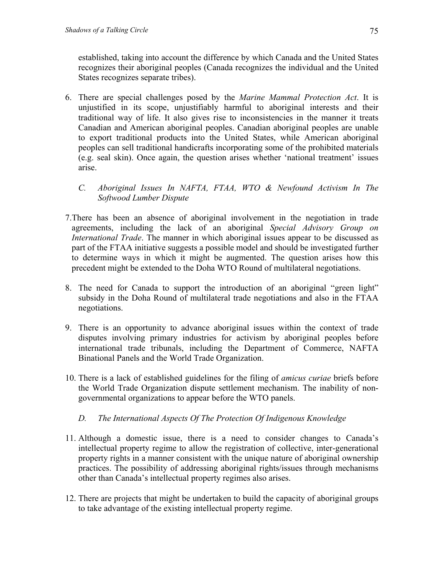established, taking into account the difference by which Canada and the United States recognizes their aboriginal peoples (Canada recognizes the individual and the United States recognizes separate tribes).

- 6. There are special challenges posed by the *Marine Mammal Protection Act*. It is unjustified in its scope, unjustifiably harmful to aboriginal interests and their traditional way of life. It also gives rise to inconsistencies in the manner it treats Canadian and American aboriginal peoples. Canadian aboriginal peoples are unable to export traditional products into the United States, while American aboriginal peoples can sell traditional handicrafts incorporating some of the prohibited materials (e.g. seal skin). Once again, the question arises whether 'national treatment' issues arise.
	- *C. Aboriginal Issues In NAFTA, FTAA, WTO & Newfound Activism In The Softwood Lumber Dispute*
- 7.There has been an absence of aboriginal involvement in the negotiation in trade agreements, including the lack of an aboriginal *Special Advisory Group on International Trade*. The manner in which aboriginal issues appear to be discussed as part of the FTAA initiative suggests a possible model and should be investigated further to determine ways in which it might be augmented. The question arises how this precedent might be extended to the Doha WTO Round of multilateral negotiations.
- 8. The need for Canada to support the introduction of an aboriginal "green light" subsidy in the Doha Round of multilateral trade negotiations and also in the FTAA negotiations.
- 9. There is an opportunity to advance aboriginal issues within the context of trade disputes involving primary industries for activism by aboriginal peoples before international trade tribunals, including the Department of Commerce, NAFTA Binational Panels and the World Trade Organization.
- 10. There is a lack of established guidelines for the filing of *amicus curiae* briefs before the World Trade Organization dispute settlement mechanism. The inability of nongovernmental organizations to appear before the WTO panels.
	- *D. The International Aspects Of The Protection Of Indigenous Knowledge*
- 11. Although a domestic issue, there is a need to consider changes to Canada's intellectual property regime to allow the registration of collective, inter-generational property rights in a manner consistent with the unique nature of aboriginal ownership practices. The possibility of addressing aboriginal rights/issues through mechanisms other than Canada's intellectual property regimes also arises.
- 12. There are projects that might be undertaken to build the capacity of aboriginal groups to take advantage of the existing intellectual property regime.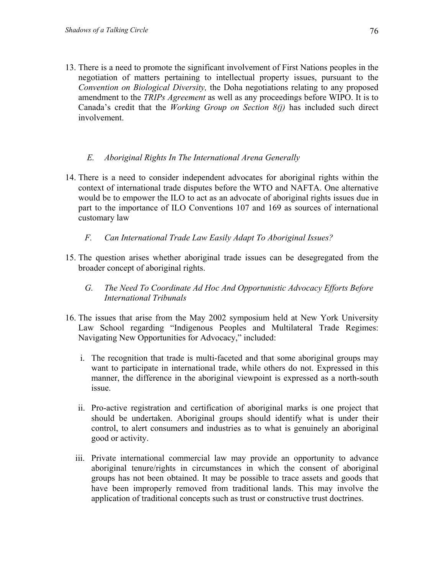13. There is a need to promote the significant involvement of First Nations peoples in the negotiation of matters pertaining to intellectual property issues, pursuant to the *Convention on Biological Diversity,* the Doha negotiations relating to any proposed amendment to the *TRIPs Agreement* as well as any proceedings before WIPO. It is to Canada's credit that the *Working Group on Section 8(j)* has included such direct involvement.

# *E. Aboriginal Rights In The International Arena Generally*

- 14. There is a need to consider independent advocates for aboriginal rights within the context of international trade disputes before the WTO and NAFTA. One alternative would be to empower the ILO to act as an advocate of aboriginal rights issues due in part to the importance of ILO Conventions 107 and 169 as sources of international customary law
	- *F. Can International Trade Law Easily Adapt To Aboriginal Issues?*
- 15. The question arises whether aboriginal trade issues can be desegregated from the broader concept of aboriginal rights.
	- *G. The Need To Coordinate Ad Hoc And Opportunistic Advocacy Efforts Before International Tribunals*
- 16. The issues that arise from the May 2002 symposium held at New York University Law School regarding "Indigenous Peoples and Multilateral Trade Regimes: Navigating New Opportunities for Advocacy," included:
	- i. The recognition that trade is multi-faceted and that some aboriginal groups may want to participate in international trade, while others do not. Expressed in this manner, the difference in the aboriginal viewpoint is expressed as a north-south issue.
	- ii. Pro-active registration and certification of aboriginal marks is one project that should be undertaken. Aboriginal groups should identify what is under their control, to alert consumers and industries as to what is genuinely an aboriginal good or activity.
	- iii. Private international commercial law may provide an opportunity to advance aboriginal tenure/rights in circumstances in which the consent of aboriginal groups has not been obtained. It may be possible to trace assets and goods that have been improperly removed from traditional lands. This may involve the application of traditional concepts such as trust or constructive trust doctrines.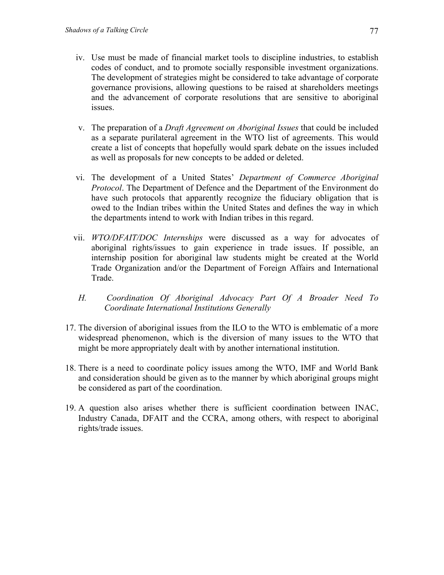- iv. Use must be made of financial market tools to discipline industries, to establish codes of conduct, and to promote socially responsible investment organizations. The development of strategies might be considered to take advantage of corporate governance provisions, allowing questions to be raised at shareholders meetings and the advancement of corporate resolutions that are sensitive to aboriginal issues.
- v. The preparation of a *Draft Agreement on Aboriginal Issues* that could be included as a separate purilateral agreement in the WTO list of agreements. This would create a list of concepts that hopefully would spark debate on the issues included as well as proposals for new concepts to be added or deleted.
- vi. The development of a United States' *Department of Commerce Aboriginal Protocol*. The Department of Defence and the Department of the Environment do have such protocols that apparently recognize the fiduciary obligation that is owed to the Indian tribes within the United States and defines the way in which the departments intend to work with Indian tribes in this regard.
- vii. *WTO/DFAIT/DOC Internships* were discussed as a way for advocates of aboriginal rights/issues to gain experience in trade issues. If possible, an internship position for aboriginal law students might be created at the World Trade Organization and/or the Department of Foreign Affairs and International Trade.
- *H. Coordination Of Aboriginal Advocacy Part Of A Broader Need To Coordinate International Institutions Generally*
- 17. The diversion of aboriginal issues from the ILO to the WTO is emblematic of a more widespread phenomenon, which is the diversion of many issues to the WTO that might be more appropriately dealt with by another international institution.
- 18. There is a need to coordinate policy issues among the WTO, IMF and World Bank and consideration should be given as to the manner by which aboriginal groups might be considered as part of the coordination.
- 19. A question also arises whether there is sufficient coordination between INAC, Industry Canada, DFAIT and the CCRA, among others, with respect to aboriginal rights/trade issues.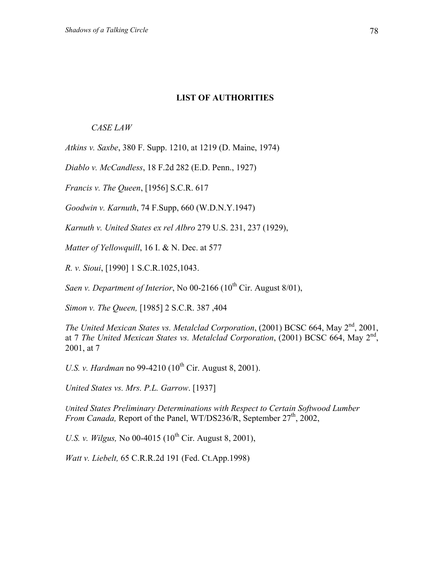#### **LIST OF AUTHORITIES**

### *CASE LAW*

*Atkins v. Saxbe*, 380 F. Supp. 1210, at 1219 (D. Maine, 1974)

*Diablo v. McCandless*, 18 F.2d 282 (E.D. Penn., 1927)

*Francis v. The Queen*, [1956] S.C.R. 617

*Goodwin v. Karnuth*, 74 F.Supp, 660 (W.D.N.Y.1947)

*Karnuth v. United States ex rel Albro* 279 U.S. 231, 237 (1929),

*Matter of Yellowquill*, 16 I. & N. Dec. at 577

*R. v. Sioui*, [1990] 1 S.C.R.1025,1043.

*Saen v. Department of Interior*, No  $00-2166$  ( $10<sup>th</sup>$  Cir. August  $8/01$ ),

*Simon v. The Queen,* [1985] 2 S.C.R. 387 ,404

*The United Mexican States vs. Metalclad Corporation*, (2001) BCSC 664, May 2<sup>nd</sup>, 2001, at 7 *The United Mexican States vs. Metalclad Corporation*, (2001) BCSC 664, May 2nd, 2001, at 7

*U.S. v. Hardman* no 99-4210 (10<sup>th</sup> Cir. August 8, 2001).

*United States vs. Mrs. P.L. Garrow*. [1937]

*United States Preliminary Determinations with Respect to Certain Softwood Lumber From Canada,* Report of the Panel, WT/DS236/R, September 27<sup>th</sup>, 2002,

*U.S. v. Wilgus,* No 00-4015 ( $10^{th}$  Cir. August 8, 2001),

*Watt v. Liebelt,* 65 C.R.R.2d 191 (Fed. Ct.App.1998)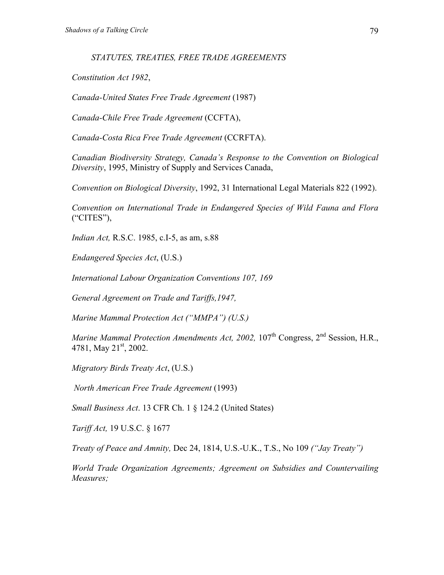*STATUTES, TREATIES, FREE TRADE AGREEMENTS* 

*Constitution Act 1982*,

*Canada-United States Free Trade Agreement* (1987)

*Canada-Chile Free Trade Agreement* (CCFTA),

*Canada-Costa Rica Free Trade Agreement* (CCRFTA).

*Canadian Biodiversity Strategy, Canada's Response to the Convention on Biological Diversity*, 1995, Ministry of Supply and Services Canada,

*Convention on Biological Diversity*, 1992, 31 International Legal Materials 822 (1992).

*Convention on International Trade in Endangered Species of Wild Fauna and Flora* ("CITES"),

*Indian Act,* R.S.C. 1985, c.I-5, as am, s.88

*Endangered Species Act*, (U.S.)

*International Labour Organization Conventions 107, 169*

*General Agreement on Trade and Tariffs,1947,*

*Marine Mammal Protection Act ("MMPA") (U.S.)* 

*Marine Mammal Protection Amendments Act, 2002, 107*<sup>th</sup> Congress, 2<sup>nd</sup> Session, H.R., 4781, May  $21<sup>st</sup>$ , 2002.

*Migratory Birds Treaty Act*, (U.S.)

*North American Free Trade Agreement* (1993)

*Small Business Act*. 13 CFR Ch. 1 § 124.2 (United States)

*Tariff Act,* 19 U.S.C. § 1677

*Treaty of Peace and Amnity,* Dec 24, 1814, U.S.-U.K., T.S., No 109 *("Jay Treaty")* 

*World Trade Organization Agreements; Agreement on Subsidies and Countervailing Measures;*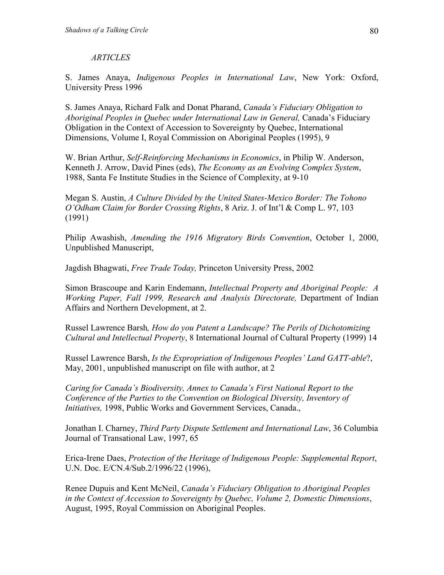### *ARTICLES*

S. James Anaya, *Indigenous Peoples in International Law*, New York: Oxford, University Press 1996

S. James Anaya, Richard Falk and Donat Pharand, *Canada's Fiduciary Obligation to Aboriginal Peoples in Quebec under International Law in General,* Canada's Fiduciary Obligation in the Context of Accession to Sovereignty by Quebec, International Dimensions, Volume I, Royal Commission on Aboriginal Peoples (1995), 9

W. Brian Arthur, *Self-Reinforcing Mechanisms in Economics*, in Philip W. Anderson, Kenneth J. Arrow, David Pines (eds), *The Economy as an Evolving Complex System*, 1988, Santa Fe Institute Studies in the Science of Complexity, at 9-10

Megan S. Austin, *A Culture Divided by the United States-Mexico Border: The Tohono O'Odham Claim for Border Crossing Rights*, 8 Ariz. J. of Int'l & Comp L. 97, 103 (1991)

Philip Awashish, *Amending the 1916 Migratory Birds Convention*, October 1, 2000, Unpublished Manuscript,

Jagdish Bhagwati, *Free Trade Today,* Princeton University Press, 2002

Simon Brascoupe and Karin Endemann, *Intellectual Property and Aboriginal People: A Working Paper, Fall 1999, Research and Analysis Directorate,* Department of Indian Affairs and Northern Development, at 2.

Russel Lawrence Barsh*, How do you Patent a Landscape? The Perils of Dichotomizing Cultural and Intellectual Property*, 8 International Journal of Cultural Property (1999) 14

Russel Lawrence Barsh, *Is the Expropriation of Indigenous Peoples' Land GATT-able*?, May, 2001, unpublished manuscript on file with author, at 2

*Caring for Canada's Biodiversity, Annex to Canada's First National Report to the Conference of the Parties to the Convention on Biological Diversity, Inventory of Initiatives,* 1998, Public Works and Government Services, Canada.,

Jonathan I. Charney, *Third Party Dispute Settlement and International Law*, 36 Columbia Journal of Transational Law, 1997, 65

Erica-Irene Daes, *Protection of the Heritage of Indigenous People: Supplemental Report*, U.N. Doc. E/CN.4/Sub.2/1996/22 (1996),

Renee Dupuis and Kent McNeil, *Canada's Fiduciary Obligation to Aboriginal Peoples in the Context of Accession to Sovereignty by Quebec, Volume 2, Domestic Dimensions*, August, 1995, Royal Commission on Aboriginal Peoples.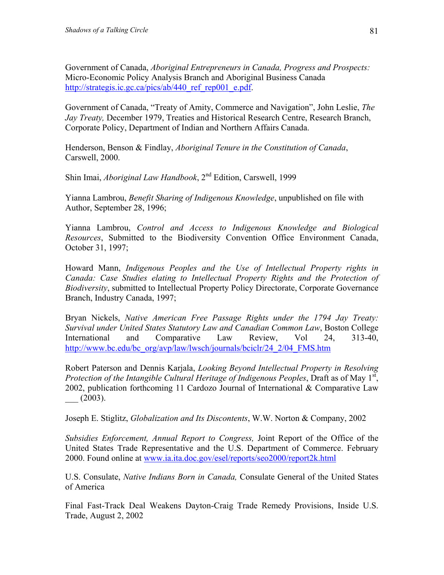Government of Canada, *Aboriginal Entrepreneurs in Canada, Progress and Prospects:* Micro-Economic Policy Analysis Branch and Aboriginal Business Canada [http://strategis.ic.gc.ca/pics/ab/440\\_ref\\_rep001\\_e.pdf.](http://strategis.ic.gc.ca/pics/ab/440_ref_rep001_e.pdf)

Government of Canada, "Treaty of Amity, Commerce and Navigation", John Leslie, *The Jay Treaty,* December 1979, Treaties and Historical Research Centre, Research Branch, Corporate Policy, Department of Indian and Northern Affairs Canada.

Henderson, Benson & Findlay, *Aboriginal Tenure in the Constitution of Canada*, Carswell, 2000.

Shin Imai, *Aboriginal Law Handbook*, 2<sup>nd</sup> Edition, Carswell, 1999

Yianna Lambrou, *Benefit Sharing of Indigenous Knowledge*, unpublished on file with Author, September 28, 1996;

Yianna Lambrou, *Control and Access to Indigenous Knowledge and Biological Resources*, Submitted to the Biodiversity Convention Office Environment Canada, October 31, 1997;

Howard Mann, *Indigenous Peoples and the Use of Intellectual Property rights in Canada: Case Studies elating to Intellectual Property Rights and the Protection of Biodiversity*, submitted to Intellectual Property Policy Directorate, Corporate Governance Branch, Industry Canada, 1997;

Bryan Nickels, *Native American Free Passage Rights under the 1794 Jay Treaty: Survival under United States Statutory Law and Canadian Common Law*, Boston College International and Comparative Law Review, Vol 24, 313-40, [http://www.bc.edu/bc\\_org/avp/law/lwsch/journals/bciclr/24\\_2/04\\_FMS.htm](http://www.bc.edu/bc_org/avp/law/lwsch/journals/bciclr/24_2/04_FMS.htm)

Robert Paterson and Dennis Karjala, *Looking Beyond Intellectual Property in Resolving*  Protection of the Intangible Cultural Heritage of Indigenous Peoples, Draft as of May 1<sup>st</sup>, 2002, publication forthcoming 11 Cardozo Journal of International & Comparative Law  $(2003)$ .

Joseph E. Stiglitz, *Globalization and Its Discontents*, W.W. Norton & Company, 2002

*Subsidies Enforcement, Annual Report to Congress,* Joint Report of the Office of the United States Trade Representative and the U.S. Department of Commerce. February 2000. Found online at [www.ia.ita.doc.gov/esel/reports/seo2000/report2k.html](http://www.ia.ita.doc.gov/esel/reports/seo2000/report2k.html) 

U.S. Consulate, *Native Indians Born in Canada,* Consulate General of the United States of America

Final Fast-Track Deal Weakens Dayton-Craig Trade Remedy Provisions, Inside U.S. Trade, August 2, 2002